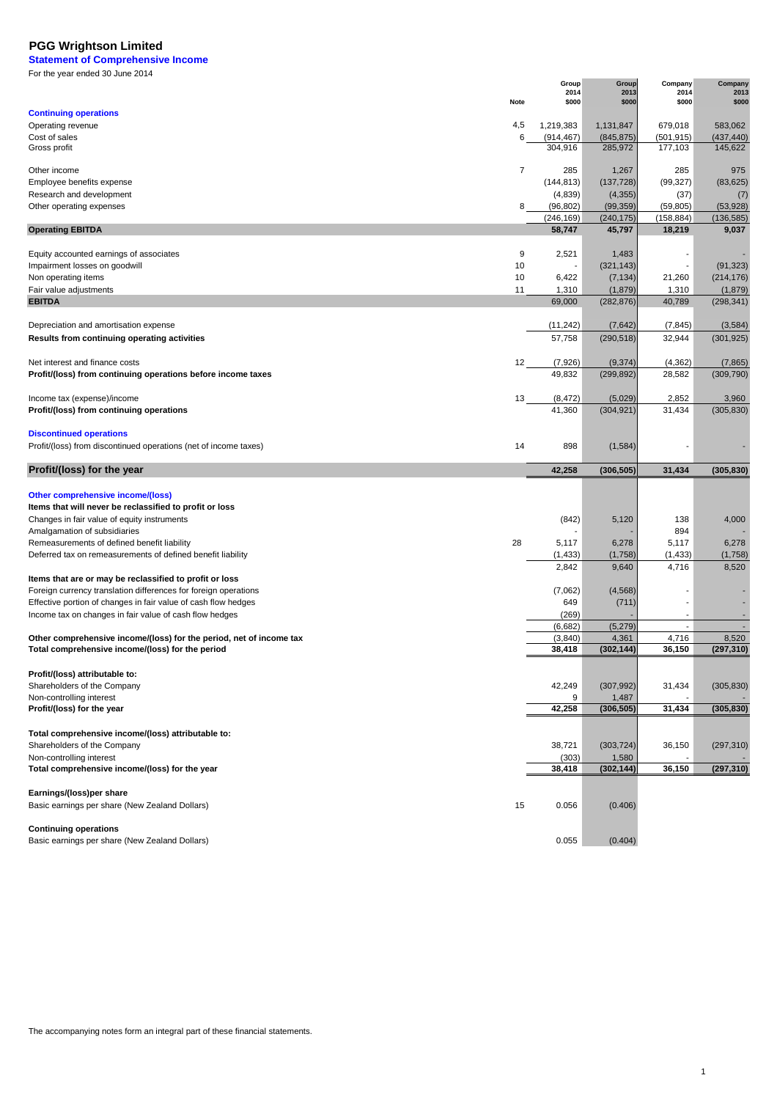**Statement of Comprehensive Income** For the year ended 30 June 2014  $\overline{a}$ 

|                                                                     |                | Group         | Group         | Company                  | Company       |
|---------------------------------------------------------------------|----------------|---------------|---------------|--------------------------|---------------|
|                                                                     | Note           | 2014<br>\$000 | 2013<br>\$000 | 2014<br>\$000            | 2013<br>\$000 |
|                                                                     |                |               |               |                          |               |
| <b>Continuing operations</b>                                        |                |               |               |                          |               |
| Operating revenue                                                   | 4,5            | 1,219,383     | 1,131,847     | 679,018                  | 583,062       |
| Cost of sales                                                       | 6              | (914, 467)    | (845, 875)    | (501, 915)               | (437, 440)    |
| Gross profit                                                        |                | 304,916       | 285,972       | 177,103                  | 145,622       |
|                                                                     |                |               |               |                          |               |
| Other income                                                        | $\overline{7}$ | 285           | 1,267         | 285                      | 975           |
| Employee benefits expense                                           |                | (144, 813)    | (137, 728)    | (99, 327)                | (83, 625)     |
| Research and development                                            |                | (4,839)       | (4, 355)      | (37)                     | (7)           |
| Other operating expenses                                            | 8              | (96, 802)     | (99, 359)     | (59, 805)                | (53, 928)     |
|                                                                     |                | (246, 169)    | (240, 175)    | (158, 884)               | (136, 585)    |
|                                                                     |                |               |               |                          |               |
| <b>Operating EBITDA</b>                                             |                | 58,747        | 45,797        | 18,219                   | 9,037         |
|                                                                     |                |               |               |                          |               |
| Equity accounted earnings of associates                             | 9              | 2,521         | 1,483         |                          |               |
| Impairment losses on goodwill                                       | 10             |               | (321, 143)    | ٠                        | (91, 323)     |
| Non operating items                                                 | 10             | 6,422         | (7, 134)      | 21,260                   | (214, 176)    |
| Fair value adjustments                                              | 11             | 1,310         | (1,879)       | 1,310                    | (1,879)       |
| <b>EBITDA</b>                                                       |                | 69,000        | (282, 876)    | 40,789                   | (298, 341)    |
|                                                                     |                |               |               |                          |               |
|                                                                     |                |               |               |                          |               |
| Depreciation and amortisation expense                               |                | (11, 242)     | (7,642)       | (7, 845)                 | (3, 584)      |
| Results from continuing operating activities                        |                | 57,758        | (290, 518)    | 32,944                   | (301, 925)    |
|                                                                     |                |               |               |                          |               |
| Net interest and finance costs                                      | 12             | (7, 926)      | (9, 374)      | (4, 362)                 | (7, 865)      |
| Profit/(loss) from continuing operations before income taxes        |                | 49,832        | (299, 892)    | 28,582                   | (309, 790)    |
|                                                                     |                |               |               |                          |               |
|                                                                     |                |               |               |                          |               |
| Income tax (expense)/income                                         | 13             | (8, 472)      | (5,029)       | 2,852                    | 3,960         |
| Profit/(loss) from continuing operations                            |                | 41,360        | (304, 921)    | 31,434                   | (305, 830)    |
|                                                                     |                |               |               |                          |               |
| <b>Discontinued operations</b>                                      |                |               |               |                          |               |
| Profit/(loss) from discontinued operations (net of income taxes)    | 14             | 898           | (1,584)       |                          |               |
|                                                                     |                |               |               |                          |               |
|                                                                     |                |               |               |                          |               |
|                                                                     |                |               |               |                          |               |
| Profit/(loss) for the year                                          |                | 42,258        | (306, 505)    | 31,434                   | (305, 830)    |
|                                                                     |                |               |               |                          |               |
| <b>Other comprehensive income/(loss)</b>                            |                |               |               |                          |               |
|                                                                     |                |               |               |                          |               |
| Items that will never be reclassified to profit or loss             |                |               |               |                          |               |
| Changes in fair value of equity instruments                         |                | (842)         | 5,120         | 138                      | 4,000         |
| Amalgamation of subsidiaries                                        |                |               |               | 894                      |               |
| Remeasurements of defined benefit liability                         | 28             | 5,117         | 6,278         | 5,117                    | 6,278         |
| Deferred tax on remeasurements of defined benefit liability         |                | (1, 433)      | (1,758)       | (1, 433)                 | (1,758)       |
|                                                                     |                | 2,842         | 9,640         | 4,716                    | 8,520         |
| Items that are or may be reclassified to profit or loss             |                |               |               |                          |               |
|                                                                     |                |               |               |                          |               |
| Foreign currency translation differences for foreign operations     |                | (7,062)       | (4, 568)      | $\overline{\phantom{a}}$ |               |
| Effective portion of changes in fair value of cash flow hedges      |                | 649           | (711)         |                          |               |
| Income tax on changes in fair value of cash flow hedges             |                | (269)         |               | $\blacksquare$           |               |
|                                                                     |                | (6,682)       | (5, 279)      | $\blacksquare$           |               |
| Other comprehensive income/(loss) for the period, net of income tax |                | (3,840)       | 4,361         | 4,716                    | 8,520         |
| Total comprehensive income/(loss) for the period                    |                | 38,418        | (302, 144)    | 36,150                   | (297, 310)    |
|                                                                     |                |               |               |                          |               |
|                                                                     |                |               |               |                          |               |
| Profit/(loss) attributable to:                                      |                |               |               |                          |               |
| Shareholders of the Company                                         |                | 42,249        | (307, 992)    | 31,434                   | (305, 830)    |
| Non-controlling interest                                            |                | 9             | 1,487         |                          |               |
| Profit/(loss) for the year                                          |                | 42,258        | (306, 505)    | 31,434                   | (305, 830)    |
|                                                                     |                |               |               |                          |               |
| Total comprehensive income/(loss) attributable to:                  |                |               |               |                          |               |
| Shareholders of the Company                                         |                | 38,721        | (303, 724)    | 36,150                   | (297, 310)    |
| Non-controlling interest                                            |                | (303)         | 1,580         |                          |               |
|                                                                     |                |               |               |                          |               |
| Total comprehensive income/(loss) for the year                      |                | 38,418        | (302, 144)    | 36,150                   | (297, 310)    |
|                                                                     |                |               |               |                          |               |
| Earnings/(loss)per share                                            |                |               |               |                          |               |
| Basic earnings per share (New Zealand Dollars)                      | 15             | 0.056         | (0.406)       |                          |               |
|                                                                     |                |               |               |                          |               |
| <b>Continuing operations</b>                                        |                |               |               |                          |               |
| Basic earnings per share (New Zealand Dollars)                      |                | 0.055         | (0.404)       |                          |               |

1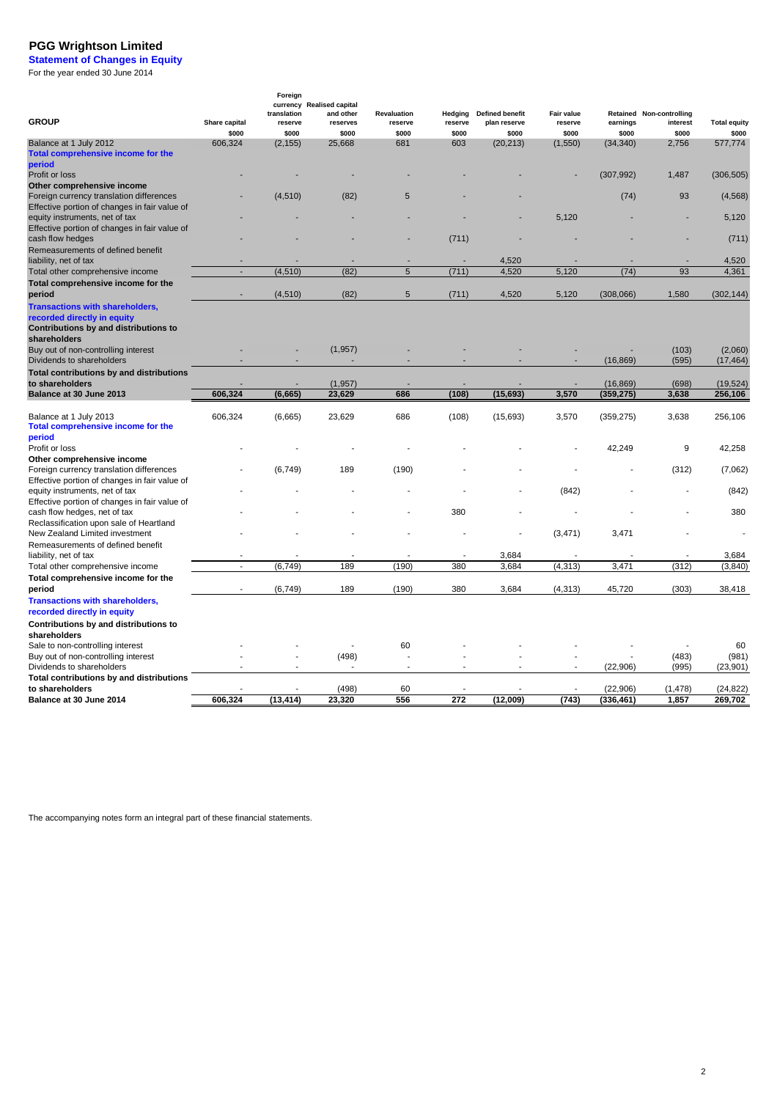**Statement of Changes in Equity** For the year ended 30 June 2014

| <b>GROUP</b>                                                                  | Share capital | Foreign<br>translation<br>reserve | currency Realised capital<br>and other<br>reserves | Revaluation<br>reserve | Hedging<br>reserve | <b>Defined benefit</b><br>plan reserve | Fair value<br>reserve | earnings   | Retained Non-controlling<br>interest | <b>Total equity</b>  |
|-------------------------------------------------------------------------------|---------------|-----------------------------------|----------------------------------------------------|------------------------|--------------------|----------------------------------------|-----------------------|------------|--------------------------------------|----------------------|
|                                                                               | \$000         | \$000                             | \$000                                              | \$000                  | \$000              | \$000                                  | \$000                 | \$000      | \$000                                | \$000                |
| Balance at 1 July 2012<br>Total comprehensive income for the<br>period        | 606,324       | (2, 155)                          | 25,668                                             | 681                    | 603                | (20, 213)                              | (1,550)               | (34, 340)  | 2,756                                | 577,774              |
| Profit or loss                                                                |               |                                   |                                                    |                        |                    |                                        |                       | (307, 992) | 1,487                                | (306, 505)           |
| Other comprehensive income                                                    |               |                                   |                                                    |                        |                    |                                        |                       |            |                                      |                      |
| Foreign currency translation differences                                      |               | (4, 510)                          | (82)                                               | 5                      |                    |                                        |                       | (74)       | 93                                   | (4, 568)             |
| Effective portion of changes in fair value of                                 |               |                                   |                                                    |                        |                    |                                        |                       |            |                                      |                      |
| equity instruments, net of tax                                                |               |                                   |                                                    |                        |                    |                                        | 5,120                 |            |                                      | 5,120                |
| Effective portion of changes in fair value of                                 |               |                                   |                                                    |                        |                    |                                        |                       |            |                                      |                      |
| cash flow hedges                                                              |               |                                   |                                                    |                        | (711)              |                                        |                       |            |                                      | (711)                |
| Remeasurements of defined benefit                                             |               |                                   |                                                    |                        |                    |                                        |                       |            |                                      |                      |
| liability, net of tax                                                         |               |                                   |                                                    |                        |                    | 4,520                                  |                       |            |                                      | 4,520                |
| Total other comprehensive income                                              | ÷             | (4, 510)                          | (82)                                               | 5                      | (711)              | 4,520                                  | 5,120                 | (74)       | 93                                   | 4,361                |
| Total comprehensive income for the                                            |               |                                   |                                                    |                        |                    |                                        |                       |            |                                      |                      |
| period                                                                        |               | (4, 510)                          | (82)                                               | 5                      | (711)              | 4,520                                  | 5,120                 | (308,066)  | 1,580                                | (302, 144)           |
| <b>Transactions with shareholders,</b><br>recorded directly in equity         |               |                                   |                                                    |                        |                    |                                        |                       |            |                                      |                      |
| Contributions by and distributions to<br>shareholders                         |               |                                   |                                                    |                        |                    |                                        |                       |            |                                      |                      |
| Buy out of non-controlling interest<br>Dividends to shareholders              |               |                                   | (1,957)                                            |                        |                    |                                        |                       | (16, 869)  | (103)<br>(595)                       | (2,060)<br>(17, 464) |
| Total contributions by and distributions                                      |               |                                   |                                                    |                        |                    |                                        |                       |            |                                      |                      |
| to shareholders                                                               |               |                                   | (1, 957)                                           |                        |                    |                                        |                       | (16, 869)  | (698)                                | (19, 524)            |
| Balance at 30 June 2013                                                       | 606.324       | (6,665)                           | 23,629                                             | 686                    | (108)              | (15, 693)                              | 3,570                 | (359, 275) | 3,638                                | 256,106              |
| Balance at 1 July 2013<br>Total comprehensive income for the                  | 606,324       | (6,665)                           | 23,629                                             | 686                    | (108)              | (15, 693)                              | 3,570                 | (359, 275) | 3,638                                | 256,106              |
| period                                                                        |               |                                   |                                                    |                        |                    |                                        |                       |            |                                      |                      |
| Profit or loss                                                                |               |                                   |                                                    |                        |                    |                                        |                       | 42,249     | 9                                    | 42,258               |
| Other comprehensive income                                                    |               |                                   |                                                    |                        |                    |                                        |                       |            |                                      |                      |
| Foreign currency translation differences                                      |               | (6, 749)                          | 189                                                | (190)                  |                    |                                        |                       |            | (312)                                | (7,062)              |
| Effective portion of changes in fair value of                                 |               |                                   |                                                    |                        |                    |                                        |                       |            |                                      |                      |
| equity instruments, net of tax                                                |               |                                   |                                                    |                        |                    |                                        | (842)                 |            |                                      | (842)                |
| Effective portion of changes in fair value of<br>cash flow hedges, net of tax |               |                                   |                                                    |                        | 380                |                                        |                       |            |                                      | 380                  |
| Reclassification upon sale of Heartland                                       |               |                                   |                                                    |                        |                    |                                        |                       |            |                                      |                      |
| New Zealand Limited investment                                                |               |                                   |                                                    |                        |                    |                                        | (3, 471)              | 3,471      |                                      |                      |
| Remeasurements of defined benefit                                             |               |                                   |                                                    |                        |                    |                                        |                       |            |                                      |                      |
| liability, net of tax                                                         |               |                                   |                                                    |                        |                    | 3,684                                  |                       |            |                                      | 3,684                |
| Total other comprehensive income                                              | $\sim$        | (6, 749)                          | 189                                                | (190)                  | 380                | 3,684                                  | (4, 313)              | 3,471      | (312)                                | (3, 840)             |
| Total comprehensive income for the                                            |               |                                   |                                                    |                        |                    |                                        |                       |            |                                      |                      |
| period                                                                        |               | (6,749)                           | 189                                                | (190)                  | 380                | 3,684                                  | (4, 313)              | 45,720     | (303)                                | 38,418               |
| <b>Transactions with shareholders,</b>                                        |               |                                   |                                                    |                        |                    |                                        |                       |            |                                      |                      |
| recorded directly in equity                                                   |               |                                   |                                                    |                        |                    |                                        |                       |            |                                      |                      |
| Contributions by and distributions to                                         |               |                                   |                                                    |                        |                    |                                        |                       |            |                                      |                      |
| shareholders                                                                  |               |                                   |                                                    |                        |                    |                                        |                       |            |                                      |                      |
| Sale to non-controlling interest                                              |               |                                   |                                                    | 60                     |                    |                                        |                       |            |                                      | 60                   |
| Buy out of non-controlling interest                                           |               |                                   | (498)                                              |                        |                    |                                        |                       |            | (483)                                | (981)                |
| Dividends to shareholders                                                     |               |                                   |                                                    |                        |                    |                                        |                       | (22, 906)  | (995)                                | (23,901)             |
| Total contributions by and distributions                                      |               |                                   |                                                    |                        |                    |                                        |                       |            |                                      |                      |
| to shareholders                                                               |               |                                   | (498)                                              | 60                     |                    |                                        |                       | (22, 906)  | (1, 478)                             | (24, 822)            |
| Balance at 30 June 2014                                                       | 606.324       | (13, 414)                         | 23,320                                             | 556                    | 272                | (12,009)                               | (743)                 | (336, 461) | 1.857                                | 269,702              |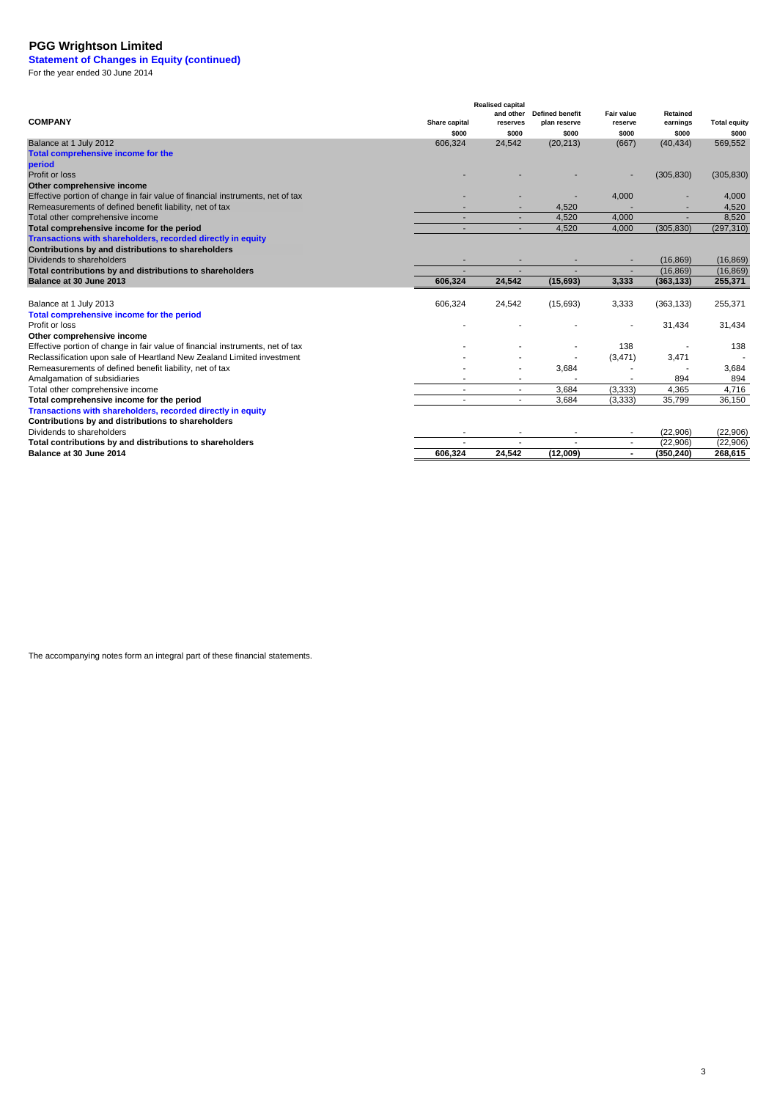**Statement of Changes in Equity (continued)** For the year ended 30 June 2014

**COMPANY** Share capital **Share COMPANY Realised capital and other reserves Defined benefit plan reserve Fair value reserve Retained earnings Total equity \$000 \$000 \$000 \$000 \$000 \$000** Balance at 1 July 2012 24,542 606,324 (20,213) (667) (40,434) 569,552 **Total comprehensive income for the**  Profit or loss - - - - (305,830) (305,830) **Other comprehensive income** Effective portion of change in fair value of financial instruments, net of tax - - - - - - - - 4,000 - 4,000 - 4,000 - 4,000 - 4,000 - 4,000 - 4,000 - 4,000 - 4,000 - 4,000 - 4,000 - 4,000 - 4,000 - 4,000 - 4,000 - 4,000 - $-$  4,520  $-$  4,520  $-$  4,520  $+$  4,520  $+$  4,520  $+$  4,520  $+$  4,520  $+$  4,520  $+$  4,520  $+$  4,520  $+$  4,520  $+$  4,520  $+$  4,520  $+$  4,520  $+$  4,520  $+$  4,520  $+$  4,520  $+$  4,520  $+$  4,520  $+$  4,520  $+$  4,520  $+$  4,520 Total other comprehensive income and the state of the state of the state of the state of the state of the state of the state of the state of the state of the state of the state of the state of the state of the state of the 4,520 4,000 (305,830) (297,310) Dividends to shareholders (16,869) (16,869) (16,869) (16,869)  $\begin{array}{r}\n (16,869) \quad (16,869) \\
 \hline\n 606.324 \quad 24.542 \quad (15.693) \quad 3.333 \quad (363.133) \quad 255.371\n \end{array}$ **Balance at 30 June 2013 606,324 24,542 (15,693) 3,333 (363,133) 255,371** Balance at 1 July 2013 24,542 606,324 (15,693) 3,333 (363,133) 255,371 Profit or loss - - - - 31,434 31,434 **Other comprehensive income** Effective portion of change in fair value of financial instruments, net of tax and the state of the state of the state of the state of the state of the state of the state of the state of the state of the state of the state Reclassification upon sale of Heartland New Zealand Limited investment (3,471) 3,471 - (3,471) 3,471 - (3,684 (3,471) 3,471 - 3,684 (3,471) 3,471 - 3,684 (3,471) 3,471 - 3,684 (3,471) 3,471 - 3,684 (3,471) 3,471 - 3,684 (3  $-$  3,684  $-$  3,684  $-$  3,684 - - - - 894 894 Total other comprehensive income<br>
Total comprehensive income for the period<br>
Total comprehensive income for the period<br>
Total comprehensive income for the period - - 3,684 (3,333) 35,799 36,150 Dividends to shareholders (22,906) (22,906) (22,906)  $\overline{606,324}$   $\overline{24,542}$   $\overline{12,009}$   $\overline{12,906}$   $\overline{268,615}$ Amalgamation of subsidiaries Remeasurements of defined benefit liability, net of tax **period**<br>Profit or loss Remeasurements of defined benefit liability, net of tax **Total comprehensive income for the period Transactions with shareholders, recorded directly in equity Contributions by and distributions to shareholders Total contributions by and distributions to shareholders Total comprehensive income for the period**<br>Profit or loss **Total comprehensive income for the period Transactions with shareholders, recorded directly in equity Contributions by and distributions to shareholders Total contributions by and distributions to shareholders**

**Balance at 30 June 2014 606,324 24,542 (12,009) - (350,240) 268,615**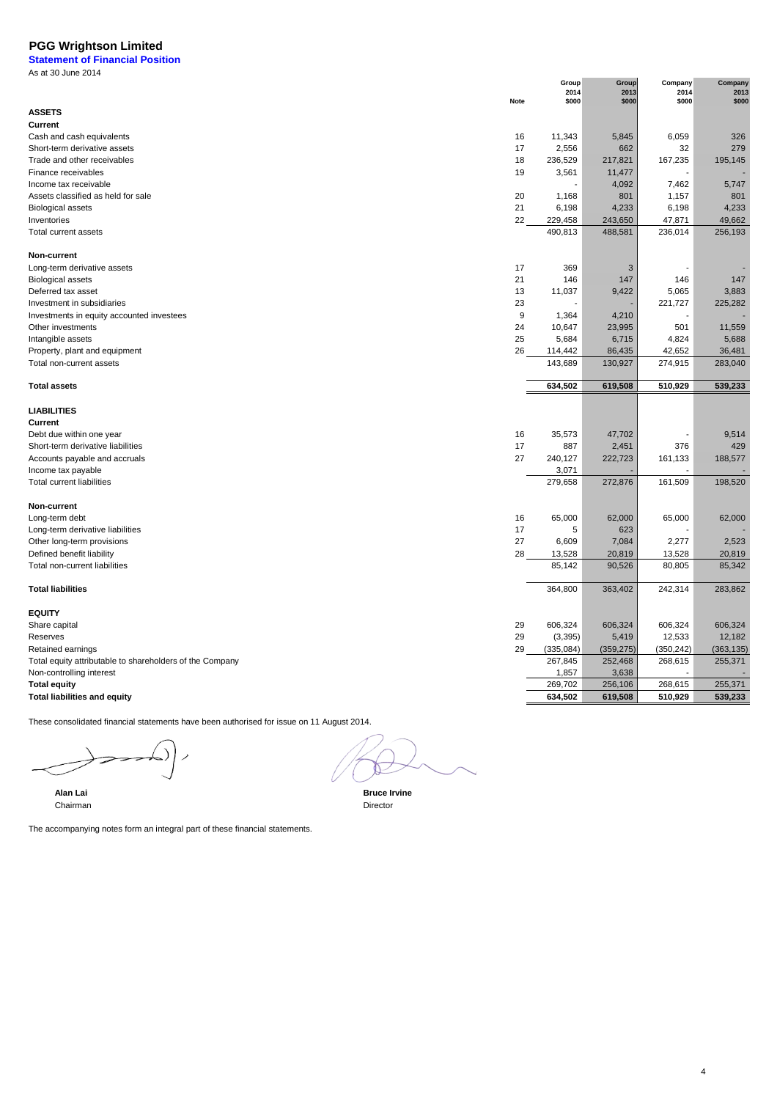**Statement of Financial Position** As at 30 June 2014

|                                                          | Group<br>2014 | Group<br>2013 | Company<br>2014 | Company<br>2013 |
|----------------------------------------------------------|---------------|---------------|-----------------|-----------------|
| <b>Note</b>                                              | \$000         | \$000         | \$000           | \$000           |
| <b>ASSETS</b>                                            |               |               |                 |                 |
| Current                                                  |               |               |                 |                 |
| Cash and cash equivalents<br>16                          | 11,343        | 5,845         | 6,059           | 326             |
| 17<br>Short-term derivative assets                       | 2,556         | 662           | 32              | 279             |
| 18<br>Trade and other receivables                        | 236,529       | 217,821       | 167,235         | 195,145         |
| Finance receivables<br>19                                | 3,561         | 11,477        |                 |                 |
| Income tax receivable                                    |               | 4,092         | 7,462           | 5,747           |
| Assets classified as held for sale<br>20                 | 1,168         | 801           | 1,157           | 801             |
| 21<br><b>Biological assets</b>                           | 6,198         | 4,233         | 6,198           | 4,233           |
| 22<br>Inventories                                        | 229,458       | 243,650       | 47,871          | 49,662          |
| Total current assets                                     | 490,813       | 488,581       | 236,014         | 256,193         |
|                                                          |               |               |                 |                 |
| Non-current                                              |               |               |                 |                 |
| 17<br>Long-term derivative assets                        | 369           | 3             |                 |                 |
| 21<br><b>Biological assets</b>                           | 146           | 147           | 146             | 147             |
| Deferred tax asset<br>13                                 | 11,037        | 9,422         | 5,065           | 3,883           |
| 23<br>Investment in subsidiaries                         |               |               | 221,727         | 225,282         |
| 9<br>Investments in equity accounted investees           | 1,364         | 4,210         |                 |                 |
| 24<br>Other investments                                  | 10,647        | 23,995        | 501             | 11,559          |
| 25<br>Intangible assets                                  | 5,684         | 6,715         | 4,824           | 5,688           |
| 26<br>Property, plant and equipment                      | 114,442       | 86,435        | 42,652          | 36,481          |
| Total non-current assets                                 | 143,689       | 130,927       | 274,915         | 283,040         |
|                                                          |               |               |                 |                 |
| <b>Total assets</b>                                      | 634,502       | 619,508       | 510,929         | 539,233         |
|                                                          |               |               |                 |                 |
| <b>LIABILITIES</b>                                       |               |               |                 |                 |
| Current                                                  |               |               |                 |                 |
| 16<br>Debt due within one year                           | 35,573        | 47,702        |                 | 9,514           |
| 17<br>Short-term derivative liabilities                  | 887           | 2,451         | 376             | 429             |
| 27<br>Accounts payable and accruals                      | 240,127       | 222,723       | 161,133         | 188,577         |
| Income tax payable                                       | 3,071         |               | ä,              |                 |
| <b>Total current liabilities</b>                         | 279,658       | 272,876       | 161,509         | 198,520         |
|                                                          |               |               |                 |                 |
| Non-current                                              |               |               |                 |                 |
| Long-term debt<br>16                                     | 65,000        | 62,000        | 65,000          | 62,000          |
| 17<br>Long-term derivative liabilities                   | 5             | 623           |                 |                 |
| 27<br>Other long-term provisions                         | 6,609         | 7,084         | 2,277           | 2,523           |
| Defined benefit liability<br>28                          | 13,528        | 20,819        | 13,528          | 20,819          |
| Total non-current liabilities                            | 85,142        | 90,526        | 80,805          | 85,342          |
|                                                          |               |               |                 |                 |
| <b>Total liabilities</b>                                 | 364,800       | 363,402       | 242,314         | 283,862         |
|                                                          |               |               |                 |                 |
| <b>EQUITY</b>                                            |               |               |                 |                 |
| Share capital<br>29                                      | 606,324       | 606,324       | 606,324         | 606,324         |
| Reserves<br>29                                           | (3, 395)      | 5,419         | 12,533          | 12,182          |
| 29<br>Retained earnings                                  | (335,084)     | (359, 275)    | (350, 242)      | (363, 135)      |
| Total equity attributable to shareholders of the Company | 267,845       | 252,468       | 268,615         | 255,371         |
| Non-controlling interest                                 | 1,857         | 3,638         |                 |                 |
| <b>Total equity</b>                                      | 269,702       | 256,106       | 268,615         | 255,371         |
| <b>Total liabilities and equity</b>                      | 634,502       | 619,508       | 510,929         | 539,233         |

These consolidated financial statements have been authorised for issue on 11 August 2014.

 $\Rightarrow$ 

4

**Alan Lai Bruce Irvine** Chairman Director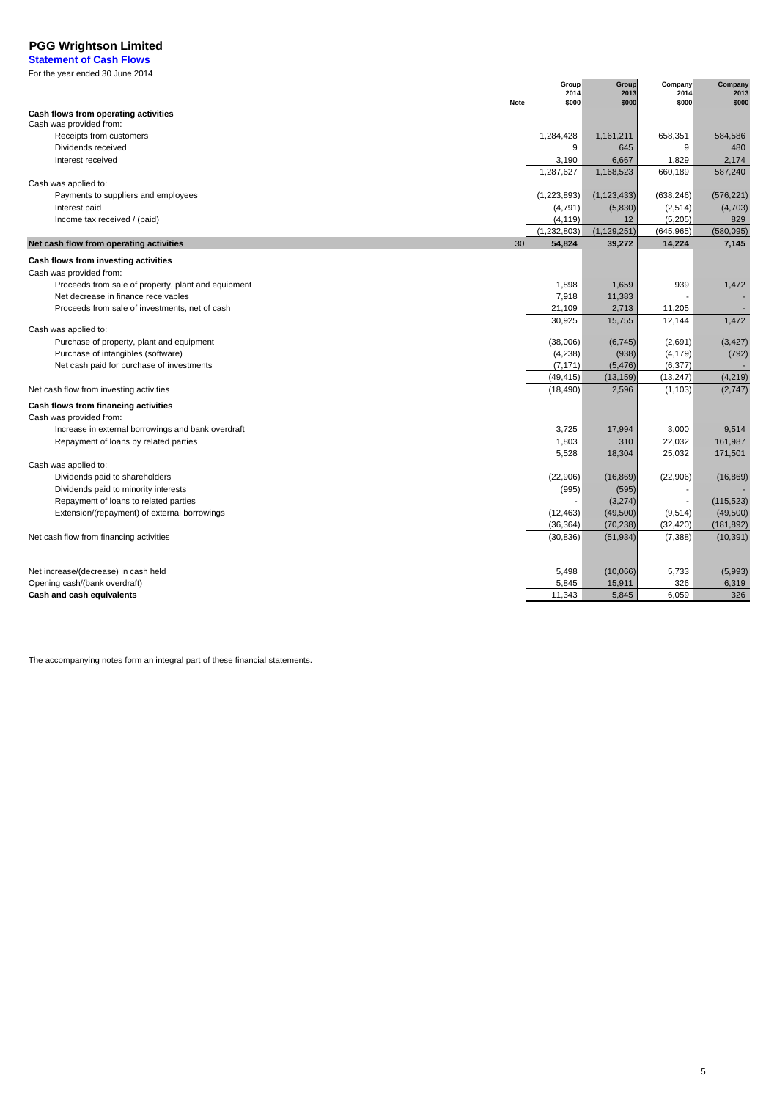**Statement of Cash Flows**

| For the year ended 30 June 2014 |  |
|---------------------------------|--|
|---------------------------------|--|

| <b>Note</b>                                         | Group<br>2014<br>\$000 | Group<br>2013<br>\$000 | Company<br>2014<br>\$000 | Company<br>2013<br>\$000 |
|-----------------------------------------------------|------------------------|------------------------|--------------------------|--------------------------|
| Cash flows from operating activities                |                        |                        |                          |                          |
| Cash was provided from:                             |                        |                        |                          |                          |
| Receipts from customers                             | 1,284,428              | 1,161,211              | 658,351                  | 584,586                  |
| Dividends received                                  | 9                      | 645                    | 9                        | 480                      |
| Interest received                                   | 3,190<br>1.287.627     | 6,667<br>1,168,523     | 1,829<br>660,189         | 2,174<br>587,240         |
| Cash was applied to:                                |                        |                        |                          |                          |
| Payments to suppliers and employees                 | (1,223,893)            | (1, 123, 433)          | (638, 246)               | (576, 221)               |
| Interest paid                                       | (4,791)                | (5,830)                | (2,514)                  | (4,703)                  |
| Income tax received / (paid)                        | (4, 119)               | 12                     | (5,205)                  | 829                      |
|                                                     | (1, 232, 803)          | (1, 129, 251)          | (645, 965)               | (580,095)                |
| Net cash flow from operating activities<br>30       | 54,824                 | 39,272                 | 14,224                   | 7,145                    |
| Cash flows from investing activities                |                        |                        |                          |                          |
| Cash was provided from:                             |                        |                        |                          |                          |
| Proceeds from sale of property, plant and equipment | 1,898                  | 1,659                  | 939                      | 1,472                    |
| Net decrease in finance receivables                 | 7,918                  | 11,383                 |                          |                          |
| Proceeds from sale of investments, net of cash      | 21,109                 | 2,713                  | 11,205                   |                          |
| Cash was applied to:                                | 30,925                 | 15,755                 | 12,144                   | 1,472                    |
| Purchase of property, plant and equipment           | (38,006)               | (6, 745)               | (2,691)                  | (3, 427)                 |
| Purchase of intangibles (software)                  | (4,238)                | (938)                  | (4, 179)                 | (792)                    |
| Net cash paid for purchase of investments           | (7, 171)               | (5, 476)               | (6, 377)                 |                          |
|                                                     | (49, 415)              | (13, 159)              | (13, 247)                | (4, 219)                 |
| Net cash flow from investing activities             | (18, 490)              | 2,596                  | (1, 103)                 | (2,747)                  |
| Cash flows from financing activities                |                        |                        |                          |                          |
| Cash was provided from:                             |                        |                        |                          |                          |
| Increase in external borrowings and bank overdraft  | 3,725                  | 17,994                 | 3,000                    | 9,514                    |
| Repayment of loans by related parties               | 1,803                  | 310                    | 22,032                   | 161,987                  |
| Cash was applied to:                                | 5,528                  | 18,304                 | 25,032                   | 171,501                  |
| Dividends paid to shareholders                      | (22,906)               | (16, 869)              | (22, 906)                | (16, 869)                |
| Dividends paid to minority interests                | (995)                  | (595)                  |                          |                          |
| Repayment of loans to related parties               |                        | (3,274)                |                          | (115, 523)               |
| Extension/(repayment) of external borrowings        | (12, 463)              | (49, 500)              | (9,514)                  | (49,500)                 |
|                                                     | (36, 364)              | (70, 238)              | (32, 420)                | (181, 892)               |
| Net cash flow from financing activities             | (30, 836)              | (51, 934)              | (7, 388)                 | (10, 391)                |
|                                                     |                        |                        |                          |                          |
| Net increase/(decrease) in cash held                | 5,498                  | (10,066)               | 5,733                    | (5,993)                  |
| Opening cash/(bank overdraft)                       | 5,845                  | 15,911                 | 326                      | 6,319                    |
| Cash and cash equivalents                           | 11,343                 | 5,845                  | 6,059                    | 326                      |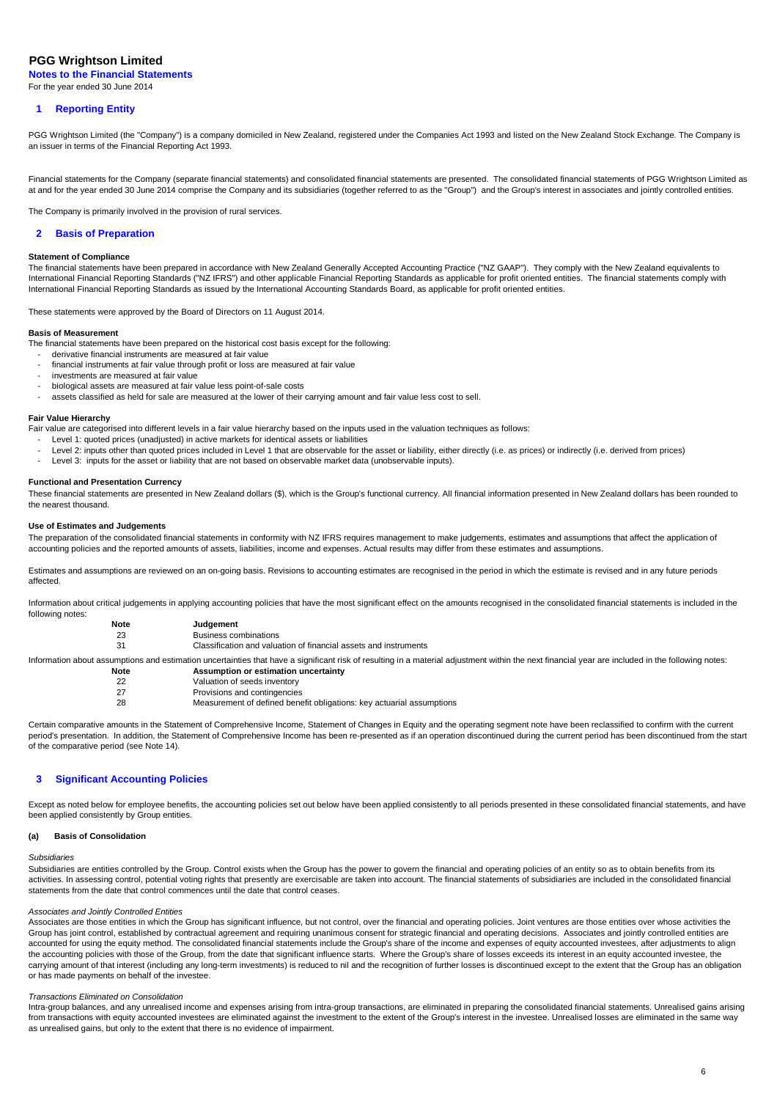**Notes to the Financial Statements** For the year ended 30 June 2014

## **1 Reporting Entity**

PGG Wrightson Limited (the "Company") is a company domiciled in New Zealand, registered under the Companies Act 1993 and listed on the New Zealand Stock Exchange. The Company is an issuer in terms of the Financial Reporting Act 1993.

Financial statements for the Company (separate financial statements) and consolidated financial statements are presented. The consolidated financial statements of PGG Wrightson Limited as at and for the year ended 30 June 2014 comprise the Company and its subsidiaries (together referred to as the "Group") and the Group's interest in associates and jointly controlled entities.

The Company is primarily involved in the provision of rural services.

## **2 Basis of Preparation**

## **Statement of Compliance**

The financial statements have been prepared in accordance with New Zealand Generally Accepted Accounting Practice ("NZ GAAP"). They comply with the New Zealand equivalents to International Financial Reporting Standards ("NZ IFRS") and other applicable Financial Reporting Standards as applicable for profit oriented entities. The financial statements comply with International Financial Reporting Standards as issued by the International Accounting Standards Board, as applicable for profit oriented entities.

These statements were approved by the Board of Directors on 11 August 2014.

## **Basis of Measurement**

The financial statements have been prepared on the historical cost basis except for the following:

- derivative financial instruments are measured at fair value
- financial instruments at fair value through profit or loss are measured at fair value
- investments are measured at fair value
- biological assets are measured at fair value less point-of-sale costs
- assets classified as held for sale are measured at the lower of their carrying amount and fair value less cost to sell.

## **Fair Value Hierarchy**

Fair value are categorised into different levels in a fair value hierarchy based on the inputs used in the valuation techniques as follows:

- Level 1: quoted prices (unadjusted) in active markets for identical assets or liabilities
- Level 2: inputs other than quoted prices included in Level 1 that are observable for the asset or liability, either directly (i.e. as prices) or indirectly (i.e. derived from prices)
- Level 3: inputs for the asset or liability that are not based on observable market data (unobservable inputs).

## **Functional and Presentation Currency**

These financial statements are presented in New Zealand dollars (\$), which is the Group's functional currency. All financial information presented in New Zealand dollars has been rounded to the nearest thousand.

### **Use of Estimates and Judgements**

The preparation of the consolidated financial statements in conformity with NZ IFRS requires management to make judgements, estimates and assumptions that affect the application of accounting policies and the reported amounts of assets, liabilities, income and expenses. Actual results may differ from these estimates and assumptions.

Estimates and assumptions are reviewed on an on-going basis. Revisions to accounting estimates are recognised in the period in which the estimate is revised and in any future periods affected.

Information about critical judgements in applying accounting policies that have the most significant effect on the amounts recognised in the consolidated financial statements is included in the following notes:

| Note | Judgement                                                                                                                                                                                         |
|------|---------------------------------------------------------------------------------------------------------------------------------------------------------------------------------------------------|
| 23   | <b>Business combinations</b>                                                                                                                                                                      |
| 31   | Classification and valuation of financial assets and instruments                                                                                                                                  |
|      | Information about assumptions and estimation uncertainties that have a significant risk of resulting in a material adjustment within the next financial year are included in the following notes: |
| Note | Assumption or estimation uncertainty                                                                                                                                                              |
| 22   | Valuation of seeds inventory                                                                                                                                                                      |
| 27   | Provisions and contingencies                                                                                                                                                                      |
| 28   | Measurement of defined benefit obligations: key actuarial assumptions                                                                                                                             |

Certain comparative amounts in the Statement of Comprehensive Income, Statement of Changes in Equity and the operating segment note have been reclassified to confirm with the current period's presentation. In addition, the Statement of Comprehensive Income has been re-presented as if an operation discontinued during the current period has been discontinued from the start of the comparative period (see Note 14).

## **3 Significant Accounting Policies**

Except as noted below for employee benefits, the accounting policies set out below have been applied consistently to all periods presented in these consolidated financial statements, and have been applied consistently by Group entities.

#### **(a) Basis of Consolidation**

### Subsidiaries

Subsidiaries are entities controlled by the Group. Control exists when the Group has the power to govern the financial and operating policies of an entity so as to obtain benefits from its activities. In assessing control, potential voting rights that presently are exercisable are taken into account. The financial statements of subsidiaries are included in the consolidated financial statements from the date that control commences until the date that control ceases.

## Associates and Jointly Controlled Entities

Associates are those entities in which the Group has significant influence, but not control, over the financial and operating policies. Joint ventures are those entities over whose activities the Group has joint control, established by contractual agreement and requiring unanimous consent for strategic financial and operating decisions. Associates and jointly controlled entities are accounted for using the equity method. The consolidated financial statements include the Group's share of the income and expenses of equity accounted investees, after adjustments to align the accounting policies with those of the Group, from the date that significant influence starts. Where the Group's share of losses exceeds its interest in an equity accounted investee, the carrying amount of that interest (including any long-term investments) is reduced to nil and the recognition of further losses is discontinued except to the extent that the Group has an obligation or has made payments on behalf of the investee.

### Transactions Eliminated on Consolidation

Intra-group balances, and any unrealised income and expenses arising from intra-group transactions, are eliminated in preparing the consolidated financial statements. Unrealised gains arising from transactions with equity accounted investees are eliminated against the investment to the extent of the Group's interest in the investee. Unrealised losses are eliminated in the same way as unrealised gains, but only to the extent that there is no evidence of impairment.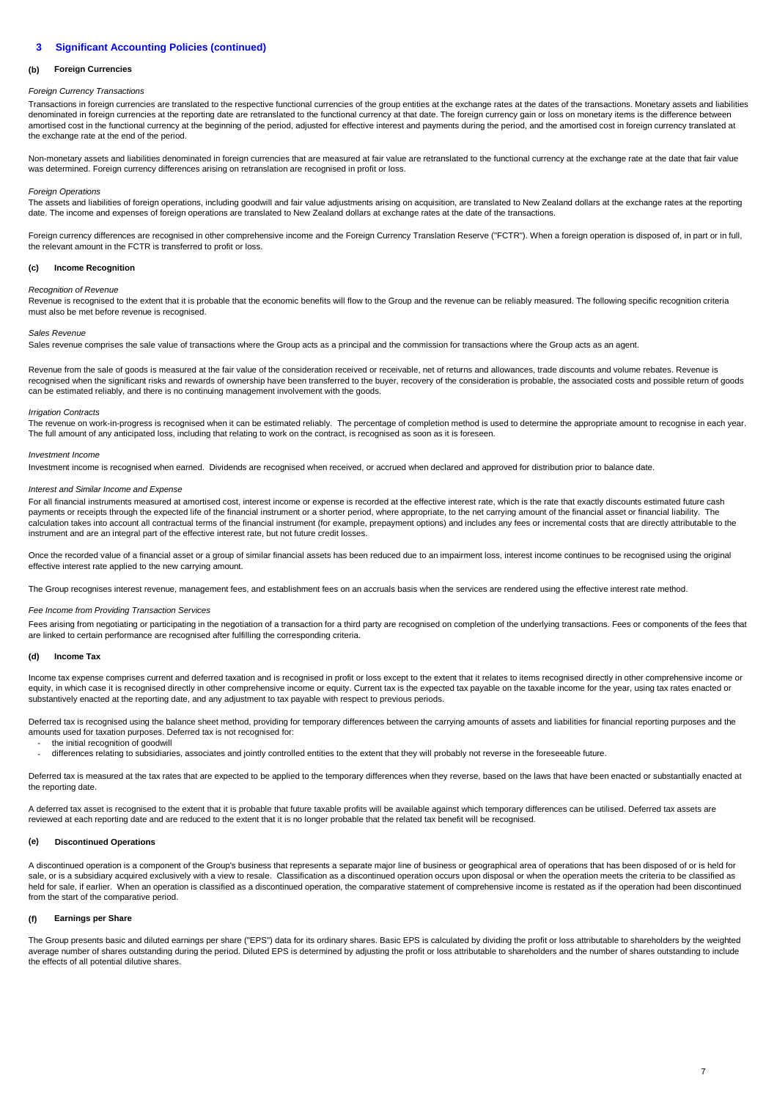#### **(b) Foreign Currencies**

## Foreign Currency Transactions

Transactions in foreign currencies are translated to the respective functional currencies of the group entities at the exchange rates at the dates of the transactions. Monetary assets and liabilities denominated in foreign currencies at the reporting date are retranslated to the functional currency at that date. The foreign currency gain or loss on monetary items is the difference between amortised cost in the functional currency at the beginning of the period, adjusted for effective interest and payments during the period, and the amortised cost in foreign currency translated at the exchange rate at the end of the period.

Non-monetary assets and liabilities denominated in foreign currencies that are measured at fair value are retranslated to the functional currency at the exchange rate at the date that fair value was determined. Foreign currency differences arising on retranslation are recognised in profit or loss.

## **Foreign Operations**

The assets and liabilities of foreign operations, including goodwill and fair value adjustments arising on acquisition, are translated to New Zealand dollars at the exchange rates at the reporting date. The income and expenses of foreign operations are translated to New Zealand dollars at exchange rates at the date of the transactions.

Foreign currency differences are recognised in other comprehensive income and the Foreign Currency Translation Reserve ("FCTR"). When a foreign operation is disposed of, in part or in full, the relevant amount in the FCTR is transferred to profit or loss.

#### **(c) Income Recognition**

## Recognition of Revenue

Revenue is recognised to the extent that it is probable that the economic benefits will flow to the Group and the revenue can be reliably measured. The following specific recognition criteria must also be met before revenue is recognised.

## Sales Revenue

Sales revenue comprises the sale value of transactions where the Group acts as a principal and the commission for transactions where the Group acts as an agent.

Revenue from the sale of goods is measured at the fair value of the consideration received or receivable, net of returns and allowances, trade discounts and volume rebates. Revenue is recognised when the significant risks and rewards of ownership have been transferred to the buyer, recovery of the consideration is probable, the associated costs and possible return of goods can be estimated reliably, and there is no continuing management involvement with the goods.

### Irrigation Contracts

mistive on work-in-progress is recognised when it can be estimated reliably. The percentage of completion method is used to determine the appropriate amount to recognise in each year. The full amount of any anticipated loss, including that relating to work on the contract, is recognised as soon as it is foreseen.

### Investment Income

Investment income is recognised when earned. Dividends are recognised when received, or accrued when declared and approved for distribution prior to balance date.

### Interest and Similar Income and Expense

For all financial instruments measured at amortised cost, interest income or expense is recorded at the effective interest rate, which is the rate that exactly discounts estimated future cash payments or receipts through the expected life of the financial instrument or a shorter period, where appropriate, to the net carrying amount of the financial asset or financial liability. The calculation takes into account all contractual terms of the financial instrument (for example, prepayment options) and includes any fees or incremental costs that are directly attributable to the instrument and are an integral part of the effective interest rate, but not future credit losses.

Once the recorded value of a financial asset or a group of similar financial assets has been reduced due to an impairment loss, interest income continues to be recognised using the original effective interest rate applied to the new carrying amount.

The Group recognises interest revenue, management fees, and establishment fees on an accruals basis when the services are rendered using the effective interest rate method.

## Fee Income from Providing Transaction Services

Fees arising from negotiating or participating in the negotiation of a transaction for a third party are recognised on completion of the underlying transactions. Fees or components of the fees that are linked to certain performance are recognised after fulfilling the corresponding criteria.

#### **(d) Income Tax**

-

Income tax expense comprises current and deferred taxation and is recognised in profit or loss except to the extent that it relates to items recognised directly in other comprehensive income or equity, in which case it is recognised directly in other comprehensive income or equity. Current tax is the expected tax payable on the taxable income for the year, using tax rates enacted or substantively enacted at the reporting date, and any adjustment to tax payable with respect to previous periods.

Deferred tax is recognised using the balance sheet method, providing for temporary differences between the carrying amounts of assets and liabilities for financial reporting purposes and the amounts used for taxation purposes. Deferred tax is not recognised for:

- the initial recognition of goodwill
	- differences relating to subsidiaries, associates and jointly controlled entities to the extent that they will probably not reverse in the foreseeable future.

Deferred tax is measured at the tax rates that are expected to be applied to the temporary differences when they reverse, based on the laws that have been enacted or substantially enacted at the reporting date.

A deferred tax asset is recognised to the extent that it is probable that future taxable profits will be available against which temporary differences can be utilised. Deferred tax assets are reviewed at each reporting date and are reduced to the extent that it is no longer probable that the related tax benefit will be recognised.

## **(e) Discontinued Operations**

A discontinued operation is a component of the Group's business that represents a separate major line of business or geographical area of operations that has been disposed of or is held for sale, or is a subsidiary acquired exclusively with a view to resale. Classification as a discontinued operation occurs upon disposal or when the operation meets the criteria to be classified as held for sale, if earlier. When an operation is classified as a discontinued operation, the comparative statement of comprehensive income is restated as if the operation had been discontinued from the start of the comparative period.

#### **(f) Earnings per Share**

The Group presents basic and diluted earnings per share ("EPS") data for its ordinary shares. Basic EPS is calculated by dividing the profit or loss attributable to shareholders by the weighted average number of shares outstanding during the period. Diluted EPS is determined by adjusting the profit or loss attributable to shareholders and the number of shares outstanding to include the effects of all potential dilutive shares.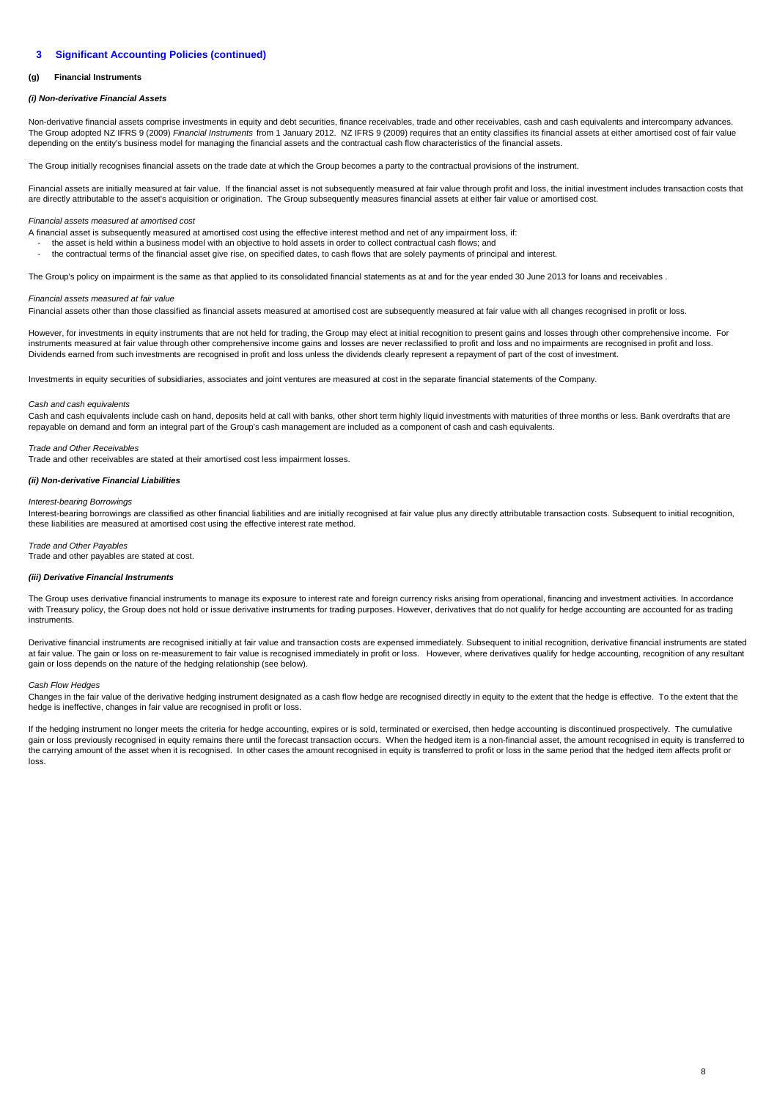#### **(g) Financial Instruments**

## **(i) Non-derivative Financial Assets**

Non-derivative financial assets comprise investments in equity and debt securities, finance receivables, trade and other receivables, cash and cash equivalents and intercompany advances. The Group adopted NZ IFRS 9 (2009) Financial Instruments from 1 January 2012. NZ IFRS 9 (2009) requires that an entity classifies its financial assets at either amortised cost of fair value depending on the entity's business model for managing the financial assets and the contractual cash flow characteristics of the financial assets.

The Group initially recognises financial assets on the trade date at which the Group becomes a party to the contractual provisions of the instrument.

Financial assets are initially measured at fair value. If the financial asset is not subsequently measured at fair value through profit and loss, the initial investment includes transaction costs that are directly attributable to the asset's acquisition or origination. The Group subsequently measures financial assets at either fair value or amortised cost.

## Financial assets measured at amortised cost

A financial asset is subsequently measured at amortised cost using the effective interest method and net of any impairment loss, if:

the asset is held within a business model with an objective to hold assets in order to collect contractual cash flows; and - the contractual terms of the financial asset give rise, on specified dates, to cash flows that are solely payments of principal and interest.

The Group's policy on impairment is the same as that applied to its consolidated financial statements as at and for the year ended 30 June 2013 for loans and receivables .

## Financial assets measured at fair value

Financial assets other than those classified as financial assets measured at amortised cost are subsequently measured at fair value with all changes recognised in profit or loss.

However, for investments in equity instruments that are not held for trading, the Group may elect at initial recognition to present gains and losses through other comprehensive income. For instruments measured at fair value through other comprehensive income gains and losses are never reclassified to profit and loss and no impairments are recognised in profit and loss. Dividends earned from such investments are recognised in profit and loss unless the dividends clearly represent a repayment of part of the cost of investment.

Investments in equity securities of subsidiaries, associates and joint ventures are measured at cost in the separate financial statements of the Company.

### Cash and cash equivalents

Cash and cash equivalents include cash on hand, deposits held at call with banks, other short term highly liquid investments with maturities of three months or less. Bank overdrafts that are repayable on demand and form an integral part of the Group's cash management are included as a component of cash and cash equivalents.

### Trade and Other Receivables

Trade and other receivables are stated at their amortised cost less impairment losses.

## **(ii) Non-derivative Financial Liabilities**

## Interest-bearing Borrowings

Interest-bearing borrowings are classified as other financial liabilities and are initially recognised at fair value plus any directly attributable transaction costs. Subsequent to initial recognition, these liabilities are measured at amortised cost using the effective interest rate method.

## Trade and Other Payables

Trade and other payables are stated at cost.

## **(iii) Derivative Financial Instruments**

The Group uses derivative financial instruments to manage its exposure to interest rate and foreign currency risks arising from operational, financing and investment activities. In accordance with Treasury policy, the Group does not hold or issue derivative instruments for trading purposes. However, derivatives that do not qualify for hedge accounting are accounted for as trading instruments.

Derivative financial instruments are recognised initially at fair value and transaction costs are expensed immediately. Subsequent to initial recognition, derivative financial instruments are stated at fair value. The gain or loss on re-measurement to fair value is recognised immediately in profit or loss. However, where derivatives qualify for hedge accounting, recognition of any resultant gain or loss depends on the nature of the hedging relationship (see below).

### Cash Flow Hedges

Changes in the fair value of the derivative hedging instrument designated as a cash flow hedge are recognised directly in equity to the extent that the hedge is effective. To the extent that the hedge is ineffective, changes in fair value are recognised in profit or loss.

If the hedging instrument no longer meets the criteria for hedge accounting, expires or is sold, terminated or exercised, then hedge accounting is discontinued prospectively. The cumulative gain or loss previously recognised in equity remains there until the forecast transaction occurs. When the hedged item is a non-financial asset, the amount recognised in equity is transferred to the carrying amount of the asset when it is recognised. In other cases the amount recognised in equity is transferred to profit or loss in the same period that the hedged item affects profit or loss.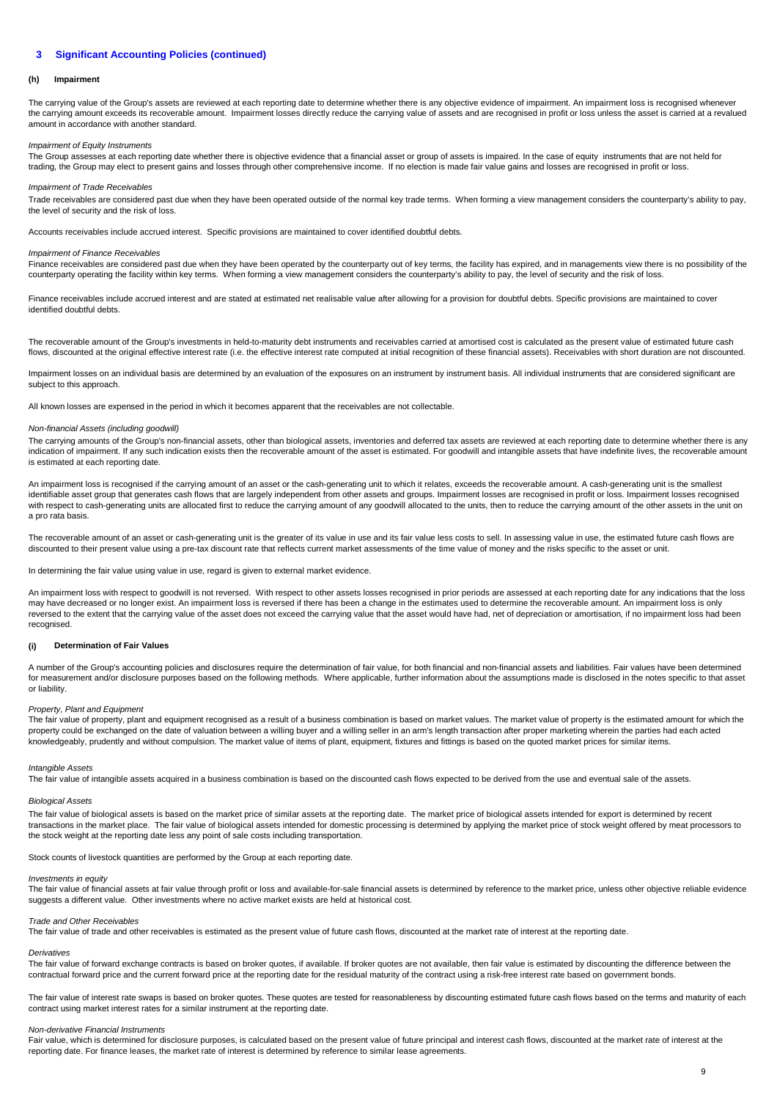#### **(h) Impairment**

The carrying value of the Group's assets are reviewed at each reporting date to determine whether there is any objective evidence of impairment. An impairment loss is recognised whenever the carrying amount exceeds its recoverable amount. Impairment losses directly reduce the carrying value of assets and are recognised in profit or loss unless the asset is carried at a revalued amount in accordance with another standard.

## Impairment of Equity Instruments

The Group assesses at each reporting date whether there is objective evidence that a financial asset or group of assets is impaired. In the case of equity instruments that are not held for trading, the Group may elect to present gains and losses through other comprehensive income. If no election is made fair value gains and losses are recognised in profit or loss.

### Impairment of Trade Receivables

Trade receivables are considered past due when they have been operated outside of the normal key trade terms. When forming a view management considers the counterparty's ability to pay, the level of security and the risk of loss.

Accounts receivables include accrued interest. Specific provisions are maintained to cover identified doubtful debts.

### Impairment of Finance Receivables

Finance receivables are considered past due when they have been operated by the counterparty out of key terms, the facility has expired, and in managements view there is no possibility of the counterparty operating the facility within key terms. When forming a view management considers the counterparty's ability to pay, the level of security and the risk of loss.

Finance receivables include accrued interest and are stated at estimated net realisable value after allowing for a provision for doubtful debts. Specific provisions are maintained to cover identified doubtful debts.

The recoverable amount of the Group's investments in held-to-maturity debt instruments and receivables carried at amortised cost is calculated as the present value of estimated future cash flows, discounted at the original effective interest rate (i.e. the effective interest rate computed at initial recognition of these financial assets). Receivables with short duration are not discounted.

Impairment losses on an individual basis are determined by an evaluation of the exposures on an instrument by instrument basis. All individual instruments that are considered significant are subject to this approach.

All known losses are expensed in the period in which it becomes apparent that the receivables are not collectable.

## Non-financial Assets (including goodwill)

The carrying amounts of the Group's non-financial assets, other than biological assets, inventories and deferred tax assets are reviewed at each reporting date to determine whether there is any indication of impairment. If any such indication exists then the recoverable amount of the asset is estimated. For goodwill and intangible assets that have indefinite lives, the recoverable amount is estimated at each reporting date.

An impairment loss is recognised if the carrying amount of an asset or the cash-generating unit to which it relates, exceeds the recoverable amount. A cash-generating unit is the smallest identifiable asset group that generates cash flows that are largely independent from other assets and groups. Impairment losses are recognised in profit or loss. Impairment losses recognised with respect to cash-generating units are allocated first to reduce the carrying amount of any goodwill allocated to the units, then to reduce the carrying amount of the other assets in the unit on a pro rata basis.

The recoverable amount of an asset or cash-generating unit is the greater of its value in use and its fair value less costs to sell. In assessing value in use, the estimated future cash flows are discounted to their present value using a pre-tax discount rate that reflects current market assessments of the time value of money and the risks specific to the asset or unit.

In determining the fair value using value in use, regard is given to external market evidence.

An impairment loss with respect to goodwill is not reversed. With respect to other assets losses recognised in prior periods are assessed at each reporting date for any indications that the loss may have decreased or no longer exist. An impairment loss is reversed if there has been a change in the estimates used to determine the recoverable amount. An impairment loss is only reversed to the extent that the carrying value of the asset does not exceed the carrying value that the asset would have had, net of depreciation or amortisation, if no impairment loss had been recognised.

#### **(i) Determination of Fair Values**

A number of the Group's accounting policies and disclosures require the determination of fair value, for both financial and non-financial assets and liabilities. Fair values have been determined for measurement and/or disclosure purposes based on the following methods. Where applicable, further information about the assumptions made is disclosed in the notes specific to that asset or liability.

### Property, Plant and Equipment

The fair value of property, plant and equipment recognised as a result of a business combination is based on market values. The market value of property is the estimated amount for which the property could be exchanged on the date of valuation between a willing buyer and a willing seller in an arm's length transaction after proper marketing wherein the parties had each acted knowledgeably, prudently and without compulsion. The market value of items of plant, equipment, fixtures and fittings is based on the quoted market prices for similar items.

## Intangible Assets

The fair value of intangible assets acquired in a business combination is based on the discounted cash flows expected to be derived from the use and eventual sale of the assets.

## Biological Assets

The fair value of biological assets is based on the market price of similar assets at the reporting date. The market price of biological assets intended for export is determined by recent transactions in the market place. The fair value of biological assets intended for domestic processing is determined by applying the market price of stock weight offered by meat processors to the stock weight at the reporting date less any point of sale costs including transportation.

Stock counts of livestock quantities are performed by the Group at each reporting date.

## Investments in equity

The fair value of financial assets at fair value through profit or loss and available-for-sale financial assets is determined by reference to the market price, unless other objective reliable evidence suggests a different value. Other investments where no active market exists are held at historical cost.

## Trade and Other Receivables

The fair value of trade and other receivables is estimated as the present value of future cash flows, discounted at the market rate of interest at the reporting date.

## **Derivatives**

The fair value of forward exchange contracts is based on broker quotes, if available. If broker quotes are not available, then fair value is estimated by discounting the difference between the contractual forward price and the current forward price at the reporting date for the residual maturity of the contract using a risk-free interest rate based on government bonds.

The fair value of interest rate swaps is based on broker quotes. These quotes are tested for reasonableness by discounting estimated future cash flows based on the terms and maturity of each contract using market interest rates for a similar instrument at the reporting date.

## Non-derivative Financial Instruments

Fair value, which is determined for disclosure purposes, is calculated based on the present value of future principal and interest cash flows, discounted at the market rate of interest at the reporting date. For finance leases, the market rate of interest is determined by reference to similar lease agreements.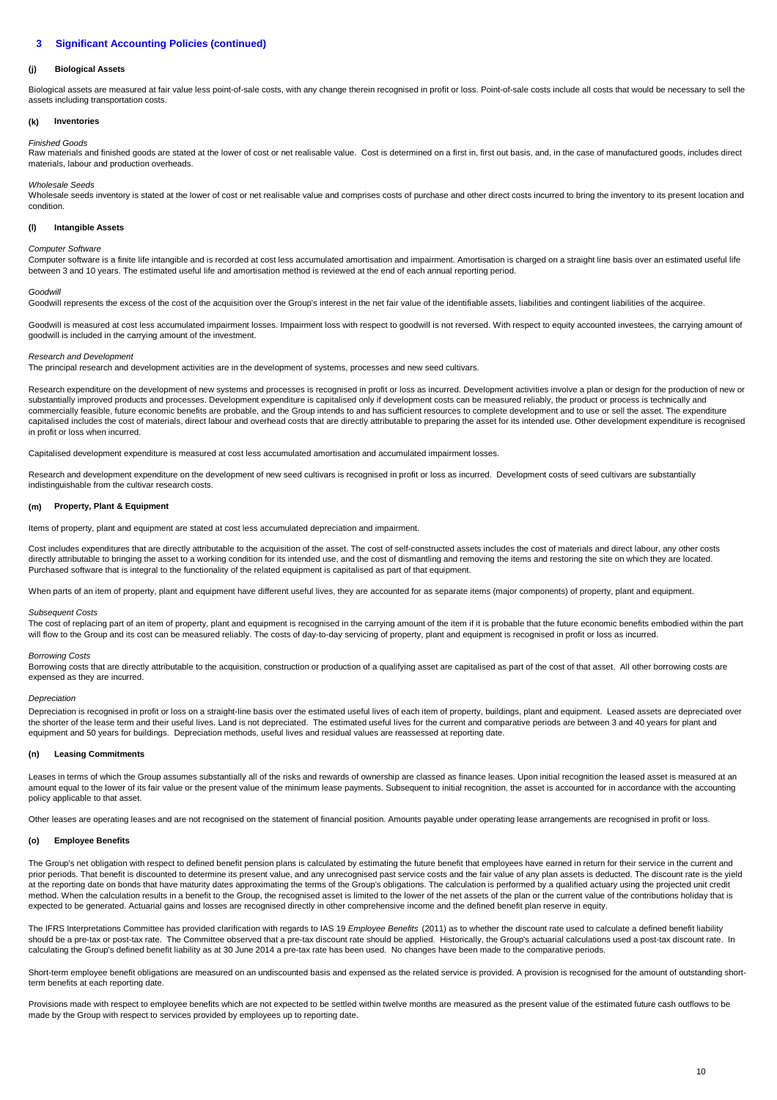## **(j) Biological Assets**

Biological assets are measured at fair value less point-of-sale costs, with any change therein recognised in profit or loss. Point-of-sale costs include all costs that would be necessary to sell the assets including transportation costs.

#### **(k) Inventories**

## Finished Goods

Raw materials and finished goods are stated at the lower of cost or net realisable value. Cost is determined on a first in, first out basis, and, in the case of manufactured goods, includes direct materials, labour and production overheads.

### Wholesale Seeds

Wholesale seeds inventory is stated at the lower of cost or net realisable value and comprises costs of purchase and other direct costs incurred to bring the inventory to its present location and condition.

#### **(l) Intangible Assets**

## Computer Software

Computer software is a finite life intangible and is recorded at cost less accumulated amortisation and impairment. Amortisation is charged on a straight line basis over an estimated useful life between 3 and 10 years. The estimated useful life and amortisation method is reviewed at the end of each annual reporting period.

### Goodwill

Goodwill represents the excess of the cost of the acquisition over the Group's interest in the net fair value of the identifiable assets, liabilities and contingent liabilities of the acquiree.

Goodwill is measured at cost less accumulated impairment losses. Impairment loss with respect to goodwill is not reversed. With respect to equity accounted investees, the carrying amount of goodwill is included in the carrying amount of the investment.

## Research and Development

The principal research and development activities are in the development of systems, processes and new seed cultivars.

Research expenditure on the development of new systems and processes is recognised in profit or loss as incurred. Development activities involve a plan or design for the production of new or substantially improved products and processes. Development expenditure is capitalised only if development costs can be measured reliably, the product or process is technically and commercially feasible, future economic benefits are probable, and the Group intends to and has sufficient resources to complete development and to use or sell the asset. The expenditure capitalised includes the cost of materials, direct labour and overhead costs that are directly attributable to preparing the asset for its intended use. Other development expenditure is recognised in profit or loss when incurred.

Capitalised development expenditure is measured at cost less accumulated amortisation and accumulated impairment losses.

Research and development expenditure on the development of new seed cultivars is recognised in profit or loss as incurred. Development costs of seed cultivars are substantially indistinguishable from the cultivar research costs.

### **(m) Property, Plant & Equipment**

Items of property, plant and equipment are stated at cost less accumulated depreciation and impairment.

Cost includes expenditures that are directly attributable to the acquisition of the asset. The cost of self-constructed assets includes the cost of materials and direct labour, any other costs directly attributable to bringing the asset to a working condition for its intended use, and the cost of dismantling and removing the items and restoring the site on which they are located. Purchased software that is integral to the functionality of the related equipment is capitalised as part of that equipment.

When parts of an item of property, plant and equipment have different useful lives, they are accounted for as separate items (major components) of property, plant and equipment.

### Subsequent Costs

The cost of replacing part of an item of property, plant and equipment is recognised in the carrying amount of the item if it is probable that the future economic benefits embodied within the part will flow to the Group and its cost can be measured reliably. The costs of day-to-day servicing of property, plant and equipment is recognised in profit or loss as incurred.

### Borrowing Costs

Borrowing costs that are directly attributable to the acquisition, construction or production of a qualifying asset are capitalised as part of the cost of that asset. All other borrowing costs are expensed as they are incurred.

## **Depreciation**

Depreciation is recognised in profit or loss on a straight-line basis over the estimated useful lives of each item of property, buildings, plant and equipment. Leased assets are depreciated over the shorter of the lease term and their useful lives. Land is not depreciated. The estimated useful lives for the current and comparative periods are between 3 and 40 years for plant and equipment and 50 years for buildings. Depreciation methods, useful lives and residual values are reassessed at reporting date.

#### **(n) Leasing Commitments**

Leases in terms of which the Group assumes substantially all of the risks and rewards of ownership are classed as finance leases. Upon initial recognition the leased asset is measured at an amount equal to the lower of its fair value or the present value of the minimum lease payments. Subsequent to initial recognition, the asset is accounted for in accordance with the accounting policy applicable to that asset.

Other leases are operating leases and are not recognised on the statement of financial position. Amounts payable under operating lease arrangements are recognised in profit or loss.

#### **(o) Employee Benefits**

The Group's net obligation with respect to defined benefit pension plans is calculated by estimating the future benefit that employees have earned in return for their service in the current and prior periods. That benefit is discounted to determine its present value, and any unrecognised past service costs and the fair value of any plan assets is deducted. The discount rate is the vield at the reporting date on bonds that have maturity dates approximating the terms of the Group's obligations. The calculation is performed by a qualified actuary using the projected unit credit at the reporting date on bonds method. When the calculation results in a benefit to the Group, the recognised asset is limited to the lower of the net assets of the plan or the current value of the contributions holiday that is expected to be generated. Actuarial gains and losses are recognised directly in other comprehensive income and the defined benefit plan reserve in equity.

The IFRS Interpretations Committee has provided clarification with regards to IAS 19 Employee Benefits (2011) as to whether the discount rate used to calculate a defined benefit liability should be a pre-tax or post-tax rate. The Committee observed that a pre-tax discount rate should be applied. Historically, the Group's actuarial calculations used a post-tax discount rate. In calculating the Group's defined benefit liability as at 30 June 2014 a pre-tax rate has been used. No changes have been made to the comparative periods.

Short-term employee benefit obligations are measured on an undiscounted basis and expensed as the related service is provided. A provision is recognised for the amount of outstanding shortterm benefits at each reporting date.

Provisions made with respect to employee benefits which are not expected to be settled within twelve months are measured as the present value of the estimated future cash outflows to be made by the Group with respect to services provided by employees up to reporting date.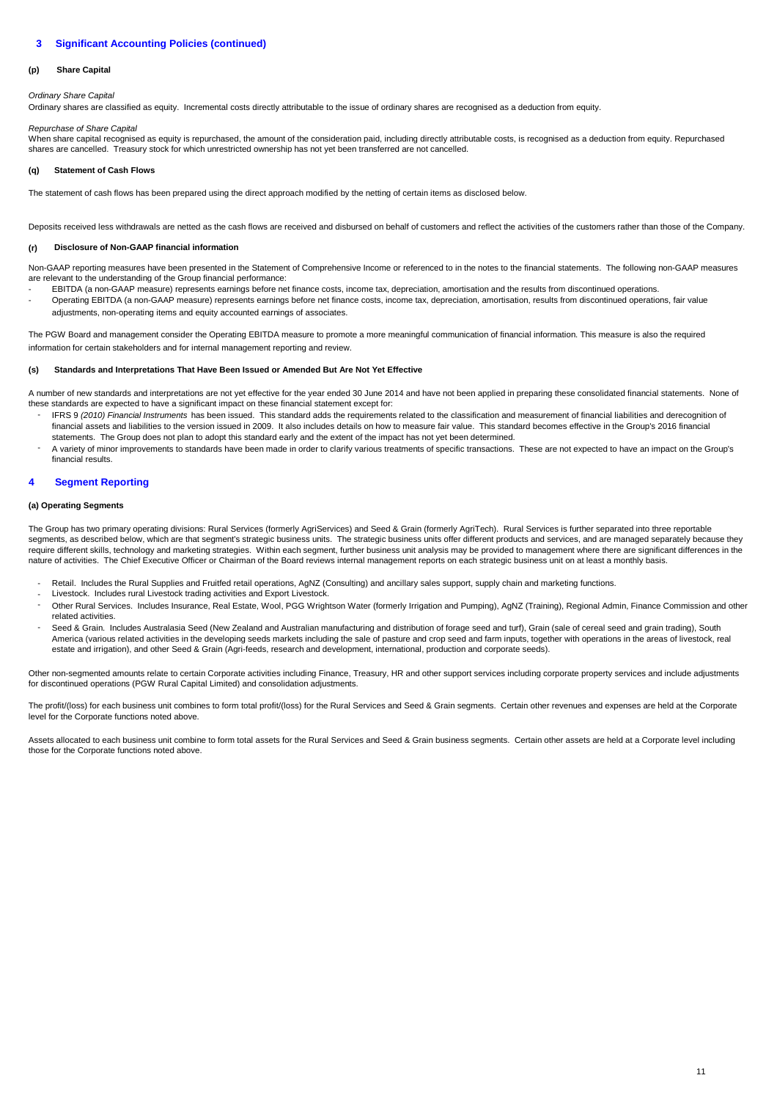#### **(p) Share Capital**

Ordinary Share Capital

Ordinary shares are classified as equity. Incremental costs directly attributable to the issue of ordinary shares are recognised as a deduction from equity.

## Repurchase of Share Capital

When share capital recognised as equity is repurchased, the amount of the consideration paid, including directly attributable costs, is recognised as a deduction from equity. Repurchased shares are cancelled. Treasury stock for which unrestricted ownership has not yet been transferred are not cancelled.

#### **(q) Statement of Cash Flows**

The statement of cash flows has been prepared using the direct approach modified by the netting of certain items as disclosed below.

Deposits received less withdrawals are netted as the cash flows are received and disbursed on behalf of customers and reflect the activities of the customers rather than those of the Company.

#### **(r) Disclosure of Non-GAAP financial information**

Non-GAAP reporting measures have been presented in the Statement of Comprehensive Income or referenced to in the notes to the financial statements. The following non-GAAP measures are relevant to the understanding of the Group financial performance:

- - EBITDA (a non-GAAP measure) represents earnings before net finance costs, income tax, depreciation, amortisation and the results from discontinued operations. Operating EBITDA (a non-GAAP measure) represents earnings before net finance costs, income tax, depreciation, amortisation, results from discontinued operations, fair value adjustments, non-operating items and equity accounted earnings of associates.

The PGW Board and management consider the Operating EBITDA measure to promote a more meaningful communication of financial information. This measure is also the required information for certain stakeholders and for internal management reporting and review.

#### **(s) Standards and Interpretations That Have Been Issued or Amended But Are Not Yet Effective**

A number of new standards and interpretations are not yet effective for the year ended 30 June 2014 and have not been applied in preparing these consolidated financial statements. None of these standards are expected to have a significant impact on these financial statement except for:

- IFRS 9 (2010) Financial Instruments has been issued. This standard adds the requirements related to the classification and measurement of financial liabilities and derecognition of financial assets and liabilities to the version issued in 2009. It also includes details on how to measure fair value. This standard becomes effective in the Group's 2016 financial statements. The Group does not plan to adopt this standard early and the extent of the impact has not yet been determined.
- A variety of minor improvements to standards have been made in order to clarify various treatments of specific transactions. These are not expected to have an impact on the Group's financial results.

#### **4 Segment Reporting**

## **(a) Operating Segments**

The Group has two primary operating divisions: Rural Services (formerly AgriServices) and Seed & Grain (formerly AgriTech). Rural Services is further separated into three reportable segments, as described below, which are that segment's strategic business units. The strategic business units offer different products and services, and are managed separately because they require different skills, technology and marketing strategies. Within each segment, further business unit analysis may be provided to management where there are significant differences in the nature of activities. The Chief Executive Officer or Chairman of the Board reviews internal management reports on each strategic business unit on at least a monthly basis.

- Retail. Includes the Rural Supplies and Fruitfed retail operations, AgNZ (Consulting) and ancillary sales support, supply chain and marketing functions.
- Livestock. Includes rural Livestock trading activities and Export Livestock.
- Other Rural Services. Includes Insurance, Real Estate, Wool, PGG Wrightson Water (formerly Irrigation and Pumping), AgNZ (Training), Regional Admin, Finance Commission and other related activities.
- Seed & Grain. Includes Australasia Seed (New Zealand and Australian manufacturing and distribution of forage seed and turf), Grain (sale of cereal seed and grain trading), South America (various related activities in the developing seeds markets including the sale of pasture and crop seed and farm inputs, together with operations in the areas of livestock, real estate and irrigation), and other Seed & Grain (Agri-feeds, research and development, international, production and corporate seeds).

Other non-segmented amounts relate to certain Corporate activities including Finance, Treasury, HR and other support services including corporate property services and include adjustments for discontinued operations (PGW Rural Capital Limited) and consolidation adjustments.

The profit/(loss) for each business unit combines to form total profit/(loss) for the Rural Services and Seed & Grain segments. Certain other revenues and expenses are held at the Corporate level for the Corporate functions noted above.

Assets allocated to each business unit combine to form total assets for the Rural Services and Seed & Grain business segments. Certain other assets are held at a Corporate level including those for the Corporate functions noted above.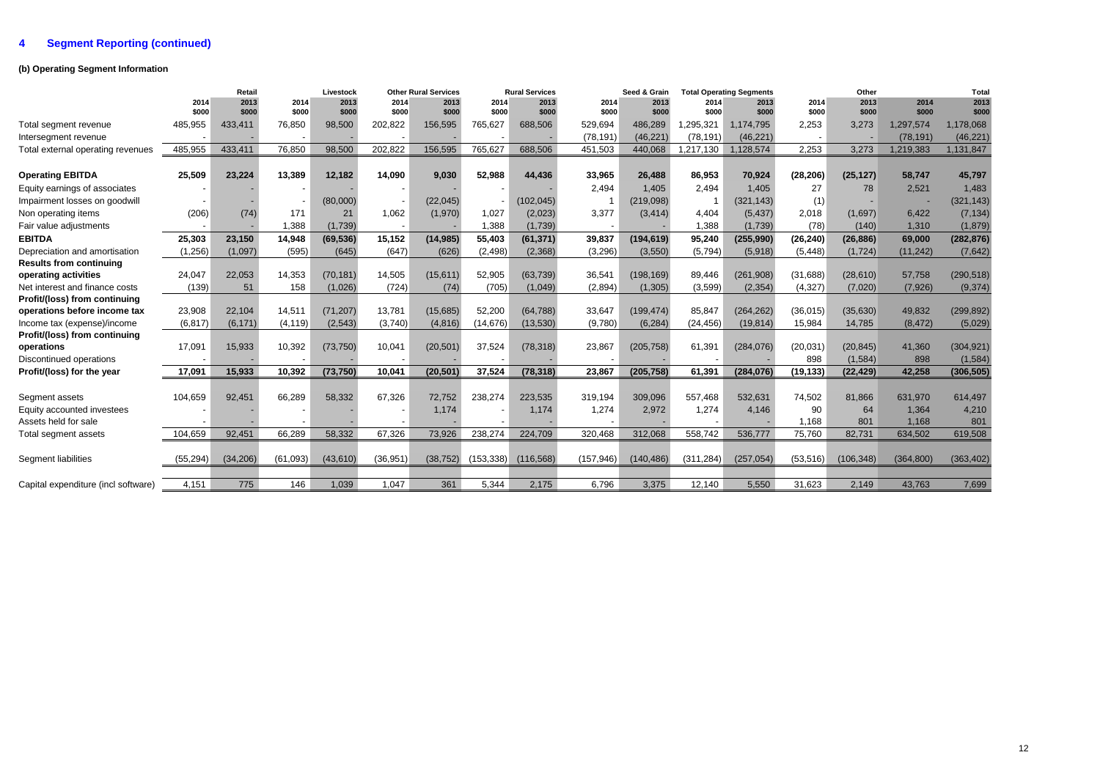## **4 Segment Reporting (continued)**

## **(b) Operating Segment Information**

|                                     |           | Retail    |          | Livestock |           | <b>Other Rural Services</b> |            | <b>Rural Services</b> |            | Seed & Grain |            | <b>Total Operating Segments</b> |           | Other      |            | Total      |
|-------------------------------------|-----------|-----------|----------|-----------|-----------|-----------------------------|------------|-----------------------|------------|--------------|------------|---------------------------------|-----------|------------|------------|------------|
|                                     | 2014      | 2013      | 2014     | 2013      | 2014      | 2013                        | 2014       | 2013                  | 2014       | 2013         | 2014       | 2013                            | 2014      | 2013       | 2014       | 2013       |
|                                     | \$000     | \$000     | \$000    | \$000     | \$000     | \$000                       | \$000      | \$000                 | \$000      | \$000        | \$000      | \$000                           | \$000     | \$000      | \$000      | \$000      |
| Total segment revenue               | 485,955   | 433,411   | 76,850   | 98,500    | 202,822   | 156,595                     | 765,627    | 688,506               | 529,694    | 486,289      | 1,295,321  | 1,174,795                       | 2,253     | 3,273      | 1,297,574  | 1,178,068  |
| Intersegment revenue                |           |           |          |           |           |                             |            |                       | (78, 191)  | (46, 221)    | (78, 191)  | (46, 221)                       | 2.253     |            | (78, 191)  | (46, 221)  |
| Total external operating revenues   | 485,955   | 433,411   | 76,850   | 98,500    | 202,822   | 156,595                     | 765,627    | 688,506               | 451,503    | 440,068      | 1,217,130  | 1,128,574                       |           | 3.273      | 1,219,383  | 1,131,847  |
| <b>Operating EBITDA</b>             | 25,509    | 23.224    | 13,389   | 12,182    | 14,090    | 9,030                       | 52,988     | 44,436                | 33,965     | 26,488       | 86,953     | 70,924                          | (28, 206) | (25, 127)  | 58,747     | 45,797     |
| Equity earnings of associates       |           |           |          |           |           |                             |            |                       | 2,494      | 1.405        | 2,494      | 1,405                           | 27        | 78         | 2,521      | 1,483      |
| Impairment losses on goodwill       |           |           |          | (80,000)  |           | (22, 045)                   |            | (102, 045)            |            | (219,098)    | -1         | (321, 143)                      | (1)       |            |            | (321, 143) |
| Non operating items                 | (206)     | (74)      | 171      | 21        | 1.062     | (1,970)                     | 1,027      | (2,023)               | 3,377      | (3, 414)     | 4.404      | (5, 437)                        | 2.018     | (1.697)    | 6.422      | (7, 134)   |
| Fair value adjustments              |           |           | 1,388    | (1,739)   |           |                             | 1,388      | (1,739)               |            |              | 1,388      | (1,739)                         | (78)      | (140)      | 1,310      | (1,879)    |
| <b>EBITDA</b>                       | 25,303    | 23,150    | 14,948   | (69, 536) | 15,152    | (14, 985)                   | 55,403     | (61, 371)             | 39,837     | (194, 619)   | 95,240     | (255,990)                       | (26, 240) | (26, 886)  | 69,000     | (282, 876) |
| Depreciation and amortisation       | (1, 256)  | (1,097)   | (595)    | (645)     | (647)     | (626)                       | (2, 498)   | (2,368)               | (3,296)    | (3,550)      | (5,794)    | (5,918)                         | (5, 448)  | (1, 724)   | (11, 242)  | (7,642)    |
| <b>Results from continuing</b>      |           |           |          |           |           |                             |            |                       |            |              |            |                                 |           |            |            |            |
| operating activities                | 24,047    | 22,053    | 14,353   | (70, 181) | 14,505    | (15, 611)                   | 52,905     | (63, 739)             | 36,541     | (198, 169)   | 89,446     | (261, 908)                      | (31, 688) | (28, 610)  | 57,758     | (290, 518) |
| Net interest and finance costs      | (139)     | 51        | 158      | (1,026)   | (724)     | (74)                        | (705)      | (1,049)               | (2,894)    | (1, 305)     | (3,599)    | (2, 354)                        | (4, 327)  | (7,020)    | (7,926)    | (9, 374)   |
| Profit/(loss) from continuing       |           |           |          |           |           |                             |            |                       |            |              |            |                                 |           |            |            |            |
| operations before income tax        | 23,908    | 22,104    | 14,511   | (71, 207) | 13,781    | (15,685)                    | 52,200     | (64, 788)             | 33,647     | (199, 474)   | 85,847     | (264, 262)                      | (36, 015) | (35,630)   | 49,832     | (299, 892) |
| Income tax (expense)/income         | (6, 817)  | (6, 171)  | (4, 119) | (2, 543)  | (3,740)   | (4, 816)                    | (14, 676)  | (13,530)              | (9,780)    | (6, 284)     | (24, 456)  | (19, 814)                       | 15,984    | 14,785     | (8, 472)   | (5,029)    |
| Profit/(loss) from continuing       |           |           |          |           |           |                             |            |                       |            |              |            |                                 |           |            |            |            |
| operations                          | 17,091    | 15,933    | 10,392   | (73, 750) | 10,041    | (20, 501)                   | 37,524     | (78, 318)             | 23,867     | (205, 758)   | 61,391     | (284, 076)                      | (20, 031) | (20, 845)  | 41,360     | (304, 921) |
| Discontinued operations             |           |           |          |           |           |                             |            |                       |            |              |            |                                 | 898       | (1,584)    | 898        | (1, 584)   |
| Profit/(loss) for the year          | 17,091    | 15,933    | 10,392   | (73, 750) | 10.041    | (20, 501)                   | 37,524     | (78, 318)             | 23,867     | (205, 758)   | 61,391     | (284, 076)                      | (19, 133) | (22, 429)  | 42.258     | (306, 505) |
|                                     |           |           |          |           |           |                             |            |                       |            |              |            |                                 |           |            |            |            |
| Segment assets                      | 104,659   | 92,451    | 66,289   | 58,332    | 67,326    | 72,752                      | 238,274    | 223,535               | 319,194    | 309,096      | 557,468    | 532,631                         | 74,502    | 81,866     | 631,970    | 614,497    |
| Equity accounted investees          |           |           |          |           |           | 1,174                       |            | 1,174                 | 1,274      | 2,972        | 1,274      | 4,146                           | 90        | 64         | 1,364      | 4,210      |
| Assets held for sale                |           |           |          |           |           |                             |            |                       |            |              |            |                                 | 1.168     | 801        | 1,168      | 801        |
| Total segment assets                | 104,659   | 92,451    | 66,289   | 58,332    | 67,326    | 73,926                      | 238,274    | 224,709               | 320,468    | 312,068      | 558,742    | 536,777                         | 75,760    | 82,731     | 634,502    | 619,508    |
| Segment liabilities                 | (55, 294) | (34, 206) | (61,093) | (43, 610) | (36, 951) | (38, 752)                   | (153, 338) | (116, 568)            | (157, 946) | (140, 486)   | (311, 284) | (257, 054)                      | (53, 516) | (106, 348) | (364, 800) | (363, 402) |
|                                     |           |           |          |           |           |                             |            |                       |            |              |            |                                 |           |            |            |            |
| Capital expenditure (incl software) | 4,151     | 775       | 146      | 1,039     | 1,047     | 361                         | 5,344      | 2,175                 | 6,796      | 3,375        | 12,140     | 5,550                           | 31,623    | 2,149      | 43,763     | 7,699      |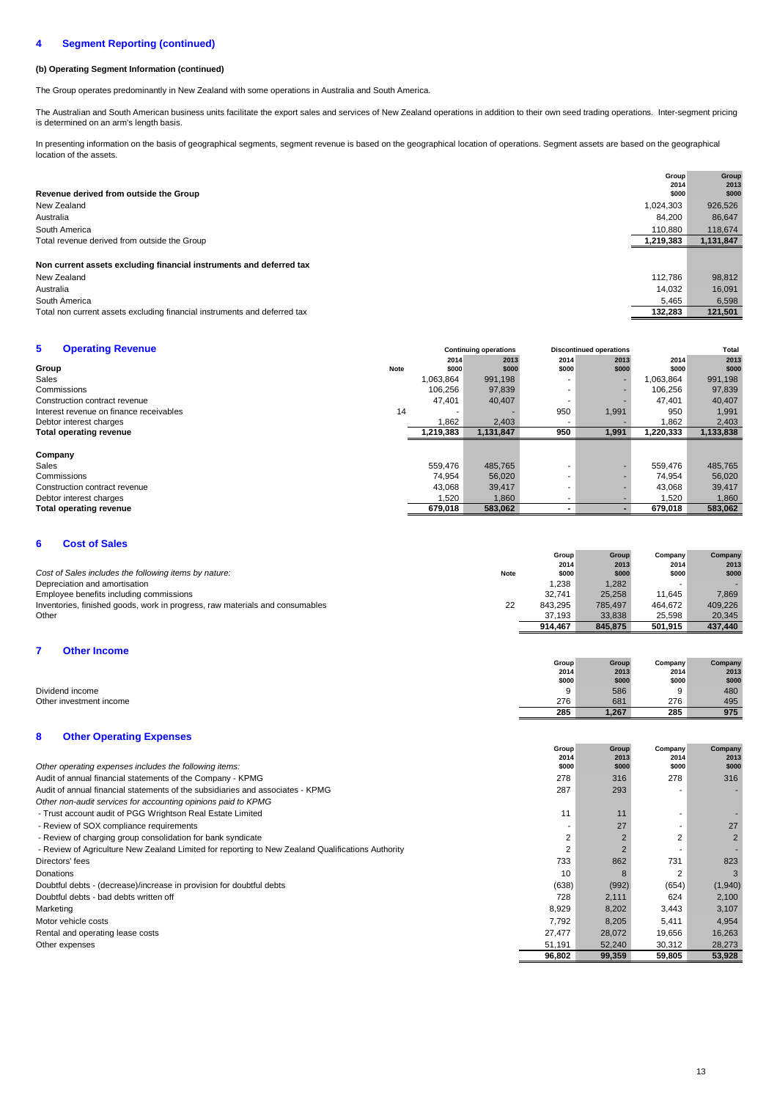#### **4 Segment Reporting (continued)**

## **(b) Operating Segment Information (continued)**

The Group operates predominantly in New Zealand with some operations in Australia and South America.

The Australian and South American business units facilitate the export sales and services of New Zealand operations in addition to their own seed trading operations. Inter-segment pricing is determined on an arm's length basis.

In presenting information on the basis of geographical segments, segment revenue is based on the geographical location of operations. Segment assets are based on the geographical location of the assets.

| Revenue derived from outside the Group                                    | Group<br>2014<br>\$000 | Group<br>2013<br>\$000 |
|---------------------------------------------------------------------------|------------------------|------------------------|
| New Zealand                                                               | 1,024,303              | 926,526                |
| Australia                                                                 | 84.200                 | 86,647                 |
| South America                                                             | 110,880                | 118,674                |
| Total revenue derived from outside the Group                              | 1,219,383              | 1,131,847              |
| Non current assets excluding financial instruments and deferred tax       |                        |                        |
| New Zealand                                                               | 112,786                | 98,812                 |
| Australia                                                                 | 14,032                 | 16,091                 |
| South America                                                             | 5.465                  | 6,598                  |
| Total non current assets excluding financial instruments and deferred tax | 132,283                | 121,501                |

| 5.<br><b>Operating Revenue</b>          |      |           | <b>Continuing operations</b> |       | <b>Discontinued operations</b> | Total     |           |  |
|-----------------------------------------|------|-----------|------------------------------|-------|--------------------------------|-----------|-----------|--|
|                                         |      | 2014      | 2013                         | 2014  | 2013                           | 2014      | 2013      |  |
| Group                                   | Note | \$000     | \$000                        | \$000 | \$000                          | \$000     | \$000     |  |
| Sales                                   |      | 1,063,864 | 991,198                      |       |                                | 1,063,864 | 991,198   |  |
| Commissions                             |      | 106,256   | 97,839                       | ۰.    |                                | 106.256   | 97,839    |  |
| Construction contract revenue           |      | 47,401    | 40,407                       | ۰.    |                                | 47.401    | 40,407    |  |
| Interest revenue on finance receivables | 14   |           |                              | 950   | 1,991                          | 950       | 1,991     |  |
| Debtor interest charges                 |      | 1.862     | 2,403                        | ۰     |                                | .862      | 2,403     |  |
| <b>Total operating revenue</b>          |      | 1,219,383 | 1,131,847                    | 950   | 1,991                          | 1,220,333 | 1,133,838 |  |
|                                         |      |           |                              |       |                                |           |           |  |
| Company                                 |      |           |                              |       |                                |           |           |  |
| Sales                                   |      | 559,476   | 485,765                      | ۰.    |                                | 559.476   | 485,765   |  |
| Commissions                             |      | 74,954    | 56,020                       |       |                                | 74,954    | 56,020    |  |
| Construction contract revenue           |      | 43,068    | 39,417                       |       |                                | 43.068    | 39,417    |  |
| Debtor interest charges                 |      | 1,520     | 1,860                        | ۰     |                                | 1,520     | 1,860     |  |
| <b>Total operating revenue</b>          |      | 679,018   | 583,062                      |       |                                | 679.018   | 583,062   |  |

## **6 Cost of Sales**

|                                                                              |             | Group   | Group   | Company | Company |
|------------------------------------------------------------------------------|-------------|---------|---------|---------|---------|
|                                                                              |             | 2014    | 2013    | 2014    | 2013    |
| Cost of Sales includes the following items by nature:                        | <b>Note</b> | \$000   | \$000   | \$000   | \$000   |
| Depreciation and amortisation                                                |             | 1.238   | 1.282   | -       |         |
| Employee benefits including commissions                                      |             | 32.741  | 25.258  | 11.645  | 7.869   |
| Inventories, finished goods, work in progress, raw materials and consumables | 22          | 843.295 | 785.497 | 464.672 | 409.226 |
| Other                                                                        |             | 37.193  | 33.838  | 25.598  | 20.345  |
|                                                                              |             | 914.467 | 845.875 | 501.915 | 437.440 |

## **7 Other Income**

|                         | Group | Group | Company | Company |
|-------------------------|-------|-------|---------|---------|
|                         | 2014  | 2013  | 2014    | 2013    |
|                         | \$000 | \$000 | \$000   | \$000   |
| Dividend income         | 9     | 586   | 9       | 480     |
| Other investment income | 276   | 681   | 276     | 495     |
|                         | 285   | 1,267 | 285     | 975     |

## **8 Other Operating Expenses**

|                                                                                                   | Group<br>2014            | Group<br>2013  | Company<br>2014 | Company<br>2013 |
|---------------------------------------------------------------------------------------------------|--------------------------|----------------|-----------------|-----------------|
| Other operating expenses includes the following items:                                            | \$000                    | \$000          | \$000           | \$000           |
| Audit of annual financial statements of the Company - KPMG                                        | 278                      | 316            | 278             | 316             |
| Audit of annual financial statements of the subsidiaries and associates - KPMG                    | 287                      | 293            |                 | -               |
| Other non-audit services for accounting opinions paid to KPMG                                     |                          |                |                 |                 |
| - Trust account audit of PGG Wrightson Real Estate Limited                                        | 11                       | 11             |                 |                 |
| - Review of SOX compliance requirements                                                           | $\overline{\phantom{a}}$ | 27             |                 | 27              |
| - Review of charging group consolidation for bank syndicate                                       | 2                        | $\overline{2}$ | 2               | $\overline{2}$  |
| - Review of Agriculture New Zealand Limited for reporting to New Zealand Qualifications Authority | 2                        | $\overline{2}$ |                 |                 |
| Directors' fees                                                                                   | 733                      | 862            | 731             | 823             |
| Donations                                                                                         | 10                       | 8              | 2               | 3               |
| Doubtful debts - (decrease)/increase in provision for doubtful debts                              | (638)                    | (992)          | (654)           | (1,940)         |
| Doubtful debts - bad debts written off                                                            | 728                      | 2,111          | 624             | 2,100           |
| Marketing                                                                                         | 8,929                    | 8,202          | 3,443           | 3,107           |
| Motor vehicle costs                                                                               | 7.792                    | 8,205          | 5.411           | 4,954           |
| Rental and operating lease costs                                                                  | 27,477                   | 28,072         | 19,656          | 16,263          |
| Other expenses                                                                                    | 51,191                   | 52,240         | 30,312          | 28.273          |
|                                                                                                   | 96,802                   | 99,359         | 59,805          | 53,928          |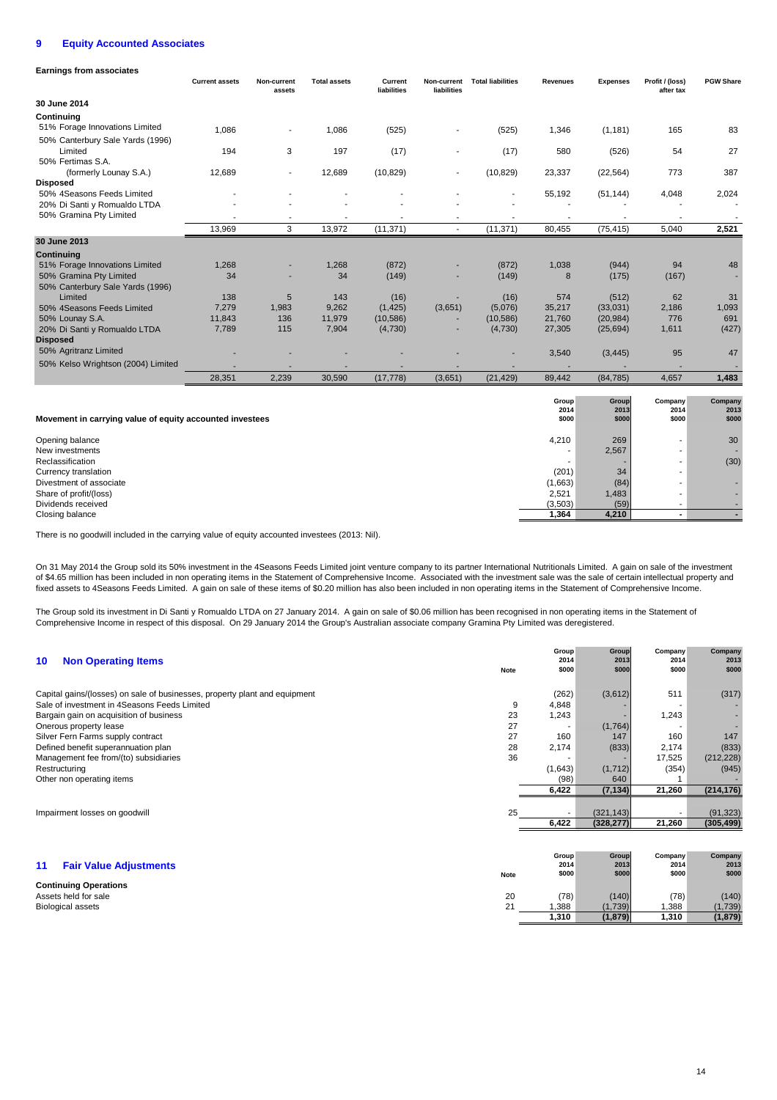#### **9 Equity Accounted Associates**

| <b>Earnings from associates</b>                          |                       |                       |                     |                        |                            |                          |                 |                   |                              |                  |
|----------------------------------------------------------|-----------------------|-----------------------|---------------------|------------------------|----------------------------|--------------------------|-----------------|-------------------|------------------------------|------------------|
|                                                          | <b>Current assets</b> | Non-current<br>assets | <b>Total assets</b> | Current<br>liabilities | Non-current<br>liabilities | <b>Total liabilities</b> | <b>Revenues</b> | <b>Expenses</b>   | Profit / (loss)<br>after tax | <b>PGW Share</b> |
| 30 June 2014                                             |                       |                       |                     |                        |                            |                          |                 |                   |                              |                  |
| Continuing                                               |                       |                       |                     |                        |                            |                          |                 |                   |                              |                  |
| 51% Forage Innovations Limited                           | 1,086                 | Ĭ.                    | 1.086               | (525)                  |                            | (525)                    | 1,346           | (1, 181)          | 165                          | 83               |
| 50% Canterbury Sale Yards (1996)                         |                       |                       |                     |                        |                            |                          |                 |                   |                              |                  |
| Limited                                                  | 194                   | 3                     | 197                 | (17)                   |                            | (17)                     | 580             | (526)             | 54                           | 27               |
| 50% Fertimas S.A.                                        |                       |                       |                     |                        |                            |                          |                 |                   |                              |                  |
| (formerly Lounay S.A.)                                   | 12,689                | ٠                     | 12,689              | (10, 829)              |                            | (10, 829)                | 23,337          | (22, 564)         | 773                          | 387              |
| <b>Disposed</b>                                          |                       |                       |                     |                        |                            |                          |                 |                   |                              |                  |
| 50% 4Seasons Feeds Limited                               |                       |                       |                     |                        |                            |                          | 55,192          | (51, 144)         | 4,048                        | 2,024            |
| 20% Di Santi y Romualdo LTDA                             |                       |                       |                     |                        |                            |                          |                 |                   |                              |                  |
| 50% Gramina Pty Limited                                  |                       |                       |                     |                        |                            |                          |                 |                   |                              |                  |
|                                                          | 13.969                | 3                     | 13.972              | (11, 371)              | $\overline{a}$             | (11, 371)                | 80,455          | (75, 415)         | 5.040                        | 2,521            |
| 30 June 2013                                             |                       |                       |                     |                        |                            |                          |                 |                   |                              |                  |
| Continuing                                               |                       |                       |                     |                        |                            |                          |                 |                   |                              |                  |
| 51% Forage Innovations Limited                           | 1,268                 |                       | 1,268               | (872)                  |                            | (872)                    | 1,038           | (944)             | 94                           | 48               |
| 50% Gramina Pty Limited                                  | 34                    |                       | 34                  | (149)                  |                            | (149)                    | 8               | (175)             | (167)                        |                  |
| 50% Canterbury Sale Yards (1996)<br>Limited              |                       |                       |                     |                        |                            |                          |                 |                   |                              |                  |
| 50% 4Seasons Feeds Limited                               | 138<br>7,279          | 5<br>1,983            | 143<br>9,262        | (16)<br>(1, 425)       | (3,651)                    | (16)<br>(5,076)          | 574<br>35,217   | (512)<br>(33,031) | 62<br>2,186                  | 31<br>1,093      |
| 50% Lounay S.A.                                          | 11,843                | 136                   | 11,979              | (10, 586)              |                            | (10, 586)                | 21,760          | (20, 984)         | 776                          | 691              |
| 20% Di Santi y Romualdo LTDA                             | 7,789                 | 115                   | 7,904               | (4,730)                |                            | (4,730)                  | 27,305          | (25, 694)         | 1,611                        | (427)            |
| <b>Disposed</b>                                          |                       |                       |                     |                        |                            |                          |                 |                   |                              |                  |
| 50% Agritranz Limited                                    |                       |                       |                     |                        |                            |                          | 3,540           | (3, 445)          | 95                           | 47               |
| 50% Kelso Wrightson (2004) Limited                       |                       |                       |                     |                        |                            |                          |                 |                   |                              |                  |
|                                                          | 28,351                | 2,239                 | 30,590              | (17, 778)              | (3,651)                    | (21, 429)                | 89,442          | (84, 785)         | 4,657                        | 1,483            |
|                                                          |                       |                       |                     |                        |                            |                          |                 |                   |                              |                  |
|                                                          |                       |                       |                     |                        |                            |                          | Group           | Group             | Company                      | Company          |
|                                                          |                       |                       |                     |                        |                            |                          | 2014            | 2013              | 2014                         | 2013             |
| Movement in carrying value of equity accounted investees |                       |                       |                     |                        |                            |                          | \$000           | \$000             | \$000                        | \$000            |
| Opening balance                                          |                       |                       |                     |                        |                            |                          | 4,210           | 269               |                              | 30               |
| New investments                                          |                       |                       |                     |                        |                            |                          |                 | 2,567             |                              |                  |
| Reclassification                                         |                       |                       |                     |                        |                            |                          |                 |                   | $\overline{\phantom{a}}$     | (30)             |
| Currency translation                                     |                       |                       |                     |                        |                            |                          | (201)           | 34                |                              |                  |
| Divestment of associate                                  |                       |                       |                     |                        |                            |                          | (1,663)         | (84)              |                              |                  |
| Share of profit/(loss)                                   |                       |                       |                     |                        |                            |                          | 2,521           | 1,483             |                              |                  |
| Dividends received                                       |                       |                       |                     |                        |                            |                          | (3,503)         | (59)              | $\overline{\phantom{a}}$     |                  |
| Closing balance                                          |                       |                       |                     |                        |                            |                          | 1,364           | 4.210             | $\sim$                       |                  |

There is no goodwill included in the carrying value of equity accounted investees (2013: Nil).

On 31 May 2014 the Group sold its 50% investment in the 4Seasons Feeds Limited joint venture company to its partner International Nutritionals Limited. A gain on sale of the investment of \$4.65 million has been included in non operating items in the Statement of Comprehensive Income. Associated with the investment sale was the sale of certain intellectual property and fixed assets to 4Seasons Feeds Limited. A gain on sale of these items of \$0.20 million has also been included in non operating items in the Statement of Comprehensive Income.

The Group sold its investment in Di Santi y Romualdo LTDA on 27 January 2014. A gain on sale of \$0.06 million has been recognised in non operating items in the Statement of Comprehensive Income in respect of this disposal. On 29 January 2014 the Group's Australian associate company Gramina Pty Limited was deregistered.

| <b>Non Operating Items</b><br>10                                           | <b>Note</b> | Group<br>2014<br>\$000   | <b>Group</b><br>2013<br>\$000 | Company<br>2014<br>\$000 | Company<br>2013<br>\$000 |
|----------------------------------------------------------------------------|-------------|--------------------------|-------------------------------|--------------------------|--------------------------|
| Capital gains/(losses) on sale of businesses, property plant and equipment |             | (262)                    | (3,612)                       | 511                      | (317)                    |
| Sale of investment in 4Seasons Feeds Limited                               | 9           | 4,848                    |                               |                          |                          |
| Bargain gain on acquisition of business                                    | 23          | 1,243                    |                               | 1,243                    |                          |
| Onerous property lease                                                     | 27          | $\overline{\phantom{a}}$ | (1,764)                       |                          |                          |
| Silver Fern Farms supply contract                                          | 27          | 160                      | 147                           | 160                      | 147                      |
| Defined benefit superannuation plan                                        | 28          | 2,174                    | (833)                         | 2,174                    | (833)                    |
| Management fee from/(to) subsidiaries                                      | 36          |                          |                               | 17,525                   | (212, 228)               |
| Restructuring                                                              |             | (1,643)                  | (1, 712)                      | (354)                    | (945)                    |
| Other non operating items                                                  |             | (98)                     | 640                           |                          |                          |
|                                                                            |             | 6,422                    | (7, 134)                      | 21,260                   | (214, 176)               |
|                                                                            |             |                          |                               |                          |                          |
| Impairment losses on goodwill                                              | 25          | $\sim$                   | (321, 143)                    |                          | (91, 323)                |
|                                                                            |             | 6,422                    | (328, 277)                    | 21,260                   | (305, 499)               |
|                                                                            |             |                          |                               |                          |                          |
|                                                                            |             | Group                    | Group                         | Company                  | Company                  |
| 11<br><b>Fair Value Adjustments</b>                                        |             | 2014                     | 2013                          | 2014                     | 2013                     |
|                                                                            | <b>Note</b> | \$000                    | \$000                         | \$000                    | \$000                    |
| <b>Continuing Operations</b>                                               |             |                          |                               |                          |                          |
| Assets held for sale                                                       | 20          | (78)                     | (140)                         | (78)                     | (140)                    |
| <b>Biological assets</b>                                                   | 21          | 1,388                    | (1,739)                       | 1,388                    | (1,739)                  |
|                                                                            |             | 1,310                    | (1,879)                       | 1,310                    | (1, 879)                 |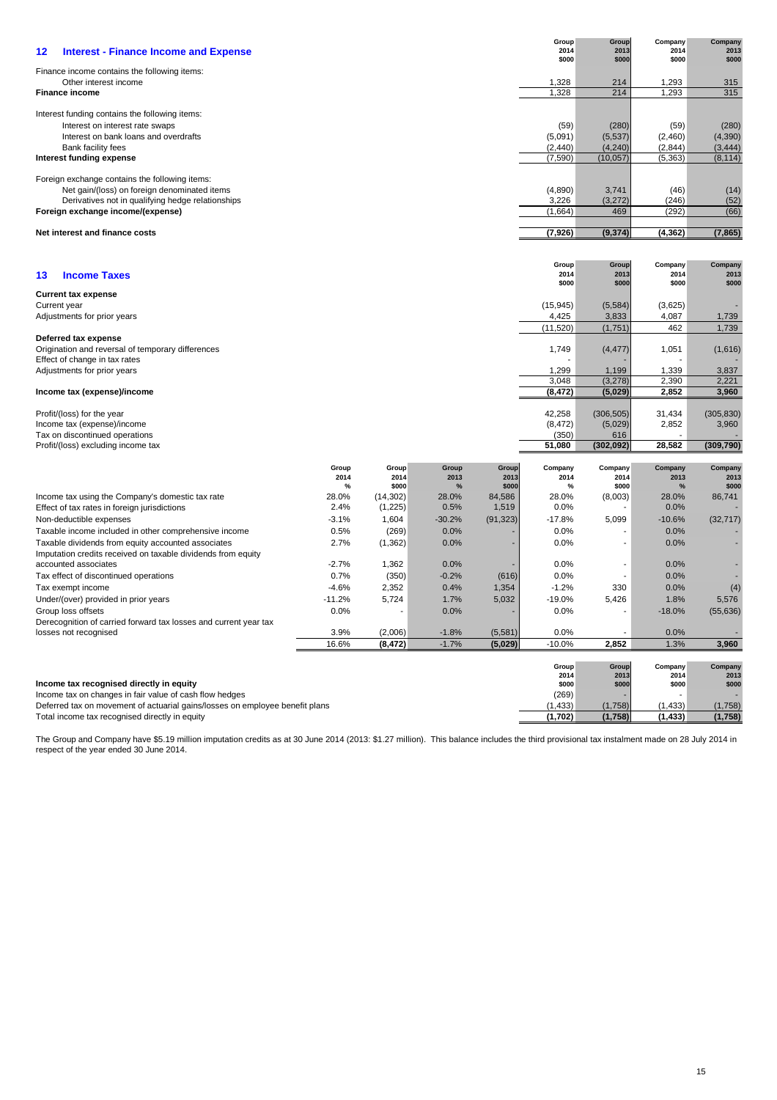| 12<br><b>Interest - Finance Income and Expense</b>                                                                                      |                  |                  |                  |                    | Group<br>2014<br>\$000 | Group<br>2013<br>\$000 | Company<br>2014<br>\$000 | Company<br>2013<br>\$000 |
|-----------------------------------------------------------------------------------------------------------------------------------------|------------------|------------------|------------------|--------------------|------------------------|------------------------|--------------------------|--------------------------|
| Finance income contains the following items:                                                                                            |                  |                  |                  |                    |                        |                        |                          |                          |
| Other interest income<br><b>Finance income</b>                                                                                          |                  |                  |                  |                    | 1,328<br>1,328         | 214<br>214             | 1,293<br>1,293           | 315<br>315               |
| Interest funding contains the following items:                                                                                          |                  |                  |                  |                    |                        |                        |                          |                          |
| Interest on interest rate swaps                                                                                                         |                  |                  |                  |                    | (59)                   | (280)                  | (59)                     | (280)                    |
| Interest on bank loans and overdrafts                                                                                                   |                  |                  |                  |                    | (5,091)                | (5,537)                | (2,460)                  | (4,390)                  |
| Bank facility fees<br>Interest funding expense                                                                                          |                  |                  |                  |                    | (2, 440)<br>(7, 590)   | (4, 240)<br>(10, 057)  | (2,844)<br>(5, 363)      | (3, 444)<br>(8, 114)     |
| Foreign exchange contains the following items:                                                                                          |                  |                  |                  |                    |                        |                        |                          |                          |
| Net gain/(loss) on foreign denominated items                                                                                            |                  |                  |                  |                    | (4,890)                | 3,741                  | (46)                     | (14)                     |
| Derivatives not in qualifying hedge relationships                                                                                       |                  |                  |                  |                    | 3,226                  | (3,272)                | (246)                    | (52)                     |
| Foreign exchange income/(expense)                                                                                                       |                  |                  |                  |                    | (1,664)                | 469                    | (292)                    | (66)                     |
| Net interest and finance costs                                                                                                          |                  |                  |                  |                    | (7, 926)               | (9, 374)               | (4, 362)                 | (7, 865)                 |
|                                                                                                                                         |                  |                  |                  |                    |                        |                        |                          |                          |
|                                                                                                                                         |                  |                  |                  |                    | Group<br>2014          | Group<br>2013          | Company<br>2014          | Company<br>2013          |
| <b>Income Taxes</b><br>13                                                                                                               |                  |                  |                  |                    | \$000                  | \$000                  | \$000                    | \$000                    |
| <b>Current tax expense</b>                                                                                                              |                  |                  |                  |                    | (15, 945)              |                        |                          |                          |
| Current year<br>Adjustments for prior years                                                                                             |                  |                  |                  |                    | 4,425                  | (5, 584)<br>3,833      | (3,625)<br>4,087         | 1,739                    |
|                                                                                                                                         |                  |                  |                  |                    | (11,520)               | (1,751)                | 462                      | 1,739                    |
| Deferred tax expense<br>Origination and reversal of temporary differences                                                               |                  |                  |                  |                    | 1,749                  | (4, 477)               | 1,051                    | (1,616)                  |
| Effect of change in tax rates                                                                                                           |                  |                  |                  |                    |                        |                        |                          |                          |
| Adjustments for prior years                                                                                                             |                  |                  |                  |                    | 1,299<br>3,048         | 1,199<br>(3,278)       | 1,339<br>2,390           | 3,837<br>2,221           |
| Income tax (expense)/income                                                                                                             |                  |                  |                  |                    | (8, 472)               | (5,029)                | 2,852                    | 3,960                    |
| Profit/(loss) for the year                                                                                                              |                  |                  |                  |                    | 42,258                 | (306, 505)             | 31,434                   | (305, 830)               |
| Income tax (expense)/income                                                                                                             |                  |                  |                  |                    | (8, 472)               | (5,029)                | 2,852                    | 3,960                    |
| Tax on discontinued operations<br>Profit/(loss) excluding income tax                                                                    |                  |                  |                  |                    | (350)<br>51,080        | 616<br>(302, 092)      | 28,582                   | (309, 790)               |
|                                                                                                                                         |                  |                  |                  |                    |                        |                        |                          |                          |
|                                                                                                                                         | Group<br>2014    | Group<br>2014    | Group<br>2013    | Group<br>2013      | Company<br>2014        | Company<br>2014        | Company<br>2013          | Company<br>2013          |
|                                                                                                                                         | %                | \$000            | %                | \$000              | %                      | \$000                  | %                        | \$000                    |
| Income tax using the Company's domestic tax rate                                                                                        | 28.0%            | (14, 302)        | 28.0%            | 84,586             | 28.0%                  | (8,003)                | 28.0%                    | 86,741                   |
| Effect of tax rates in foreign jurisdictions<br>Non-deductible expenses                                                                 | 2.4%<br>$-3.1%$  | (1,225)<br>1,604 | 0.5%<br>$-30.2%$ | 1,519<br>(91, 323) | 0.0%<br>$-17.8%$       | 5,099                  | 0.0%<br>$-10.6%$         | (32, 717)                |
| Taxable income included in other comprehensive income                                                                                   | 0.5%             | (269)            | 0.0%             |                    | 0.0%                   | $\overline{a}$         | 0.0%                     |                          |
| Taxable dividends from equity accounted associates                                                                                      | 2.7%             | (1, 362)         | 0.0%             |                    | 0.0%                   | $\overline{a}$         | 0.0%                     |                          |
| Imputation credits received on taxable dividends from equity                                                                            |                  |                  |                  |                    |                        |                        |                          |                          |
| accounted associates                                                                                                                    | $-2.7%$          | 1,362            | 0.0%             |                    | 0.0%                   | ۰                      | 0.0%                     |                          |
| Tax effect of discontinued operations                                                                                                   | 0.7%             | (350)            | $-0.2%$          | (616)              | 0.0%                   |                        | 0.0%                     |                          |
| Tax exempt income                                                                                                                       | $-4.6%$          | 2,352            | 0.4%             | 1,354              | $-1.2%$                | 330                    | 0.0%                     | (4)                      |
| Under/(over) provided in prior years                                                                                                    | $-11.2%$<br>0.0% | 5,724            | 1.7%<br>0.0%     | 5,032              | $-19.0%$<br>0.0%       | 5,426                  | 1.8%                     | 5,576                    |
| Group loss offsets<br>Derecognition of carried forward tax losses and current year tax                                                  |                  | $\overline{a}$   |                  |                    |                        |                        | $-18.0%$                 | (55, 636)                |
| losses not recognised                                                                                                                   | 3.9%             | (2,006)          | $-1.8%$          | (5,581)            | 0.0%                   | $\blacksquare$         | 0.0%                     | ٠                        |
|                                                                                                                                         | 16.6%            | (8, 472)         | $-1.7%$          | (5,029)            | $-10.0%$               | 2,852                  | 1.3%                     | 3,960                    |
|                                                                                                                                         |                  |                  |                  |                    | Group                  | Group                  | Company                  | Company                  |
|                                                                                                                                         |                  |                  |                  |                    | 2014                   | 2013                   | 2014                     | 2013                     |
| Income tax recognised directly in equity                                                                                                |                  |                  |                  |                    | \$000                  | \$000                  | \$000                    | \$000                    |
| Income tax on changes in fair value of cash flow hedges<br>Deferred tax on movement of actuarial gains/losses on employee benefit plans |                  |                  |                  |                    | (269)<br>(1, 433)      | (1,758)                | (1, 433)                 | (1,758)                  |
| Total income tax recognised directly in equity                                                                                          |                  |                  |                  |                    | (1,702)                | (1,758)                | (1, 433)                 | (1,758)                  |
|                                                                                                                                         |                  |                  |                  |                    |                        |                        |                          |                          |

The Group and Company have \$5.19 million imputation credits as at 30 June 2014 (2013: \$1.27 million). This balance includes the third provisional tax instalment made on 28 July 2014 in respect of the year ended 30 June 2014.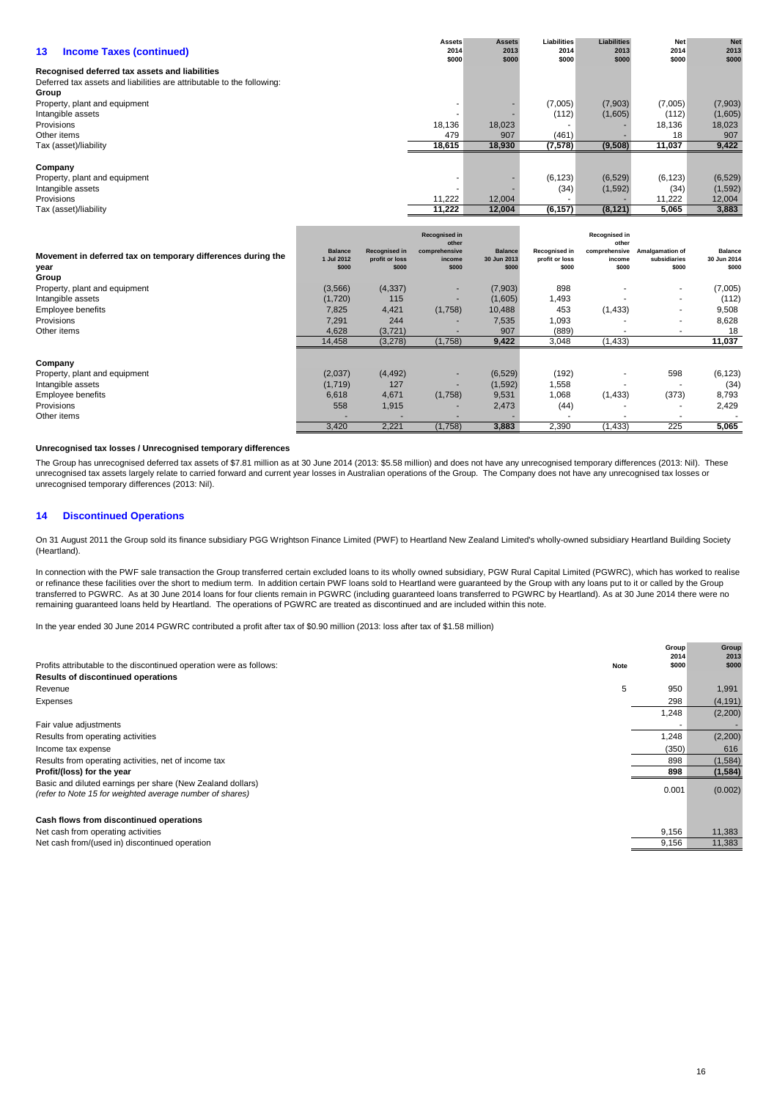|                                                                        | <b>Assets</b> | <b>Assets</b> | Liabilities | <b>Liabilities</b> | <b>Net</b> | <b>Net</b> |
|------------------------------------------------------------------------|---------------|---------------|-------------|--------------------|------------|------------|
| 13<br><b>Income Taxes (continued)</b>                                  | 2014          | 2013          | 2014        | 2013               | 2014       | 2013       |
|                                                                        | \$000         | \$000         | \$000       | \$000              | \$000      | \$000      |
| Recognised deferred tax assets and liabilities                         |               |               |             |                    |            |            |
| Deferred tax assets and liabilities are attributable to the following: |               |               |             |                    |            |            |
| Group                                                                  |               |               |             |                    |            |            |
| Property, plant and equipment                                          |               |               | (7,005)     | (7,903)            | (7,005)    | (7,903)    |
| Intangible assets                                                      |               |               | (112)       | (1,605)            | (112)      | (1,605)    |
| <b>Provisions</b>                                                      | 18,136        | 18,023        |             |                    | 18,136     | 18,023     |
| Other items                                                            | 479           | 907           | (461)       |                    | 18         | 907        |
| Tax (asset)/liability                                                  | 18,615        | 18,930        | (7,578)     | (9,508)            | 11,037     | 9,422      |
|                                                                        |               |               |             |                    |            |            |
| Company                                                                |               |               |             |                    |            |            |
| Property, plant and equipment                                          |               |               | (6, 123)    | (6, 529)           | (6, 123)   | (6, 529)   |
| Intangible assets                                                      |               |               | (34)        | (1,592)            | (34)       | (1, 592)   |
| Provisions                                                             | 11,222        | 12,004        |             |                    | 11,222     | 12,004     |
| Tax (asset)/liability                                                  | 11,222        | 12,004        | (6, 157)    | (8, 121)           | 5,065      | 3,883      |

| Movement in deferred tax on temporary differences during the<br>year<br>Group | <b>Balance</b><br>1 Jul 2012<br>\$000 | <b>Recognised in</b><br>profit or loss<br>\$000 | <b>Recognised in</b><br>other<br>comprehensive<br>income<br>\$000 | <b>Balance</b><br>30 Jun 2013<br>\$000 | Recognised in<br>profit or loss<br>\$000 | Recognised in<br>other<br>comprehensive<br>income<br>\$000 | Amalgamation of<br>subsidiaries<br>\$000 | <b>Balance</b><br>30 Jun 2014<br>\$000 |
|-------------------------------------------------------------------------------|---------------------------------------|-------------------------------------------------|-------------------------------------------------------------------|----------------------------------------|------------------------------------------|------------------------------------------------------------|------------------------------------------|----------------------------------------|
| Property, plant and equipment                                                 | (3,566)                               | (4, 337)                                        | $\overline{\phantom{a}}$                                          | (7,903)                                | 898                                      |                                                            | ٠                                        | (7,005)                                |
| Intangible assets                                                             | (1,720)                               | 115                                             | -                                                                 | (1,605)                                | 1,493                                    |                                                            | ۰                                        | (112)                                  |
| Employee benefits                                                             | 7,825                                 | 4,421                                           | (1,758)                                                           | 10,488                                 | 453                                      | (1, 433)                                                   | ٠                                        | 9,508                                  |
| Provisions                                                                    | 7,291                                 | 244                                             |                                                                   | 7,535                                  | 1,093                                    |                                                            | ۰                                        | 8,628                                  |
| Other items                                                                   | 4,628                                 | (3, 721)                                        |                                                                   | 907                                    | (889)                                    |                                                            | ۰                                        | 18                                     |
|                                                                               | 14,458                                | (3,278)                                         | (1,758)                                                           | 9,422                                  | 3,048                                    | (1, 433)                                                   |                                          | 11,037                                 |
| Company                                                                       |                                       |                                                 |                                                                   |                                        |                                          |                                                            |                                          |                                        |
| Property, plant and equipment                                                 | (2,037)                               | (4, 492)                                        |                                                                   | (6, 529)                               | (192)                                    |                                                            | 598                                      | (6, 123)                               |
| Intangible assets                                                             | (1,719)                               | 127                                             |                                                                   | (1,592)                                | 1,558                                    |                                                            |                                          | (34)                                   |
| Employee benefits                                                             | 6,618                                 | 4,671                                           | (1,758)                                                           | 9,531                                  | 1,068                                    | (1, 433)                                                   | (373)                                    | 8,793                                  |
| Provisions                                                                    | 558                                   | 1,915                                           | $\overline{\phantom{a}}$                                          | 2,473                                  | (44)                                     |                                                            | $\overline{\phantom{a}}$                 | 2,429                                  |
| Other items                                                                   |                                       |                                                 |                                                                   |                                        | ۰.                                       |                                                            |                                          |                                        |
|                                                                               | 3,420                                 | 2,221                                           | (1,758)                                                           | 3,883                                  | 2,390                                    | (1, 433)                                                   | 225                                      | 5,065                                  |

## **Unrecognised tax losses / Unrecognised temporary differences**

The Group has unrecognised deferred tax assets of \$7.81 million as at 30 June 2014 (2013: \$5.58 million) and does not have any unrecognised temporary differences (2013: Nil). These unrecognised tax assets largely relate to carried forward and current year losses in Australian operations of the Group. The Company does not have any unrecognised tax losses or unrecognised temporary differences (2013: Nil).

## **14 Discontinued Operations**

On 31 August 2011 the Group sold its finance subsidiary PGG Wrightson Finance Limited (PWF) to Heartland New Zealand Limited's wholly-owned subsidiary Heartland Building Society (Heartland).

In connection with the PWF sale transaction the Group transferred certain excluded loans to its wholly owned subsidiary, PGW Rural Capital Limited (PGWRC), which has worked to realise or refinance these facilities over the short to medium term. In addition certain PWF loans sold to Heartland were guaranteed by the Group with any loans put to it or called by the Group transferred to PGWRC. As at 30 June 2014 loans for four clients remain in PGWRC (including guaranteed loans transferred to PGWRC by Heartland). As at 30 June 2014 there were no remaining guaranteed loans held by Heartland. The operations of PGWRC are treated as discontinued and are included within this note.

In the year ended 30 June 2014 PGWRC contributed a profit after tax of \$0.90 million (2013: loss after tax of \$1.58 million)

| Profits attributable to the discontinued operation were as follows:                                                    | <b>Note</b> | Group<br>2014<br>\$000 | Group<br>2013<br>\$000 |
|------------------------------------------------------------------------------------------------------------------------|-------------|------------------------|------------------------|
| <b>Results of discontinued operations</b>                                                                              |             |                        |                        |
| Revenue                                                                                                                | 5           | 950                    | 1,991                  |
| Expenses                                                                                                               |             | 298                    | (4, 191)               |
|                                                                                                                        |             | 1,248                  | (2,200)                |
| Fair value adjustments                                                                                                 |             |                        |                        |
| Results from operating activities                                                                                      |             | 1,248                  | (2,200)                |
| Income tax expense                                                                                                     |             | (350)                  | 616                    |
| Results from operating activities, net of income tax                                                                   |             | 898                    | (1, 584)               |
| Profit/(loss) for the year                                                                                             |             | 898                    | (1, 584)               |
| Basic and diluted earnings per share (New Zealand dollars)<br>(refer to Note 15 for weighted average number of shares) |             | 0.001                  | (0.002)                |
| Cash flows from discontinued operations                                                                                |             |                        |                        |
| Net cash from operating activities                                                                                     |             | 9,156                  | 11,383                 |
| Net cash from/(used in) discontinued operation                                                                         |             | 9,156                  | 11.383                 |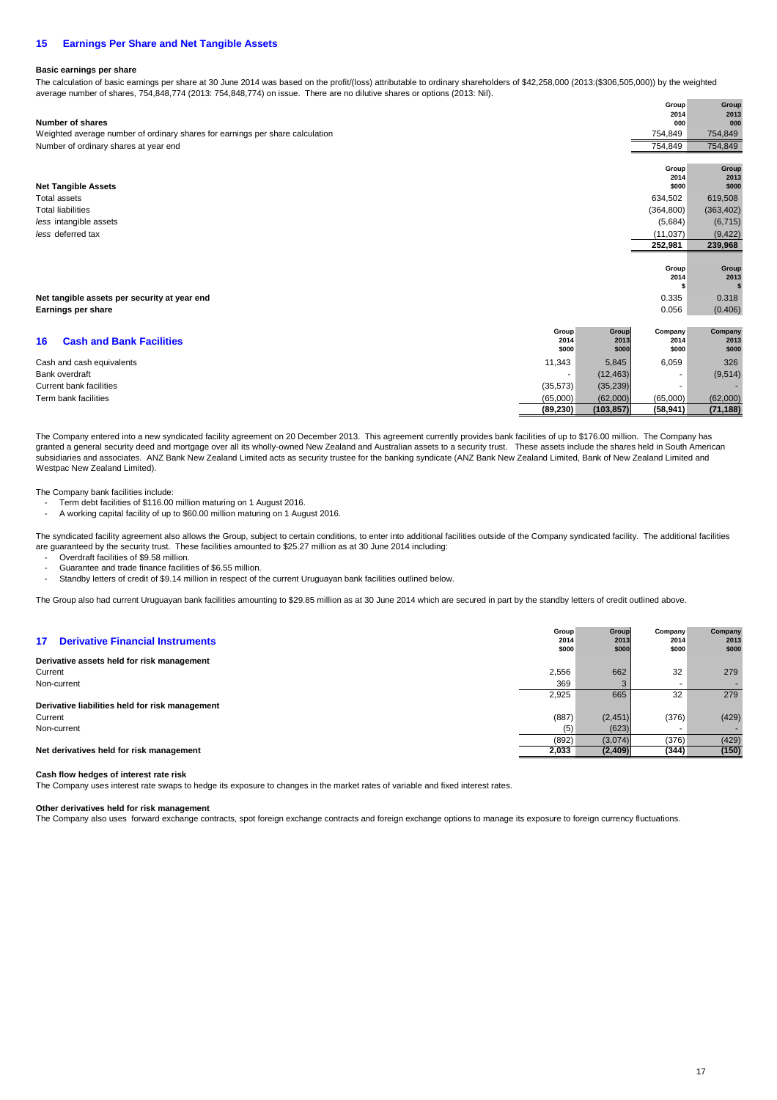## **15 Earnings Per Share and Net Tangible Assets**

## **Basic earnings per share**

The calculation of basic earnings per share at 30 June 2014 was based on the profit/(loss) attributable to ordinary shareholders of \$42,258,000 (2013:(\$306,505,000)) by the weighted average number of shares, 754,848,774 (2013: 754,848,774) on issue. There are no dilutive shares or options (2013: Nil).

| Number of shares                                                              |                          |            | Group<br>2014<br>000 | Group<br>2013<br>000 |
|-------------------------------------------------------------------------------|--------------------------|------------|----------------------|----------------------|
| Weighted average number of ordinary shares for earnings per share calculation |                          |            | 754,849              | 754,849              |
| Number of ordinary shares at year end                                         |                          |            | 754,849              | 754,849              |
|                                                                               |                          |            | Group                | Group                |
|                                                                               |                          |            | 2014                 | 2013                 |
| <b>Net Tangible Assets</b>                                                    |                          |            | \$000                | \$000                |
| <b>Total assets</b>                                                           |                          |            | 634,502              | 619,508              |
| <b>Total liabilities</b>                                                      |                          |            | (364, 800)           | (363, 402)           |
| less intangible assets                                                        |                          |            | (5,684)              | (6, 715)             |
| less deferred tax                                                             |                          |            | (11, 037)            | (9, 422)             |
|                                                                               |                          |            | 252,981              | 239,968              |
|                                                                               |                          |            |                      |                      |
|                                                                               |                          |            | Group<br>2014        | Group<br>2013        |
|                                                                               |                          |            |                      |                      |
| Net tangible assets per security at year end                                  |                          |            | 0.335                | 0.318                |
| Earnings per share                                                            |                          |            | 0.056                | (0.406)              |
|                                                                               |                          |            |                      |                      |
|                                                                               | Group                    | Group      | Company              | Company              |
| <b>Cash and Bank Facilities</b><br>16                                         | 2014                     | 2013       | 2014                 | 2013                 |
|                                                                               | \$000                    | \$000      | \$000                | \$000                |
| Cash and cash equivalents                                                     | 11,343                   | 5,845      | 6,059                | 326                  |
| Bank overdraft                                                                | $\overline{\phantom{a}}$ | (12, 463)  | ۰                    | (9, 514)             |
| <b>Current bank facilities</b>                                                | (35, 573)                | (35, 239)  |                      |                      |
| Term bank facilities                                                          | (65,000)                 | (62,000)   | (65,000)             | (62,000)             |
|                                                                               | (89, 230)                | (103, 857) | (58, 941)            | (71, 188)            |

The Company entered into a new syndicated facility agreement on 20 December 2013. This agreement currently provides bank facilities of up to \$176.00 million. The Company has granted a general security deed and mortgage over all its wholly-owned New Zealand and Australian assets to a security trust. These assets include the shares held in South American subsidiaries and associates. ANZ Bank New Zealand Limited acts as security trustee for the banking syndicate (ANZ Bank New Zealand Limited, Bank of New Zealand Limited and Westpac New Zealand Limited).

The Company bank facilities include:

- Term debt facilities of \$116.00 million maturing on 1 August 2016.
- A working capital facility of up to \$60.00 million maturing on 1 August 2016.

The syndicated facility agreement also allows the Group, subject to certain conditions, to enter into additional facilities outside of the Company syndicated facility. The additional facilities are guaranteed by the security trust. These facilities amounted to \$25.27 million as at 30 June 2014 including:

- Overdraft facilities of \$9.58 million.

- Guarantee and trade finance facilities of \$6.55 million.
- Standby letters of credit of \$9.14 million in respect of the current Uruguayan bank facilities outlined below.

The Group also had current Uruguayan bank facilities amounting to \$29.85 million as at 30 June 2014 which are secured in part by the standby letters of credit outlined above.

| <b>Derivative Financial Instruments</b><br>17 <sup>1</sup> | Group<br>2014<br>\$000 | Group<br>2013<br>\$000 | Company<br>2014<br>\$000 | Company<br>2013<br>\$000 |
|------------------------------------------------------------|------------------------|------------------------|--------------------------|--------------------------|
| Derivative assets held for risk management                 |                        |                        |                          |                          |
| Current                                                    | 2,556                  | 662                    | 32                       | 279                      |
| Non-current                                                | 369                    |                        |                          |                          |
|                                                            | 2.925                  | 665                    | 32                       | 279                      |
| Derivative liabilities held for risk management            |                        |                        |                          |                          |
| Current                                                    | (887)                  | (2, 451)               | (376)                    | (429)                    |
| Non-current                                                | (5)                    | (623)                  | $\sim$                   |                          |
|                                                            | (892)                  | (3,074)                | (376)                    | (429)                    |
| Net derivatives held for risk management                   | 2,033                  | (2,409)                | (344)                    | (150)                    |
|                                                            |                        |                        |                          |                          |

## **Cash flow hedges of interest rate risk**

The Company uses interest rate swaps to hedge its exposure to changes in the market rates of variable and fixed interest rates.

## **Other derivatives held for risk management**

The Company also uses forward exchange contracts, spot foreign exchange contracts and foreign exchange options to manage its exposure to foreign currency fluctuations.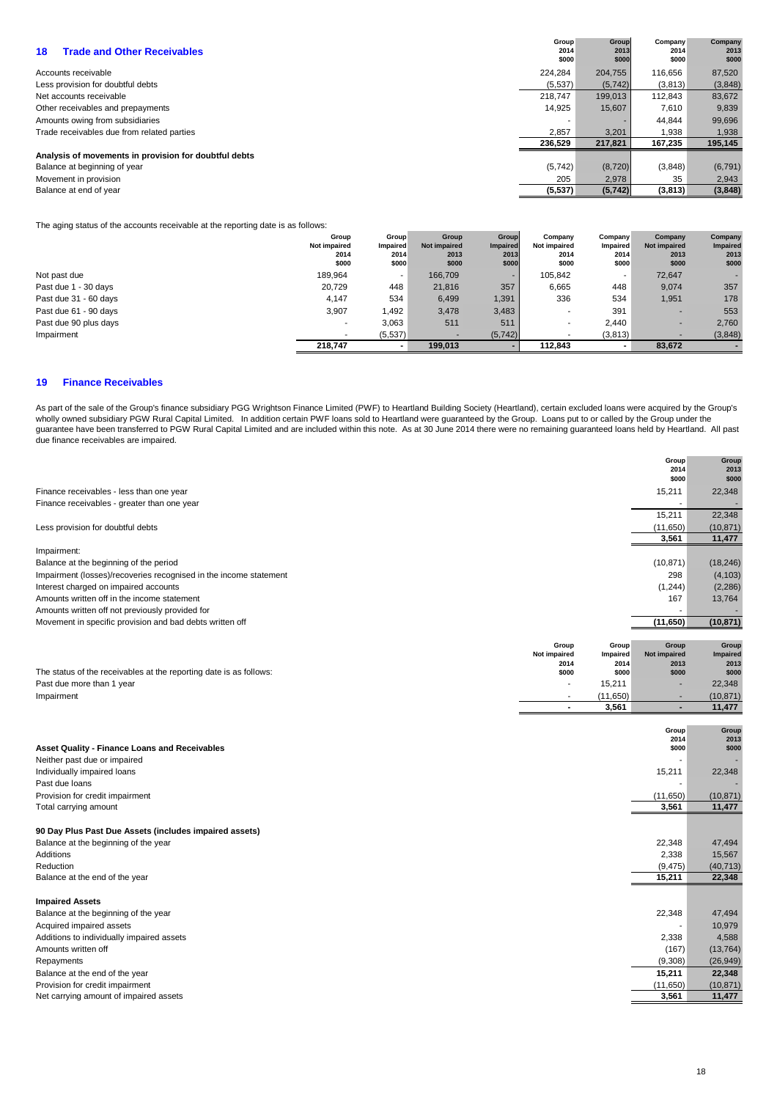| <b>Trade and Other Receivables</b><br>18              | Group<br>2014<br>\$000 | Group<br>2013<br>\$000 | Company<br>2014<br>\$000 | Company<br>2013<br>\$000 |
|-------------------------------------------------------|------------------------|------------------------|--------------------------|--------------------------|
| Accounts receivable                                   | 224.284                | 204.755                | 116.656                  | 87,520                   |
| Less provision for doubtful debts                     | (5,537)                | (5,742)                | (3,813)                  | (3,848)                  |
| Net accounts receivable                               | 218,747                | 199.013                | 112.843                  | 83,672                   |
| Other receivables and prepayments                     | 14.925                 | 15,607                 | 7,610                    | 9,839                    |
| Amounts owing from subsidiaries                       |                        |                        | 44.844                   | 99,696                   |
| Trade receivables due from related parties            | 2,857                  | 3,201                  | 1,938                    | 1,938                    |
|                                                       | 236,529                | 217,821                | 167,235                  | 195,145                  |
| Analysis of movements in provision for doubtful debts |                        |                        |                          |                          |
| Balance at beginning of year                          | (5,742)                | (8,720)                | (3,848)                  | (6, 791)                 |
| Movement in provision                                 | 205                    | 2,978                  | 35                       | 2,943                    |
| Balance at end of year                                | (5,537)                | (5,742)                | (3,813)                  | (3,848)                  |

The aging status of the accounts receivable at the reporting date is as follows:

|                       | Group        | Group           | Group        | Group           | Company             | Company  | Company      | Company         |
|-----------------------|--------------|-----------------|--------------|-----------------|---------------------|----------|--------------|-----------------|
|                       | Not impaired | <b>Impaired</b> | Not impaired | <b>Impaired</b> | <b>Not impaired</b> | Impaired | Not impaired | <b>Impaired</b> |
|                       | 2014         | 2014            | 2013         | 2013            | 2014                | 2014     | 2013         | 2013            |
|                       | \$000        | \$000           | \$000        | \$000           | \$000               | \$000    | \$000        | \$000           |
| Not past due          | 189,964      |                 | 166,709      | ۰               | 105.842             | $\sim$   | 72,647       |                 |
| Past due 1 - 30 days  | 20.729       | 448             | 21.816       | 357             | 6,665               | 448      | 9,074        | 357             |
| Past due 31 - 60 days | 4.147        | 534             | 6,499        | 1,391           | 336                 | 534      | 1,951        | 178             |
| Past due 61 - 90 days | 3,907        | 1,492           | 3,478        | 3,483           | $\,$                | 391      | -            | 553             |
| Past due 90 plus days |              | 3,063           | 511          | 511             | ۰                   | 2.440    | -            | 2,760           |
| Impairment            |              | (5,537)         |              | (5, 742)        |                     | (3,813)  |              | (3,848)         |
|                       | 218.747      |                 | 199.013      |                 | 112.843             | $\sim$   | 83.672       |                 |

## **19 Finance Receivables**

As part of the sale of the Group's finance subsidiary PGG Wrightson Finance Limited (PWF) to Heartland Building Society (Heartland), certain excluded loans were acquired by the Group's wholly owned subsidiary PGW Rural Capital Limited. In addition certain PWF loans sold to Heartland were guaranteed by the Group. Loans put to or called by the Group under the guarantee have been transferred to PGW Rural Capital Limited and are included within this note. As at 30 June 2014 there were no remaining guaranteed loans held by Heartland. All past due finance receivables are impaired.

|                                                                    |                      |                  | Group<br>2014<br>\$000      | Group<br>2013<br>\$000  |
|--------------------------------------------------------------------|----------------------|------------------|-----------------------------|-------------------------|
| Finance receivables - less than one year                           |                      |                  | 15,211                      | 22,348                  |
| Finance receivables - greater than one year                        |                      |                  |                             |                         |
|                                                                    |                      |                  | 15,211                      | 22,348                  |
| Less provision for doubtful debts                                  |                      |                  | (11,650)<br>3,561           | (10, 871)               |
|                                                                    |                      |                  |                             | 11,477                  |
| Impairment:<br>Balance at the beginning of the period              |                      |                  | (10, 871)                   | (18, 246)               |
| Impairment (losses)/recoveries recognised in the income statement  |                      |                  | 298                         | (4, 103)                |
| Interest charged on impaired accounts                              |                      |                  | (1, 244)                    | (2, 286)                |
| Amounts written off in the income statement                        |                      |                  | 167                         | 13,764                  |
| Amounts written off not previously provided for                    |                      |                  |                             |                         |
| Movement in specific provision and bad debts written off           |                      |                  | (11, 650)                   | (10, 871)               |
|                                                                    |                      |                  |                             |                         |
|                                                                    | Group                | Group            | Group                       | Group                   |
|                                                                    | Not impaired<br>2014 | Impaired<br>2014 | <b>Not impaired</b><br>2013 | <b>Impaired</b><br>2013 |
| The status of the receivables at the reporting date is as follows: | \$000                | \$000            | \$000                       | \$000                   |
| Past due more than 1 year                                          |                      | 15,211           |                             | 22,348                  |
| Impairment                                                         |                      | (11,650)         |                             | (10, 871)               |
|                                                                    | $\blacksquare$       | 3,561            | ٠                           | 11,477                  |
|                                                                    |                      |                  |                             |                         |
|                                                                    |                      |                  | Group<br>2014               | Group<br>2013           |
| <b>Asset Quality - Finance Loans and Receivables</b>               |                      |                  | \$000                       | \$000                   |
| Neither past due or impaired                                       |                      |                  |                             |                         |
| Individually impaired loans                                        |                      |                  | 15,211                      | 22,348                  |
| Past due loans                                                     |                      |                  |                             |                         |
| Provision for credit impairment                                    |                      |                  | (11, 650)                   | (10, 871)               |
| Total carrying amount                                              |                      |                  | 3,561                       | 11,477                  |
|                                                                    |                      |                  |                             |                         |
| 90 Day Plus Past Due Assets (includes impaired assets)             |                      |                  |                             |                         |
| Balance at the beginning of the year                               |                      |                  | 22,348                      | 47,494                  |
| Additions                                                          |                      |                  | 2,338                       | 15,567                  |
| Reduction<br>Balance at the end of the year                        |                      |                  | (9, 475)<br>15,211          | (40, 713)<br>22,348     |
|                                                                    |                      |                  |                             |                         |
| <b>Impaired Assets</b>                                             |                      |                  |                             |                         |
| Balance at the beginning of the year                               |                      |                  | 22,348                      | 47,494                  |
| Acquired impaired assets                                           |                      |                  |                             | 10,979                  |
| Additions to individually impaired assets                          |                      |                  | 2,338                       | 4,588                   |
| Amounts written off                                                |                      |                  | (167)                       | (13, 764)               |
| Repayments                                                         |                      |                  | (9,308)                     | (26, 949)               |
| Balance at the end of the year                                     |                      |                  | 15,211                      | 22,348                  |
| Provision for credit impairment                                    |                      |                  | (11, 650)                   | (10, 871)               |
| Net carrying amount of impaired assets                             |                      |                  | 3,561                       | 11,477                  |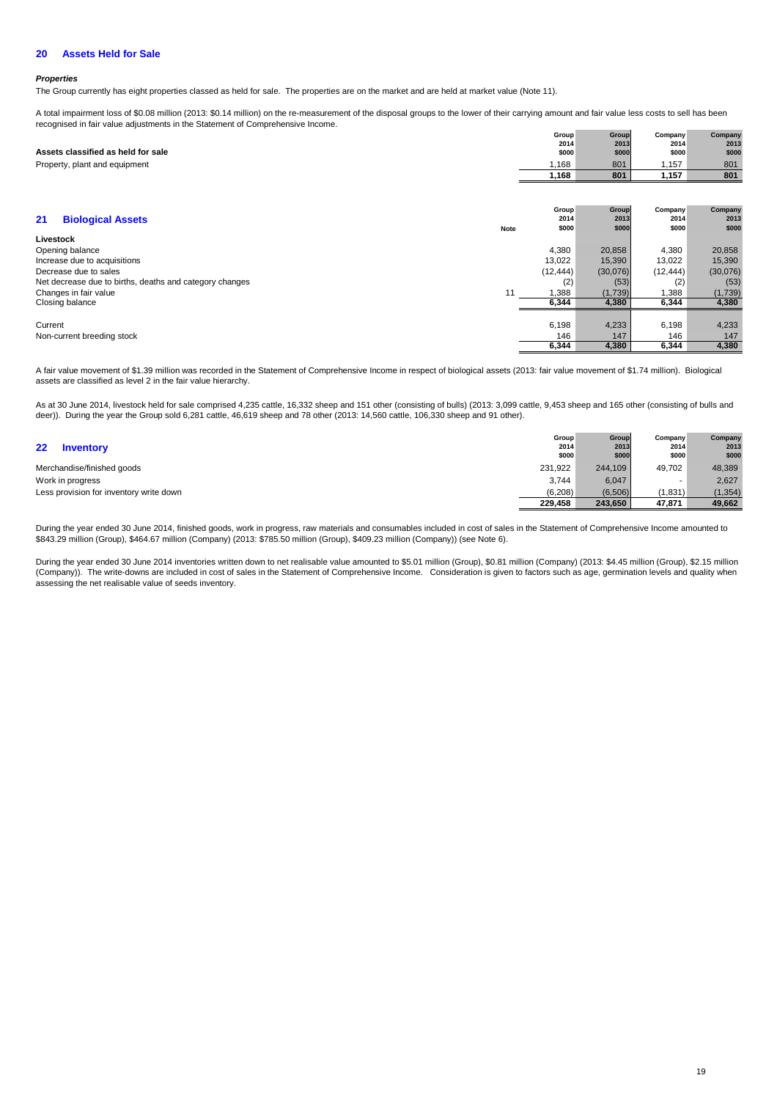#### **20 Assets Held for Sale**

## **Properties**

The Group currently has eight properties classed as held for sale. The properties are on the market and are held at market value (Note 11).

A total impairment loss of \$0.08 million (2013: \$0.14 million) on the re-measurement of the disposal groups to the lower of their carrying amount and fair value less costs to sell has been recognised in fair value adjustments in the Statement of Comprehensive Income.

| Assets classified as held for sale<br>Property, plant and equipment | Group<br>2014<br>\$000<br>1,168<br>1,168 | Group<br>2013<br>\$000<br>801<br>801 | Company<br>2014<br>\$000<br>1,157<br>1,157 | Company<br>2013<br>\$000<br>801<br>801 |
|---------------------------------------------------------------------|------------------------------------------|--------------------------------------|--------------------------------------------|----------------------------------------|
| 21<br><b>Biological Assets</b><br>Note<br>Livestock                 | Group<br>2014<br>\$000                   | Group<br>2013<br>\$000               | Company<br>2014<br>\$000                   | Company<br>2013<br>\$000               |
| Opening balance                                                     | 4,380                                    | 20,858                               | 4,380                                      | 20,858                                 |
| Increase due to acquisitions                                        | 13,022                                   | 15,390                               | 13,022                                     | 15,390                                 |
| Decrease due to sales                                               | (12, 444)                                | (30,076)                             | (12, 444)                                  | (30,076)                               |
| Net decrease due to births, deaths and category changes             | (2)                                      | (53)                                 | (2)                                        | (53)                                   |
| 11<br>Changes in fair value                                         | 1,388                                    | (1,739)                              | 1,388                                      | (1,739)                                |
| Closing balance                                                     | 6,344                                    | 4,380                                | 6,344                                      | 4,380                                  |
|                                                                     |                                          |                                      |                                            |                                        |
| Current                                                             | 6,198                                    | 4,233                                | 6,198                                      | 4,233                                  |
| Non-current breeding stock                                          | 146                                      | 147                                  | 146                                        | 147                                    |
|                                                                     | 6,344                                    | 4,380                                | 6,344                                      | 4,380                                  |

A fair value movement of \$1.39 million was recorded in the Statement of Comprehensive Income in respect of biological assets (2013: fair value movement of \$1.74 million). Biological assets are classified as level 2 in the fair value hierarchy.

As at 30 June 2014, livestock held for sale comprised 4,235 cattle, 16,332 sheep and 151 other (consisting of bulls) (2013: 3,099 cattle, 9,453 sheep and 165 other (consisting of bulls and deer)). During the year the Group sold 6,281 cattle, 46,619 sheep and 78 other (2013: 14,560 cattle, 106,330 sheep and 91 other).

| $22 \,$<br><b>Inventory</b>             | Group<br>2014<br>\$000 | Group<br>2013<br>\$000 | Company<br>2014<br>\$000 | Company<br>2013<br>\$000 |
|-----------------------------------------|------------------------|------------------------|--------------------------|--------------------------|
| Merchandise/finished goods              | 231,922                | 244.109                | 49.702                   | 48,389                   |
| Work in progress                        | 3.744                  | 6.047                  |                          | 2,627                    |
| Less provision for inventory write down | (6, 208)               | (6,506)                | (1,831)                  | (1, 354)                 |
|                                         | 229.458                | 243.650                | 47,871                   | 49,662                   |

During the year ended 30 June 2014, finished goods, work in progress, raw materials and consumables included in cost of sales in the Statement of Comprehensive Income amounted to \$843.29 million (Group), \$464.67 million (Company) (2013: \$785.50 million (Group), \$409.23 million (Company)) (see Note 6).

During the year ended 30 June 2014 inventories written down to net realisable value amounted to \$5.01 million (Group), \$0.81 million (Company) (2013: \$4.45 million (Group), \$2.15 million (Company)). The write-downs are included in cost of sales in the Statement of Comprehensive Income. Consideration is given to factors such as age, germination levels and quality when assessing the net realisable value of seeds inventory.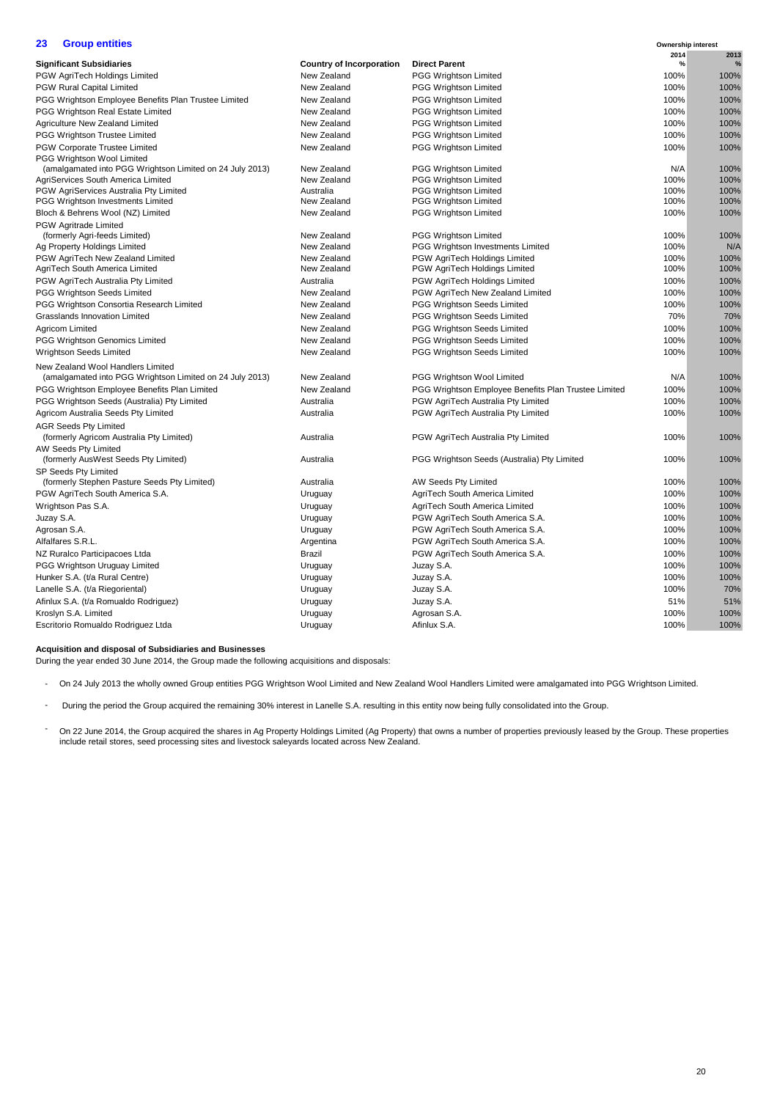## **23 Group entities**

| 23         | <b>Group entities</b>                                              |                                 |                                                      | Ownership interest |           |
|------------|--------------------------------------------------------------------|---------------------------------|------------------------------------------------------|--------------------|-----------|
|            | <b>Significant Subsidiaries</b>                                    | <b>Country of Incorporation</b> | <b>Direct Parent</b>                                 | 2014<br>%          | 2013<br>% |
|            | PGW AgriTech Holdings Limited                                      | New Zealand                     | <b>PGG Wrightson Limited</b>                         | 100%               | 100%      |
|            | <b>PGW Rural Capital Limited</b>                                   | New Zealand                     | PGG Wrightson Limited                                | 100%               | 100%      |
|            | PGG Wrightson Employee Benefits Plan Trustee Limited               | New Zealand                     | <b>PGG Wrightson Limited</b>                         | 100%               | 100%      |
|            | PGG Wrightson Real Estate Limited                                  | New Zealand                     | <b>PGG Wrightson Limited</b>                         | 100%               | 100%      |
|            | Agriculture New Zealand Limited                                    | New Zealand                     | PGG Wrightson Limited                                | 100%               | 100%      |
|            | PGG Wrightson Trustee Limited                                      | New Zealand                     | PGG Wrightson Limited                                | 100%               | 100%      |
|            |                                                                    | New Zealand                     | PGG Wrightson Limited                                | 100%               | 100%      |
|            | <b>PGW Corporate Trustee Limited</b><br>PGG Wrightson Wool Limited |                                 |                                                      |                    |           |
|            | (amalgamated into PGG Wrightson Limited on 24 July 2013)           | New Zealand                     | PGG Wrightson Limited                                | N/A                | 100%      |
|            | AgriServices South America Limited                                 | New Zealand                     | PGG Wrightson Limited                                | 100%               | 100%      |
|            | PGW AgriServices Australia Pty Limited                             | Australia                       | <b>PGG Wrightson Limited</b>                         | 100%               | 100%      |
|            | PGG Wrightson Investments Limited                                  | New Zealand                     | PGG Wrightson Limited                                | 100%               | 100%      |
|            | Bloch & Behrens Wool (NZ) Limited                                  | New Zealand                     | PGG Wrightson Limited                                | 100%               | 100%      |
|            | PGW Agritrade Limited                                              |                                 |                                                      |                    |           |
|            | (formerly Agri-feeds Limited)                                      | New Zealand                     | PGG Wrightson Limited                                | 100%               | 100%      |
|            | Ag Property Holdings Limited                                       | New Zealand                     | <b>PGG Wrightson Investments Limited</b>             | 100%               | N/A       |
|            | PGW AgriTech New Zealand Limited                                   | New Zealand                     | <b>PGW AgriTech Holdings Limited</b>                 | 100%               | 100%      |
|            | AgriTech South America Limited                                     | New Zealand                     | PGW AgriTech Holdings Limited                        | 100%               | 100%      |
|            | PGW AgriTech Australia Pty Limited                                 | Australia                       | PGW AgriTech Holdings Limited                        | 100%               | 100%      |
|            | PGG Wrightson Seeds Limited                                        | New Zealand                     | PGW AgriTech New Zealand Limited                     | 100%               | 100%      |
|            | PGG Wrightson Consortia Research Limited                           | New Zealand                     | PGG Wrightson Seeds Limited                          | 100%               | 100%      |
|            | <b>Grasslands Innovation Limited</b>                               | New Zealand                     | PGG Wrightson Seeds Limited                          | 70%                | 70%       |
|            | Agricom Limited                                                    | New Zealand                     | <b>PGG Wrightson Seeds Limited</b>                   | 100%               | 100%      |
|            | <b>PGG Wrightson Genomics Limited</b>                              | New Zealand                     | PGG Wrightson Seeds Limited                          | 100%               | 100%      |
|            | Wrightson Seeds Limited                                            | New Zealand                     | PGG Wrightson Seeds Limited                          | 100%               | 100%      |
|            | New Zealand Wool Handlers Limited                                  |                                 |                                                      |                    |           |
|            | (amalgamated into PGG Wrightson Limited on 24 July 2013)           | New Zealand                     | PGG Wrightson Wool Limited                           | N/A                | 100%      |
|            | PGG Wrightson Employee Benefits Plan Limited                       | New Zealand                     | PGG Wrightson Employee Benefits Plan Trustee Limited | 100%               | 100%      |
|            | PGG Wrightson Seeds (Australia) Pty Limited                        | Australia                       | PGW AgriTech Australia Pty Limited                   | 100%               | 100%      |
|            | Agricom Australia Seeds Pty Limited                                | Australia                       | PGW AgriTech Australia Pty Limited                   | 100%               | 100%      |
|            | <b>AGR Seeds Pty Limited</b>                                       |                                 |                                                      |                    |           |
|            | (formerly Agricom Australia Pty Limited)                           | Australia                       | PGW AgriTech Australia Pty Limited                   | 100%               | 100%      |
|            | AW Seeds Pty Limited                                               |                                 |                                                      |                    |           |
|            | (formerly AusWest Seeds Pty Limited)                               | Australia                       | PGG Wrightson Seeds (Australia) Pty Limited          | 100%               | 100%      |
|            | SP Seeds Pty Limited                                               |                                 |                                                      |                    |           |
|            | (formerly Stephen Pasture Seeds Pty Limited)                       | Australia                       | AW Seeds Pty Limited                                 | 100%               | 100%      |
|            | PGW AgriTech South America S.A.                                    | Uruguay                         | AgriTech South America Limited                       | 100%               | 100%      |
|            | Wrightson Pas S.A.                                                 | Uruguay                         | AgriTech South America Limited                       | 100%               | 100%      |
| Juzay S.A. |                                                                    | Uruguay                         | PGW AgriTech South America S.A.                      | 100%               | 100%      |
|            | Agrosan S.A.                                                       | Uruguay                         | PGW AgriTech South America S.A.                      | 100%               | 100%      |
|            | Alfalfares S.R.L.                                                  | Argentina                       | PGW AgriTech South America S.A.                      | 100%               | 100%      |
|            | NZ Ruralco Participacoes Ltda                                      | <b>Brazil</b>                   | PGW AgriTech South America S.A.                      | 100%               | 100%      |
|            | PGG Wrightson Uruguay Limited                                      | Uruguay                         | Juzay S.A.                                           | 100%               | 100%      |
|            | Hunker S.A. (t/a Rural Centre)                                     | Uruguay                         | Juzay S.A.                                           | 100%               | 100%      |
|            | Lanelle S.A. (t/a Riegoriental)                                    | Uruguay                         | Juzay S.A.                                           | 100%               | 70%       |
|            | Afinlux S.A. (t/a Romualdo Rodriguez)                              | Uruguay                         | Juzay S.A.                                           | 51%                | 51%       |
|            | Kroslyn S.A. Limited                                               | Uruguay                         | Agrosan S.A.                                         | 100%               | 100%      |
|            | Escritorio Romualdo Rodriguez Ltda                                 | Uruguay                         | Afinlux S.A.                                         | 100%               | 100%      |
|            |                                                                    |                                 |                                                      |                    |           |

## **Acquisition and disposal of Subsidiaries and Businesses**

During the year ended 30 June 2014, the Group made the following acquisitions and disposals:

- On 24 July 2013 the wholly owned Group entities PGG Wrightson Wool Limited and New Zealand Wool Handlers Limited were amalgamated into PGG Wrightson Limited.
- During the period the Group acquired the remaining 30% interest in Lanelle S.A. resulting in this entity now being fully consolidated into the Group.
- On 22 June 2014, the Group acquired the shares in Ag Property Holdings Limited (Ag Property) that owns a number of properties previously leased by the Group. These properties include retail stores, seed processing sites and livestock saleyards located across New Zealand.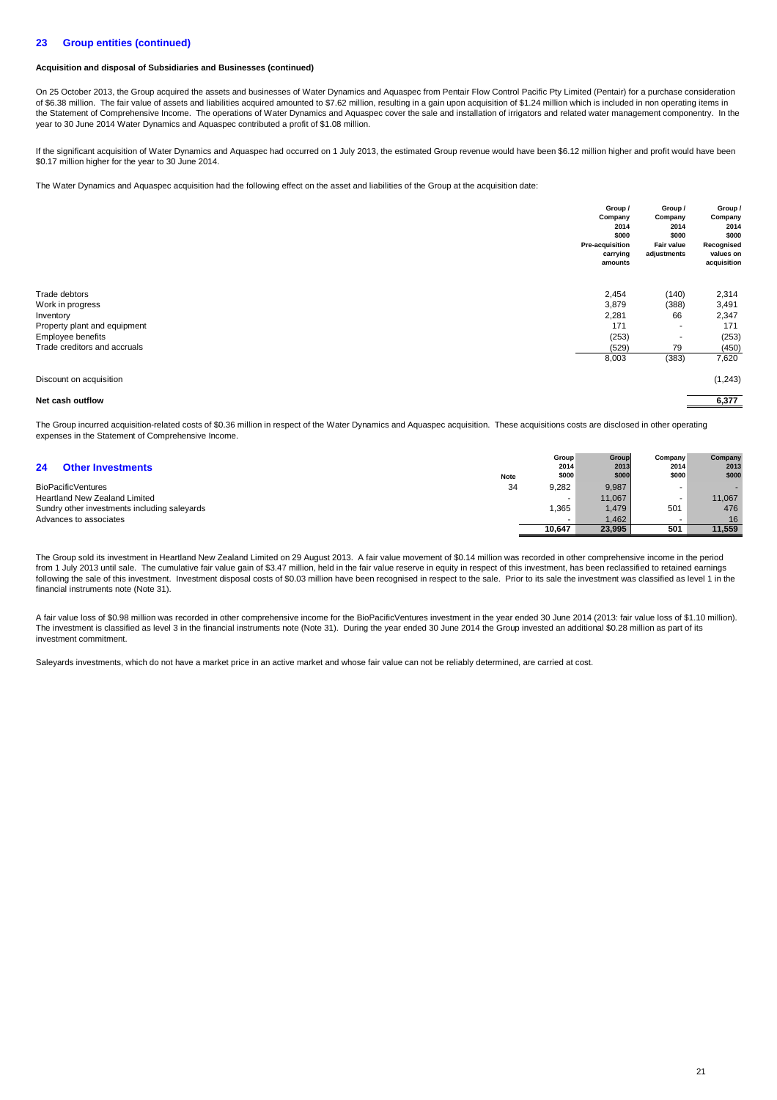## **23 Group entities (continued)**

## **Acquisition and disposal of Subsidiaries and Businesses (continued)**

On 25 October 2013, the Group acquired the assets and businesses of Water Dynamics and Aquaspec from Pentair Flow Control Pacific Pty Limited (Pentair) for a purchase consideration of \$6.38 million. The fair value of assets and liabilities acquired amounted to \$7.62 million, resulting in a gain upon acquisition of \$1.24 million which is included in non operating items in the Statement of Comprehensive Income. The operations of Water Dynamics and Aquaspec cover the sale and installation of irrigators and related water management componentry. In the year to 30 June 2014 Water Dynamics and Aquaspec contributed a profit of \$1.08 million.

If the significant acquisition of Water Dynamics and Aquaspec had occurred on 1 July 2013, the estimated Group revenue would have been \$6.12 million higher and profit would have been \$0.17 million higher for the year to 30 June 2014.

The Water Dynamics and Aquaspec acquisition had the following effect on the asset and liabilities of the Group at the acquisition date:

|                              | Group /             | Group /                  | Group /                  |
|------------------------------|---------------------|--------------------------|--------------------------|
|                              | Company             | Company                  | Company                  |
|                              | 2014                | 2014                     | 2014                     |
|                              | \$000               | \$000                    | \$000                    |
|                              | Pre-acquisition     | Fair value               | Recognised               |
|                              | carrying<br>amounts | adjustments              | values on<br>acquisition |
| Trade debtors                | 2,454               | (140)                    | 2,314                    |
| Work in progress             | 3,879               | (388)                    | 3,491                    |
| Inventory                    | 2,281               | 66                       | 2,347                    |
| Property plant and equipment | 171                 | $\overline{\phantom{a}}$ | 171                      |
| Employee benefits            | (253)               | $\overline{\phantom{a}}$ | (253)                    |
| Trade creditors and accruals | (529)               | 79                       | (450)                    |
|                              | 8,003               | (383)                    | 7,620                    |
| Discount on acquisition      |                     |                          | (1,243)                  |
| Net cash outflow             |                     |                          | 6,377                    |

The Group incurred acquisition-related costs of \$0.36 million in respect of the Water Dynamics and Aquaspec acquisition. These acquisitions costs are disclosed in other operating expenses in the Statement of Comprehensive Income.

| 24<br><b>Other Investments</b>               |      | 2014   | 2013   | 2014  | 2013   |
|----------------------------------------------|------|--------|--------|-------|--------|
|                                              | Note | \$000  | \$000  | \$000 | \$000  |
| BioPacificVentures                           | 34   | 9.282  | 9,987  |       |        |
| <b>Heartland New Zealand Limited</b>         |      |        | 11.067 |       | 11.067 |
| Sundry other investments including saleyards |      | .365   | 1.479  | 501   | 476    |
| Advances to associates                       |      | -      | 1.462  |       | 16     |
|                                              |      | 10.647 | 23.995 | 501   | 11.559 |

**Group Group**

**Company Company**

The Group sold its investment in Heartland New Zealand Limited on 29 August 2013. A fair value movement of \$0.14 million was recorded in other comprehensive income in the period from 1 July 2013 until sale. The cumulative fair value gain of \$3.47 million, held in the fair value reserve in equity in respect of this investment, has been reclassified to retained earnings following the sale of this investment. Investment disposal costs of \$0.03 million have been recognised in respect to the sale. Prior to its sale the investment was classified as level 1 in the financial instruments note (Note 31).

A fair value loss of \$0.98 million was recorded in other comprehensive income for the BioPacificVentures investment in the year ended 30 June 2014 (2013: fair value loss of \$1.10 million). The investment is classified as level 3 in the financial instruments note (Note 31). During the year ended 30 June 2014 the Group invested an additional \$0.28 million as part of its investment commitment.

Saleyards investments, which do not have a market price in an active market and whose fair value can not be reliably determined, are carried at cost.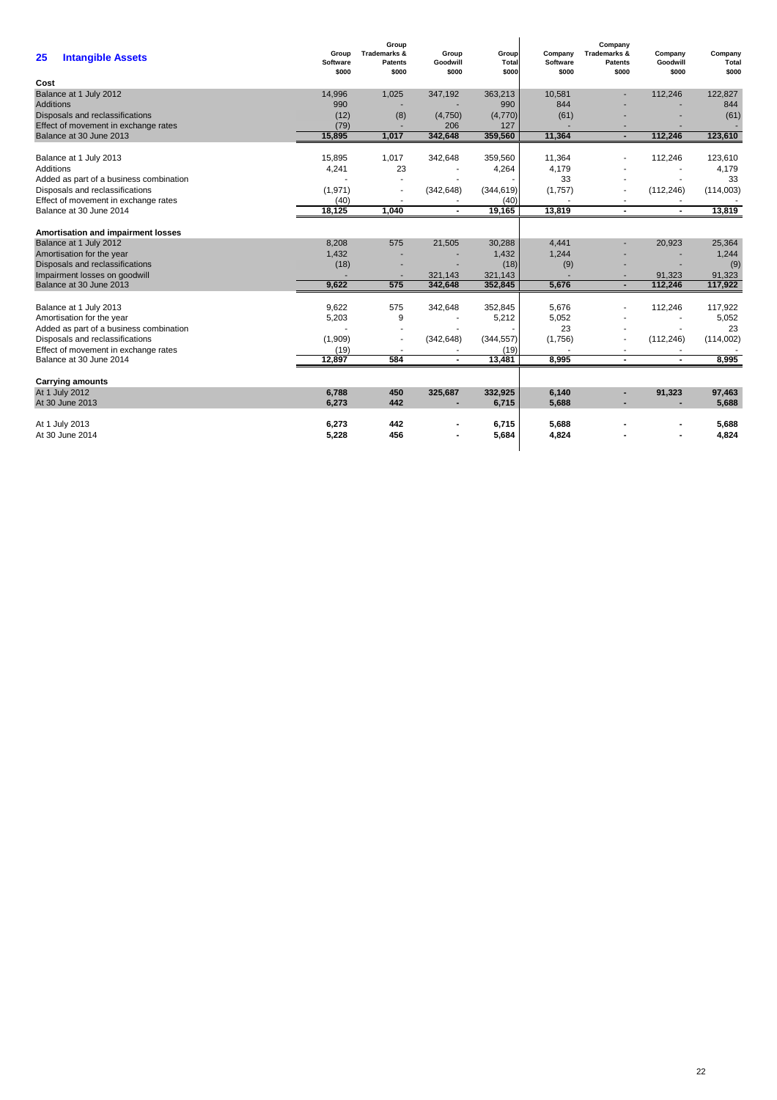| <b>Intangible Assets</b><br>25                                             | Group<br><b>Software</b><br>\$000 | Group<br><b>Trademarks &amp;</b><br><b>Patents</b><br>\$000 | Group<br>Goodwill<br>\$000 | Group<br>Total<br>\$000 | Company<br><b>Software</b><br>\$000 | Company<br><b>Trademarks &amp;</b><br><b>Patents</b><br>\$000 | Company<br>Goodwill<br>\$000 | Company<br>Total<br>\$000 |
|----------------------------------------------------------------------------|-----------------------------------|-------------------------------------------------------------|----------------------------|-------------------------|-------------------------------------|---------------------------------------------------------------|------------------------------|---------------------------|
| Cost                                                                       |                                   |                                                             |                            |                         |                                     |                                                               |                              |                           |
| Balance at 1 July 2012<br><b>Additions</b>                                 | 14,996<br>990                     | 1,025                                                       | 347,192                    | 363,213<br>990          | 10,581<br>844                       | ×.                                                            | 112,246                      | 122,827<br>844            |
| Disposals and reclassifications                                            | (12)                              | (8)                                                         | (4,750)                    | (4,770)                 | (61)                                |                                                               |                              | (61)                      |
| Effect of movement in exchange rates                                       | (79)                              |                                                             | 206                        | 127                     |                                     |                                                               |                              |                           |
| Balance at 30 June 2013                                                    | 15,895                            | 1,017                                                       | 342,648                    | 359,560                 | 11,364                              | $\blacksquare$                                                | 112,246                      | 123,610                   |
|                                                                            |                                   |                                                             |                            |                         |                                     |                                                               |                              |                           |
| Balance at 1 July 2013                                                     | 15,895                            | 1,017                                                       | 342,648                    | 359,560                 | 11,364                              |                                                               | 112,246                      | 123,610                   |
| Additions                                                                  | 4,241                             | 23                                                          |                            | 4,264                   | 4,179<br>33                         |                                                               |                              | 4,179<br>33               |
| Added as part of a business combination<br>Disposals and reclassifications | (1, 971)                          |                                                             | (342, 648)                 | (344, 619)              | (1,757)                             |                                                               | (112, 246)                   | (114,003)                 |
| Effect of movement in exchange rates                                       | (40)                              |                                                             |                            | (40)                    |                                     |                                                               |                              |                           |
| Balance at 30 June 2014                                                    | 18,125                            | 1,040                                                       | $\overline{\phantom{a}}$   | 19,165                  | 13,819                              | $\blacksquare$                                                |                              | 13,819                    |
|                                                                            |                                   |                                                             |                            |                         |                                     |                                                               |                              |                           |
| Amortisation and impairment losses                                         |                                   |                                                             |                            |                         |                                     |                                                               |                              |                           |
| Balance at 1 July 2012                                                     | 8,208                             | 575                                                         | 21,505                     | 30,288                  | 4,441                               |                                                               | 20,923                       | 25,364                    |
| Amortisation for the year                                                  | 1.432                             |                                                             |                            | 1,432                   | 1,244                               |                                                               |                              | 1,244                     |
| Disposals and reclassifications                                            | (18)                              |                                                             | ÷,                         | (18)                    | (9)                                 |                                                               |                              | (9)                       |
| Impairment losses on goodwill                                              |                                   |                                                             | 321,143                    | 321,143                 |                                     | $\overline{\phantom{a}}$                                      | 91,323                       | 91,323                    |
| Balance at 30 June 2013                                                    | 9,622                             | 575                                                         | 342,648                    | 352,845                 | 5,676                               | ٠                                                             | 112,246                      | 117,922                   |
| Balance at 1 July 2013                                                     | 9.622                             | 575                                                         | 342,648                    | 352,845                 | 5,676                               |                                                               | 112,246                      | 117,922                   |
| Amortisation for the year                                                  | 5,203                             | 9                                                           |                            | 5,212                   | 5,052                               |                                                               | $\overline{\phantom{a}}$     | 5,052                     |
| Added as part of a business combination                                    |                                   |                                                             |                            |                         | 23                                  |                                                               |                              | 23                        |
| Disposals and reclassifications                                            | (1,909)                           |                                                             | (342, 648)                 | (344, 557)              | (1,756)                             |                                                               | (112, 246)                   | (114,002)                 |
| Effect of movement in exchange rates                                       | (19)                              |                                                             |                            | (19)                    |                                     | $\overline{\phantom{a}}$                                      |                              |                           |
| Balance at 30 June 2014                                                    | 12,897                            | 584                                                         | $\blacksquare$             | 13.481                  | 8,995                               | $\blacksquare$                                                | $\blacksquare$               | 8,995                     |
| <b>Carrying amounts</b>                                                    |                                   |                                                             |                            |                         |                                     |                                                               |                              |                           |
| At 1 July 2012                                                             | 6.788                             | 450                                                         | 325,687                    | 332,925                 | 6,140                               | $\sim$                                                        | 91,323                       | 97.463                    |
| At 30 June 2013                                                            | 6,273                             | 442                                                         |                            | 6,715                   | 5,688                               | $\blacksquare$                                                | ۰                            | 5,688                     |
| At 1 July 2013                                                             | 6,273                             | 442                                                         |                            | 6,715                   | 5,688                               |                                                               |                              | 5,688                     |
| At 30 June 2014                                                            | 5,228                             | 456                                                         |                            | 5,684                   | 4,824                               |                                                               |                              | 4,824                     |
|                                                                            |                                   |                                                             |                            |                         |                                     |                                                               |                              |                           |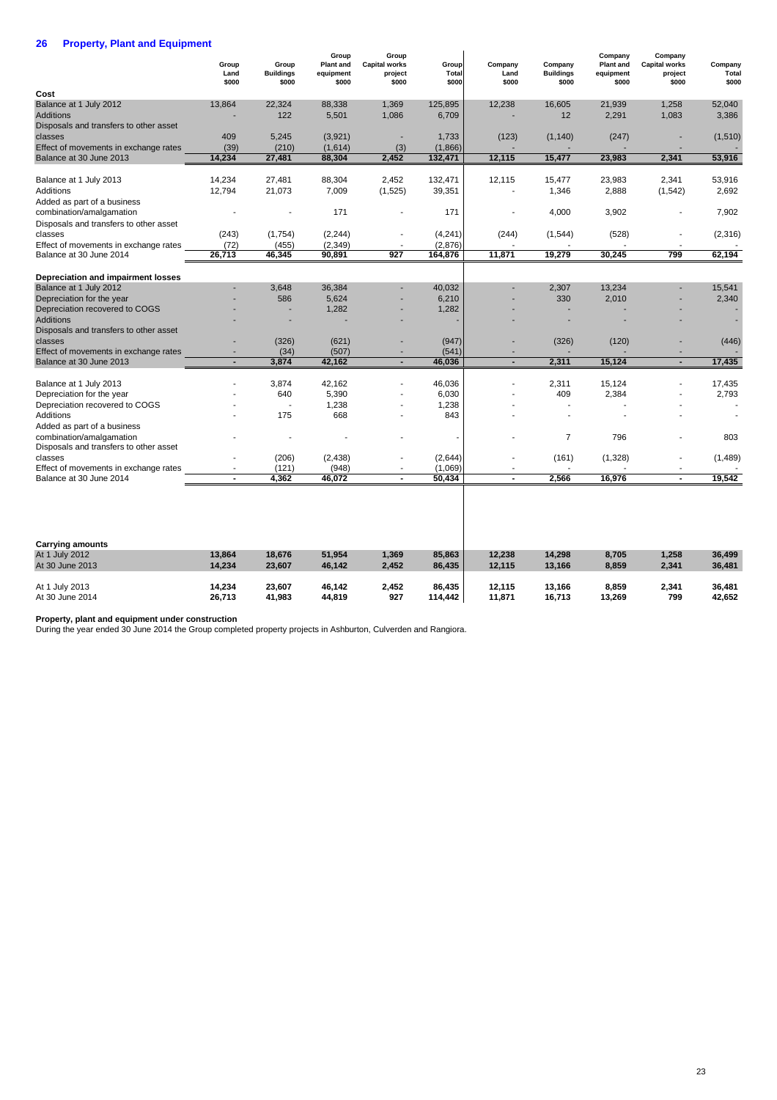## **26 Property, Plant and Equipment**

|                                        | Group<br>Land<br>\$000 | Group<br><b>Buildings</b><br>\$000 | Group<br><b>Plant and</b><br>equipment<br>\$000 | Group<br><b>Capital works</b><br>project<br>\$000 | Group<br>Total<br>\$000 | Company<br>Land<br>\$000 | Company<br><b>Buildings</b><br>\$000 | Company<br><b>Plant and</b><br>equipment<br>\$000 | Company<br><b>Capital works</b><br>project<br>\$000 | Company<br>Total<br>\$000 |
|----------------------------------------|------------------------|------------------------------------|-------------------------------------------------|---------------------------------------------------|-------------------------|--------------------------|--------------------------------------|---------------------------------------------------|-----------------------------------------------------|---------------------------|
| Cost                                   |                        |                                    |                                                 |                                                   |                         |                          |                                      |                                                   |                                                     |                           |
| Balance at 1 July 2012                 | 13,864                 | 22,324                             | 88,338                                          | 1,369                                             | 125,895                 | 12,238                   | 16,605                               | 21,939                                            | 1,258                                               | 52,040                    |
| <b>Additions</b>                       |                        | 122                                | 5.501                                           | 1,086                                             | 6,709                   |                          | 12                                   | 2,291                                             | 1,083                                               | 3.386                     |
| Disposals and transfers to other asset |                        |                                    |                                                 |                                                   |                         |                          |                                      |                                                   |                                                     |                           |
| classes                                | 409                    | 5,245                              | (3,921)                                         |                                                   | 1,733                   | (123)                    | (1, 140)                             | (247)                                             |                                                     | (1, 510)                  |
| Effect of movements in exchange rates  | (39)                   | (210)                              | (1,614)                                         | (3)                                               | (1,866)                 |                          |                                      |                                                   |                                                     |                           |
| Balance at 30 June 2013                | 14.234                 | 27,481                             | 88,304                                          | 2,452                                             | 132,471                 | 12,115                   | 15,477                               | 23,983                                            | 2,341                                               | 53,916                    |
| Balance at 1 July 2013                 | 14,234                 | 27,481                             | 88,304                                          | 2,452                                             | 132,471                 | 12,115                   | 15,477                               | 23,983                                            | 2,341                                               | 53,916                    |
| Additions                              | 12,794                 | 21,073                             | 7,009                                           | (1,525)                                           | 39,351                  |                          | 1,346                                | 2,888                                             | (1, 542)                                            | 2,692                     |
| Added as part of a business            |                        |                                    |                                                 |                                                   |                         |                          |                                      |                                                   |                                                     |                           |
| combination/amalgamation               |                        |                                    | 171                                             |                                                   | 171                     |                          | 4,000                                | 3,902                                             |                                                     | 7,902                     |
| Disposals and transfers to other asset |                        |                                    |                                                 |                                                   |                         |                          |                                      |                                                   |                                                     |                           |
| classes                                | (243)                  | (1,754)                            | (2, 244)                                        |                                                   | (4, 241)                | (244)                    | (1,544)                              | (528)                                             |                                                     | (2, 316)                  |
| Effect of movements in exchange rates  | (72)                   | (455)                              | (2, 349)                                        |                                                   | (2,876)                 |                          |                                      |                                                   |                                                     |                           |
| Balance at 30 June 2014                | 26,713                 | 46,345                             | 90,891                                          | 927                                               | 164,876                 | 11,871                   | 19,279                               | 30,245                                            | 799                                                 | 62,194                    |
| Depreciation and impairment losses     |                        |                                    |                                                 |                                                   |                         |                          |                                      |                                                   |                                                     |                           |
| Balance at 1 July 2012                 |                        | 3,648                              | 36,384                                          |                                                   | 40,032                  |                          | 2,307                                | 13,234                                            |                                                     | 15,541                    |
| Depreciation for the year              |                        | 586                                | 5.624                                           |                                                   | 6,210                   |                          | 330                                  | 2,010                                             |                                                     | 2,340                     |
| Depreciation recovered to COGS         |                        |                                    | 1,282                                           |                                                   | 1,282                   |                          |                                      |                                                   |                                                     |                           |
| <b>Additions</b>                       |                        |                                    |                                                 |                                                   |                         |                          |                                      |                                                   |                                                     |                           |
| Disposals and transfers to other asset |                        |                                    |                                                 |                                                   |                         |                          |                                      |                                                   |                                                     |                           |
| classes                                |                        | (326)                              | (621)                                           |                                                   | (947)                   |                          | (326)                                | (120)                                             |                                                     | (446)                     |
| Effect of movements in exchange rates  |                        | (34)                               | (507)                                           |                                                   | (541)                   |                          |                                      |                                                   |                                                     |                           |
| Balance at 30 June 2013                |                        | 3,874                              | 42,162                                          | ٠                                                 | 46,036                  | $\blacksquare$           | 2,311                                | 15,124                                            | ٠                                                   | 17,435                    |
| Balance at 1 July 2013                 |                        | 3,874                              | 42,162                                          |                                                   | 46,036                  |                          | 2,311                                | 15,124                                            |                                                     | 17,435                    |
| Depreciation for the year              |                        | 640                                | 5,390                                           |                                                   | 6,030                   |                          | 409                                  | 2,384                                             |                                                     | 2,793                     |
| Depreciation recovered to COGS         |                        |                                    | 1,238                                           |                                                   | 1,238                   |                          |                                      |                                                   |                                                     |                           |
| <b>Additions</b>                       |                        | 175                                | 668                                             |                                                   | 843                     |                          |                                      |                                                   |                                                     |                           |
| Added as part of a business            |                        |                                    |                                                 |                                                   |                         |                          |                                      |                                                   |                                                     |                           |
| combination/amalgamation               |                        |                                    |                                                 |                                                   |                         |                          | $\overline{7}$                       | 796                                               |                                                     | 803                       |
| Disposals and transfers to other asset |                        |                                    |                                                 |                                                   |                         |                          |                                      |                                                   |                                                     |                           |
| classes                                |                        | (206)                              | (2, 438)                                        |                                                   | (2,644)                 |                          | (161)                                | (1,328)                                           |                                                     | (1,489)                   |
| Effect of movements in exchange rates  |                        | (121)                              | (948)                                           |                                                   | (1,069)                 |                          |                                      |                                                   |                                                     |                           |
| Balance at 30 June 2014                |                        | 4.362                              | 46.072                                          |                                                   | 50,434                  |                          | 2.566                                | 16.976                                            |                                                     | 19,542                    |

| <b>Carrying amounts</b> |        |        |        |       |         |        |        |        |       |        |
|-------------------------|--------|--------|--------|-------|---------|--------|--------|--------|-------|--------|
| At 1 July 2012          | 13.864 | 18.676 | 51.954 | 1,369 | 85,863  | 12.238 | 14,298 | 8,705  | 1,258 | 36,499 |
| At 30 June 2013         | 14.234 | 23,607 | 46.142 | 2,452 | 86.435  | 12,115 | 13,166 | 8,859  | 2,341 | 36,481 |
|                         |        |        |        |       |         |        |        |        |       |        |
| At 1 July 2013          | 14.234 | 23,607 | 46.142 | 2,452 | 86.435  | 12.115 | 13,166 | 8,859  | 2,341 | 36.481 |
| At 30 June 2014         | 26,713 | 41.983 | 44,819 | 927   | 114.442 | 11,871 | 16,713 | 13,269 | 799   | 42,652 |

 $\overline{\phantom{a}}$ 

**Property, plant and equipment under construction**

During the year ended 30 June 2014 the Group completed property projects in Ashburton, Culverden and Rangiora.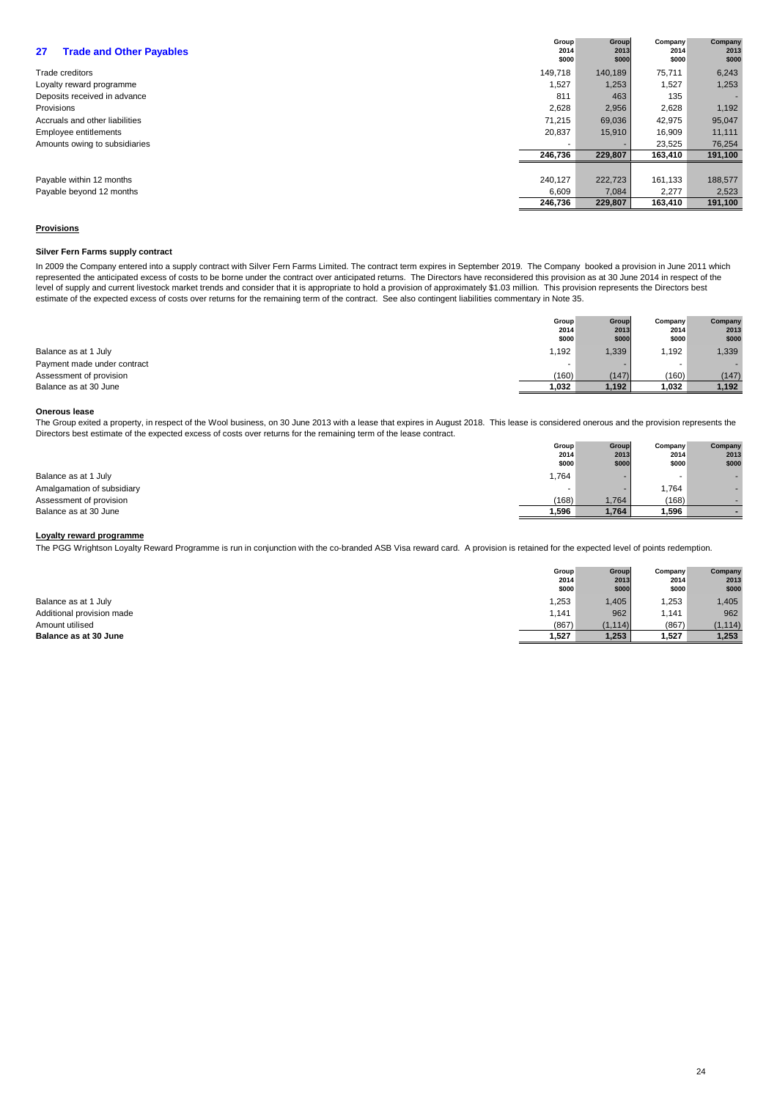| <b>Trade and Other Payables</b><br>27 | Group<br>2014<br>\$000 | Group<br>2013<br>\$000 | Company<br>2014<br>\$000 | Company<br>2013<br>\$000 |
|---------------------------------------|------------------------|------------------------|--------------------------|--------------------------|
| Trade creditors                       | 149,718                | 140,189                | 75,711                   | 6,243                    |
| Loyalty reward programme              | 1,527                  | 1,253                  | 1,527                    | 1,253                    |
| Deposits received in advance          | 811                    | 463                    | 135                      |                          |
| Provisions                            | 2,628                  | 2,956                  | 2,628                    | 1,192                    |
| Accruals and other liabilities        | 71.215                 | 69,036                 | 42,975                   | 95,047                   |
| Employee entitlements                 | 20,837                 | 15,910                 | 16,909                   | 11,111                   |
| Amounts owing to subsidiaries         |                        |                        | 23,525                   | 76,254                   |
|                                       | 246,736                | 229,807                | 163,410                  | 191,100                  |
|                                       |                        |                        |                          |                          |
| Payable within 12 months              | 240,127                | 222,723                | 161,133                  | 188,577                  |
| Payable beyond 12 months              | 6,609                  | 7,084                  | 2,277                    | 2,523                    |
|                                       | 246,736                | 229,807                | 163,410                  | 191,100                  |

## **Provisions**

## **Silver Fern Farms supply contract**

In 2009 the Company entered into a supply contract with Silver Fern Farms Limited. The contract term expires in September 2019. The Company booked a provision in June 2011 which represented the anticipated excess of costs to be borne under the contract over anticipated returns. The Directors have reconsidered this provision as at 30 June 2014 in respect of the level of supply and current livestock market trends and consider that it is appropriate to hold a provision of approximately \$1.03 million. This provision represents the Directors best estimate of the expected excess of costs over returns for the remaining term of the contract. See also contingent liabilities commentary in Note 35.

|                             | Group | Group | Company | Company      |
|-----------------------------|-------|-------|---------|--------------|
|                             | 2014  | 2013  | 2014    | 2013         |
|                             | \$000 | \$000 | \$000   | \$000        |
| Balance as at 1 July        | 1,192 | 1,339 | .192    | 1,339        |
| Payment made under contract |       | -     |         | <b>THE 2</b> |
| Assessment of provision     | (160) | (147) | (160)   | (147)        |
| Balance as at 30 June       | 1,032 | 1,192 | 1,032   | 1,192        |

## **Onerous lease**

The Group exited a property, in respect of the Wool business, on 30 June 2013 with a lease that expires in August 2018. This lease is considered onerous and the provision represents the Directors best estimate of the expected excess of costs over returns for the remaining term of the lease contract. \_\_ ...

|                            | Group | Group | Company | Company |
|----------------------------|-------|-------|---------|---------|
|                            | 2014  | 2013  | 2014    | 2013    |
|                            | \$000 | \$000 | \$000   | \$000   |
| Balance as at 1 July       | .764  | -     |         | . .     |
| Amalgamation of subsidiary |       | -     | 1,764   |         |
| Assessment of provision    | (168) | 1,764 | (168)   |         |
| Balance as at 30 June      | 1.596 | 1,764 | 1,596   |         |

## **Loyalty reward programme**

The PGG Wrightson Loyalty Reward Programme is run in conjunction with the co-branded ASB Visa reward card. A provision is retained for the expected level of points redemption.

|                           | Group  | Group    | Company | Company  |
|---------------------------|--------|----------|---------|----------|
|                           | 2014   | 2013     | 2014    | 2013     |
|                           | \$000  | \$000    | \$000   | \$000    |
| Balance as at 1 July      | 1,253  | ,405     | .253    | 1,405    |
| Additional provision made | 141. ا | 962      | 1,141   | 962      |
| Amount utilised           | (867)  | (1, 114) | (867)   | (1, 114) |
| Balance as at 30 June     | 1,527  | 1,253    | 527ء    | 1,253    |
|                           |        |          |         |          |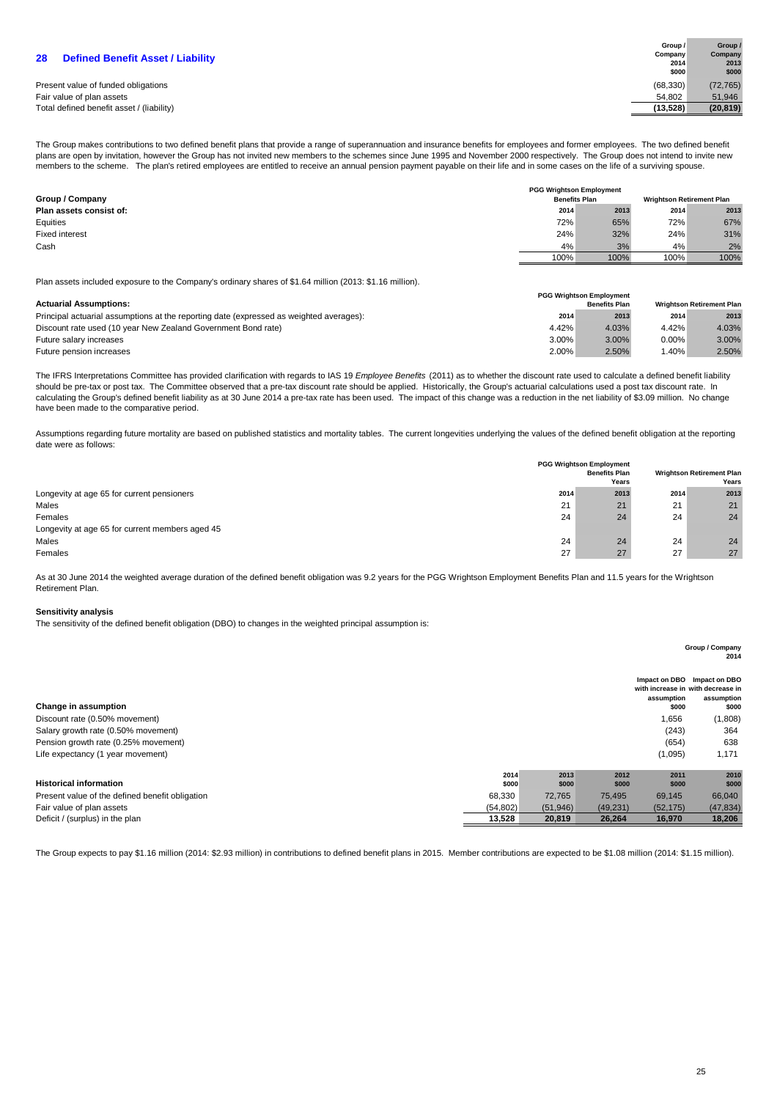| Present value of funded obligations       | (68.330) | (72, 765) |
|-------------------------------------------|----------|-----------|
| Fair value of plan assets                 | 54.802   | 51.946    |
| Total defined benefit asset / (liability) | (13.528) | (20.819)  |

| Group /   | Group /   |
|-----------|-----------|
| Company   | Company   |
| 2014      | 2013      |
| \$000     | \$000     |
| (68, 330) | (72, 765) |
| 54.802    | 51,946    |
| (13,528)  | (20, 819) |

The Group makes contributions to two defined benefit plans that provide a range of superannuation and insurance benefits for employees and former employees. The two defined benefit plans are open by invitation, however the Group has not invited new members to the schemes since June 1995 and November 2000 respectively. The Group does not intend to invite new members to the scheme. The plan's retired employees are entitled to receive an annual pension payment payable on their life and in some cases on the life of a surviving spouse.

| Group / Company         | <b>PGG Wrightson Employment</b><br><b>Benefits Plan</b> |      |      | <b>Wrightson Retirement Plan</b> |
|-------------------------|---------------------------------------------------------|------|------|----------------------------------|
| Plan assets consist of: | 2014                                                    | 2013 | 2014 | 2013                             |
| Equities                | 72%                                                     | 65%  | 72%  | 67%                              |
| Fixed interest          | 24%                                                     | 32%  | 24%  | 31%                              |
| Cash                    | 4%                                                      | 3%   | 4%   | 2%                               |
|                         | 100%                                                    | 100% | 100% | 100%                             |

Plan assets included exposure to the Company's ordinary shares of \$1.64 million (2013: \$1.16 million).

|                                                                                         |       | <b>PGG Wrightson Employment</b> |       |                                  |
|-----------------------------------------------------------------------------------------|-------|---------------------------------|-------|----------------------------------|
| <b>Actuarial Assumptions:</b>                                                           |       | <b>Benefits Plan</b>            |       | <b>Wrightson Retirement Plan</b> |
| Principal actuarial assumptions at the reporting date (expressed as weighted averages): | 2014  | 2013                            | 2014  | 2013                             |
| Discount rate used (10 year New Zealand Government Bond rate)                           | 4.42% | 4.03%                           | 4.42% | 4.03%                            |
| Future salary increases                                                                 | 3.00% | 3.00%                           | 0.00% | 3.00%                            |
| Future pension increases                                                                | 2.00% | 2.50%                           | .40%  | 2.50%                            |

The IFRS Interpretations Committee has provided clarification with regards to IAS 19 Employee Benefits (2011) as to whether the discount rate used to calculate a defined benefit liability should be pre-tax or post tax. The Committee observed that a pre-tax discount rate should be applied. Historically, the Group's actuarial calculations used a post tax discount rate. In calculating the Group's defined benefit liability as at 30 June 2014 a pre-tax rate has been used. The impact of this change was a reduction in the net liability of \$3.09 million. No change have been made to the comparative period.

Assumptions regarding future mortality are based on published statistics and mortality tables. The current longevities underlying the values of the defined benefit obligation at the reporting date were as follows:

|                                                 |      | <b>PGG Wrightson Employment</b><br><b>Benefits Plan</b><br>Years |      | <b>Wrightson Retirement Plan</b><br>Years |
|-------------------------------------------------|------|------------------------------------------------------------------|------|-------------------------------------------|
| Longevity at age 65 for current pensioners      | 2014 | 2013                                                             | 2014 | 2013                                      |
| Males                                           | 21   | 21                                                               | 21   | 21                                        |
| Females                                         | 24   | 24                                                               | 24   | 24                                        |
| Longevity at age 65 for current members aged 45 |      |                                                                  |      |                                           |
| Males                                           | 24   | 24                                                               | 24   | 24                                        |
| Females                                         | 27   | 27                                                               | 27   | 27                                        |

As at 30 June 2014 the weighted average duration of the defined benefit obligation was 9.2 years for the PGG Wrightson Employment Benefits Plan and 11.5 years for the Wrightson Retirement Plan.

## **Sensitivity analysis**

The sensitivity of the defined benefit obligation (DBO) to changes in the weighted principal assumption is:

|                                                 |               |               |               |                     | Group / Company<br>2014                                                                 |
|-------------------------------------------------|---------------|---------------|---------------|---------------------|-----------------------------------------------------------------------------------------|
| Change in assumption                            |               |               |               | assumption<br>\$000 | Impact on DBO Impact on DBO<br>with increase in with decrease in<br>assumption<br>\$000 |
| Discount rate (0.50% movement)                  |               |               |               | 1,656               | (1,808)                                                                                 |
| Salary growth rate (0.50% movement)             |               |               |               | (243)               | 364                                                                                     |
| Pension growth rate (0.25% movement)            |               |               |               | (654)               | 638                                                                                     |
| Life expectancy (1 year movement)               |               |               |               | (1,095)             | 1,171                                                                                   |
| <b>Historical information</b>                   | 2014<br>\$000 | 2013<br>\$000 | 2012<br>\$000 | 2011<br>\$000       | 2010<br>\$000                                                                           |
| Present value of the defined benefit obligation | 68,330        | 72,765        | 75,495        | 69,145              | 66,040                                                                                  |
| Fair value of plan assets                       | (54, 802)     | (51, 946)     | (49, 231)     | (52, 175)           | (47, 834)                                                                               |
| Deficit / (surplus) in the plan                 | 13,528        | 20,819        | 26,264        | 16,970              | 18,206                                                                                  |

The Group expects to pay \$1.16 million (2014: \$2.93 million) in contributions to defined benefit plans in 2015. Member contributions are expected to be \$1.08 million (2014: \$1.15 million).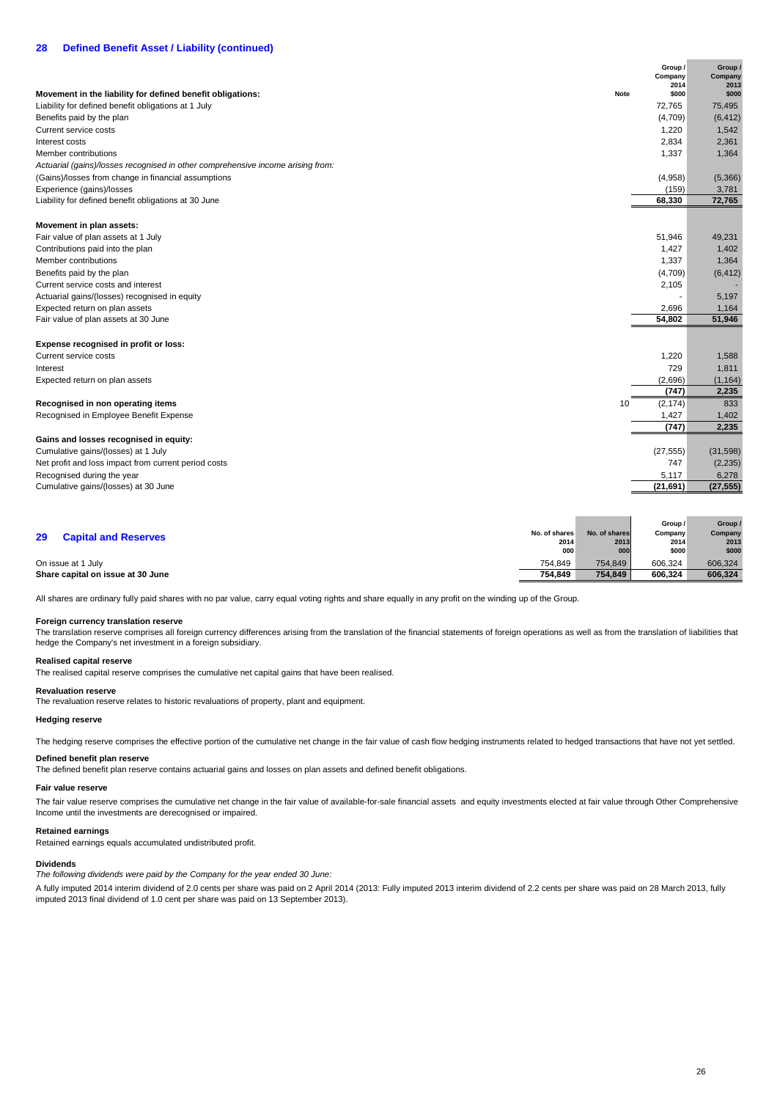|                                                                                 |      | Group /<br>Company<br>2014 | Group /<br>Company<br>2013 |
|---------------------------------------------------------------------------------|------|----------------------------|----------------------------|
| Movement in the liability for defined benefit obligations:                      | Note | \$000                      | \$000                      |
| Liability for defined benefit obligations at 1 July                             |      | 72,765                     | 75,495                     |
| Benefits paid by the plan                                                       |      | (4,709)                    | (6, 412)                   |
| Current service costs                                                           |      | 1,220                      | 1,542                      |
| Interest costs                                                                  |      | 2,834                      | 2,361                      |
| Member contributions                                                            |      | 1,337                      | 1,364                      |
| Actuarial (gains)/losses recognised in other comprehensive income arising from: |      |                            |                            |
| (Gains)/losses from change in financial assumptions                             |      | (4,958)                    | (5,366)                    |
| Experience (gains)/losses                                                       |      | (159)                      | 3,781                      |
| Liability for defined benefit obligations at 30 June                            |      | 68,330                     | 72,765                     |
| Movement in plan assets:                                                        |      |                            |                            |
| Fair value of plan assets at 1 July                                             |      | 51,946                     | 49,231                     |
| Contributions paid into the plan                                                |      | 1,427                      | 1,402                      |
| Member contributions                                                            |      | 1,337                      | 1,364                      |
| Benefits paid by the plan                                                       |      | (4,709)                    | (6, 412)                   |
| Current service costs and interest                                              |      | 2,105                      |                            |
| Actuarial gains/(losses) recognised in equity                                   |      | $\overline{\phantom{a}}$   | 5,197                      |
| Expected return on plan assets                                                  |      | 2,696                      | 1,164                      |
| Fair value of plan assets at 30 June                                            |      | 54,802                     | 51,946                     |
| Expense recognised in profit or loss:                                           |      |                            |                            |
| Current service costs                                                           |      | 1,220                      | 1,588                      |
| Interest                                                                        |      | 729                        | 1,811                      |
| Expected return on plan assets                                                  |      | (2,696)                    | (1, 164)                   |
|                                                                                 |      | (747)                      | 2,235                      |
| Recognised in non operating items                                               | 10   | (2, 174)                   | 833                        |
| Recognised in Employee Benefit Expense                                          |      | 1,427                      | 1,402                      |
|                                                                                 |      | (747)                      | 2,235                      |
| Gains and losses recognised in equity:                                          |      |                            |                            |
| Cumulative gains/(losses) at 1 July                                             |      | (27, 555)                  | (31, 598)                  |
| Net profit and loss impact from current period costs                            |      | 747                        | (2, 235)                   |
| Recognised during the year                                                      |      | 5,117                      | 6,278                      |
| Cumulative gains/(losses) at 30 June                                            |      | (21, 691)                  | (27, 555)                  |
|                                                                                 |      |                            |                            |

|    |                                   |               |               | Group / | Group / |
|----|-----------------------------------|---------------|---------------|---------|---------|
| 29 | <b>Capital and Reserves</b>       | No. of shares | No. of shares | Company | Company |
|    |                                   | 2014          | 2013          | 2014    | 2013    |
|    |                                   | 000           | 000           | \$000   | \$000   |
|    | On issue at 1 July                | 754.849       | 754.849       | 606.324 | 606,324 |
|    | Share capital on issue at 30 June | 754.849       | 754.849       | 606.324 | 606.324 |

All shares are ordinary fully paid shares with no par value, carry equal voting rights and share equally in any profit on the winding up of the Group.

## **Foreign currency translation reserve**

The translation reserve comprises all foreign currency differences arising from the translation of the financial statements of foreign operations as well as from the translation of liabilities that hedge the Company's net investment in a foreign subsidiary.

### **Realised capital reserve**

The realised capital reserve comprises the cumulative net capital gains that have been realised.

## **Revaluation reserve**

The revaluation reserve relates to historic revaluations of property, plant and equipment.

## **Hedging reserve**

The hedging reserve comprises the effective portion of the cumulative net change in the fair value of cash flow hedging instruments related to hedged transactions that have not vet settled.

## **Defined benefit plan reserve**

The defined benefit plan reserve contains actuarial gains and losses on plan assets and defined benefit obligations.

## **Fair value reserve**

The fair value reserve comprises the cumulative net change in the fair value of available-for-sale financial assets and equity investments elected at fair value through Other Comprehensive Income until the investments are derecognised or impaired.

## **Retained earnings**

Retained earnings equals accumulated undistributed profit.

## **Dividends**

The following dividends were paid by the Company for the year ended 30 June:

A fully imputed 2014 interim dividend of 2.0 cents per share was paid on 2 April 2014 (2013: Fully imputed 2013 interim dividend of 2.2 cents per share was paid on 28 March 2013, fully imputed 2013 final dividend of 1.0 cent per share was paid on 13 September 2013).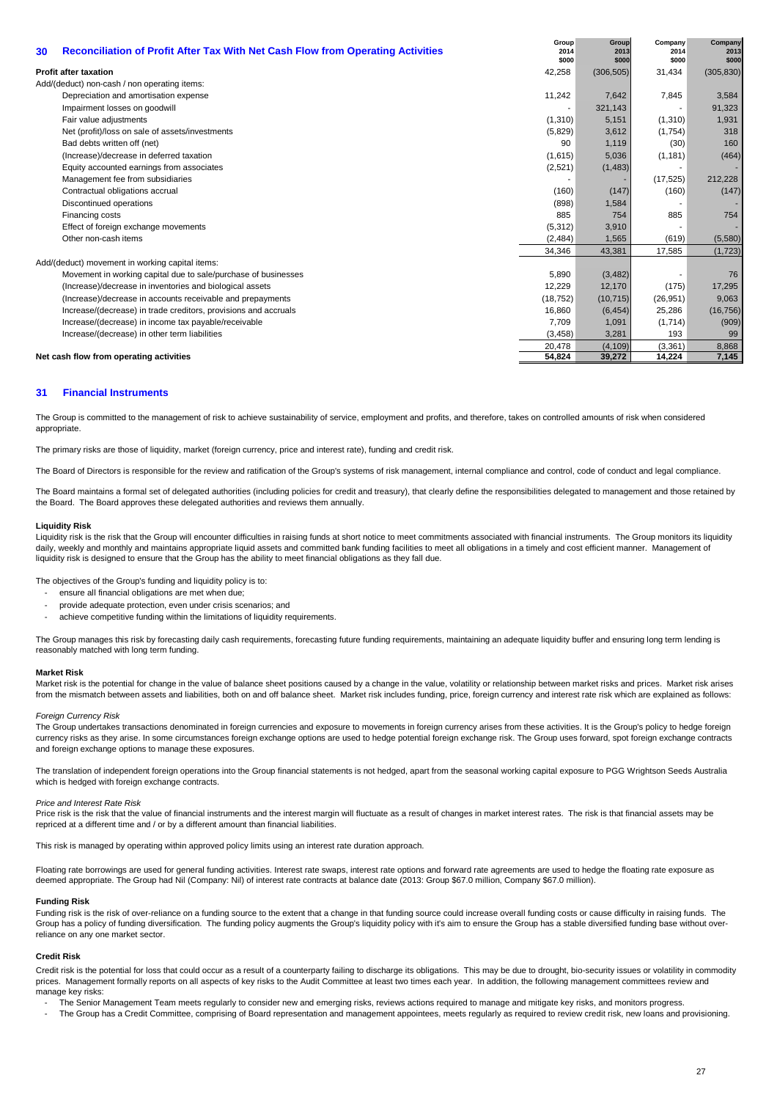| 30 | <b>Reconciliation of Profit After Tax With Net Cash Flow from Operating Activities</b> | Group<br>2014<br>\$000   | Group<br>2013<br>\$000 | Company<br>2014<br>\$000 | Company<br>2013<br>\$000 |
|----|----------------------------------------------------------------------------------------|--------------------------|------------------------|--------------------------|--------------------------|
|    | <b>Profit after taxation</b>                                                           | 42,258                   | (306, 505)             | 31,434                   | (305, 830)               |
|    | Add/(deduct) non-cash / non operating items:                                           |                          |                        |                          |                          |
|    | Depreciation and amortisation expense                                                  | 11,242                   | 7,642                  | 7,845                    | 3,584                    |
|    | Impairment losses on goodwill                                                          | $\overline{\phantom{a}}$ | 321,143                | $\overline{\phantom{a}}$ | 91,323                   |
|    | Fair value adjustments                                                                 | (1,310)                  | 5.151                  | (1,310)                  | 1,931                    |
|    | Net (profit)/loss on sale of assets/investments                                        | (5,829)                  | 3,612                  | (1,754)                  | 318                      |
|    | Bad debts written off (net)                                                            | 90                       | 1,119                  | (30)                     | 160                      |
|    | (Increase)/decrease in deferred taxation                                               | (1,615)                  | 5,036                  | (1, 181)                 | (464)                    |
|    | Equity accounted earnings from associates                                              | (2,521)                  | (1,483)                |                          |                          |
|    | Management fee from subsidiaries                                                       |                          |                        | (17, 525)                | 212,228                  |
|    | Contractual obligations accrual                                                        | (160)                    | (147)                  | (160)                    | (147)                    |
|    | Discontinued operations                                                                | (898)                    | 1,584                  |                          |                          |
|    | Financing costs                                                                        | 885                      | 754                    | 885                      | 754                      |
|    | Effect of foreign exchange movements                                                   | (5,312)                  | 3,910                  |                          |                          |
|    | Other non-cash items                                                                   | (2,484)                  | 1,565                  | (619)                    | (5,580)                  |
|    |                                                                                        | 34,346                   | 43,381                 | 17,585                   | (1, 723)                 |
|    | Add/(deduct) movement in working capital items:                                        |                          |                        |                          |                          |
|    | Movement in working capital due to sale/purchase of businesses                         | 5,890                    | (3, 482)               |                          | 76                       |
|    | (Increase)/decrease in inventories and biological assets                               | 12,229                   | 12,170                 | (175)                    | 17,295                   |
|    | (Increase)/decrease in accounts receivable and prepayments                             | (18, 752)                | (10, 715)              | (26, 951)                | 9,063                    |
|    | Increase/(decrease) in trade creditors, provisions and accruals                        | 16,860                   | (6, 454)               | 25,286                   | (16, 756)                |
|    | Increase/(decrease) in income tax payable/receivable                                   | 7,709                    | 1,091                  | (1,714)                  | (909)                    |
|    | Increase/(decrease) in other term liabilities                                          | (3, 458)                 | 3,281                  | 193                      | 99                       |
|    |                                                                                        | 20,478                   | (4, 109)               | (3,361)                  | 8,868                    |
|    | Net cash flow from operating activities                                                | 54,824                   | 39,272                 | 14,224                   | 7,145                    |

## **31 Financial Instruments**

The Group is committed to the management of risk to achieve sustainability of service, employment and profits, and therefore, takes on controlled amounts of risk when considered appropriate.

The primary risks are those of liquidity, market (foreign currency, price and interest rate), funding and credit risk.

The Board of Directors is responsible for the review and ratification of the Group's systems of risk management, internal compliance and control, code of conduct and legal compliance.

The Board maintains a formal set of delegated authorities (including policies for credit and treasury), that clearly define the responsibilities delegated to management and those retained by the Board. The Board approves these delegated authorities and reviews them annually.

### **Liquidity Risk**

Liquidity risk is the risk that the Group will encounter difficulties in raising funds at short notice to meet commitments associated with financial instruments. The Group monitors its liquidity daily, weekly and monthly and maintains appropriate liquid assets and committed bank funding facilities to meet all obligations in a timely and cost efficient manner. Management of liquidity risk is designed to ensure that the Group has the ability to meet financial obligations as they fall due.

The objectives of the Group's funding and liquidity policy is to:

- ensure all financial obligations are met when due;
- provide adequate protection, even under crisis scenarios; and
- achieve competitive funding within the limitations of liquidity requirements.

The Group manages this risk by forecasting daily cash requirements, forecasting future funding requirements, maintaining an adequate liquidity buffer and ensuring long term lending is reasonably matched with long term funding.

### **Market Risk**

Market risk is the potential for change in the value of balance sheet positions caused by a change in the value, volatility or relationship between market risks and prices. Market risk arises from the mismatch between assets and liabilities, both on and off balance sheet. Market risk includes funding, price, foreign currency and interest rate risk which are explained as follows:

## Foreign Currency Risk

The Group undertakes transactions denominated in foreign currencies and exposure to movements in foreign currency arises from these activities. It is the Group's policy to hedge foreign currency risks as they arise. In some circumstances foreign exchange options are used to hedge potential foreign exchange risk. The Group uses forward, spot foreign exchange contracts and foreign exchange options to manage these exposures.

The translation of independent foreign operations into the Group financial statements is not hedged, apart from the seasonal working capital exposure to PGG Wrightson Seeds Australia which is hedged with foreign exchange contracts.

## Price and Interest Rate Risk

Price risk is the risk that the value of financial instruments and the interest margin will fluctuate as a result of changes in market interest rates. The risk is that financial assets may be repriced at a different time and / or by a different amount than financial liabilities.

This risk is managed by operating within approved policy limits using an interest rate duration approach.

Floating rate borrowings are used for general funding activities. Interest rate swaps, interest rate options and forward rate agreements are used to hedge the floating rate exposure as deemed appropriate. The Group had Nil (Company: Nil) of interest rate contracts at balance date (2013: Group \$67.0 million, Company \$67.0 million).

## **Funding Risk**

Funding risk is the risk of over-reliance on a funding source to the extent that a change in that funding source could increase overall funding costs or cause difficulty in raising funds. The Group has a policy of funding diversification. The funding policy augments the Group's liquidity policy with it's aim to ensure the Group has a stable diversified funding base without overreliance on any one market sector.

### **Credit Risk**

Credit risk is the potential for loss that could occur as a result of a counterparty failing to discharge its obligations. This may be due to drought, bio-security issues or volatility in commodity prices. Management formally reports on all aspects of key risks to the Audit Committee at least two times each year. In addition, the following management committees review and manage key risks:

- The Senior Management Team meets regularly to consider new and emerging risks, reviews actions required to manage and mitigate key risks, and monitors progress.

- The Group has a Credit Committee, comprising of Board representation and management appointees, meets regularly as required to review credit risk, new loans and provisioning.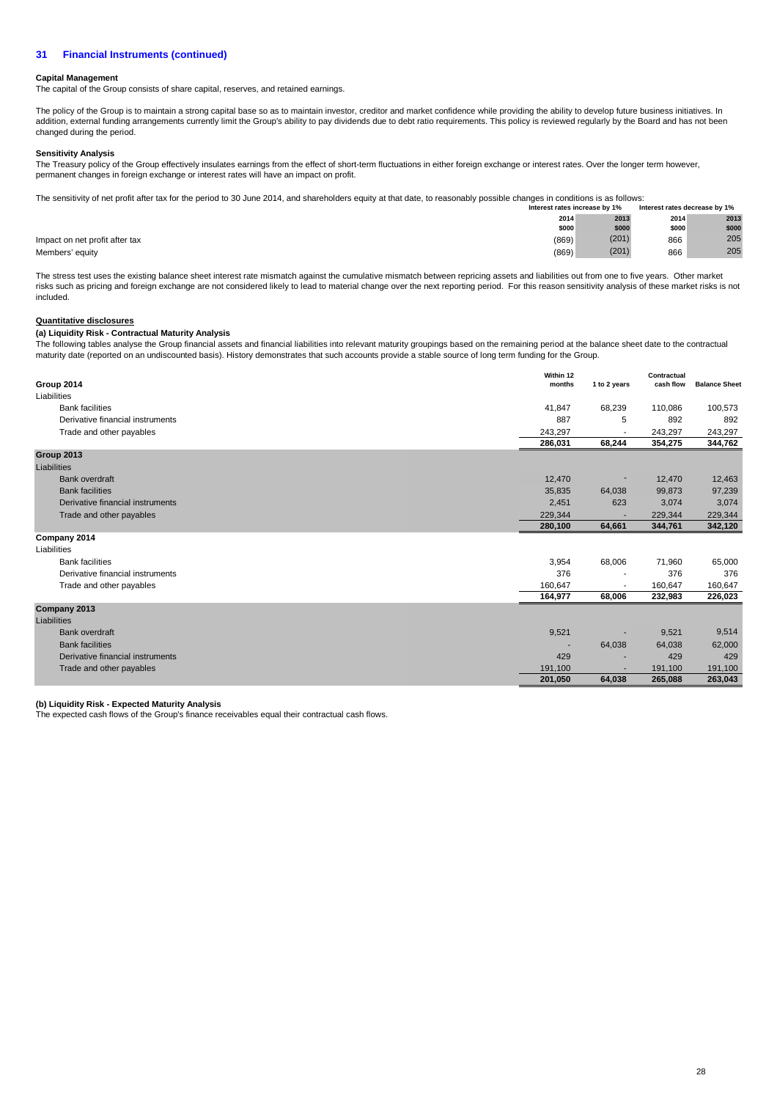## **Capital Management**

The capital of the Group consists of share capital, reserves, and retained earnings.

The policy of the Group is to maintain a strong capital base so as to maintain investor, creditor and market confidence while providing the ability to develop future business initiatives. In addition, external funding arrangements currently limit the Group's ability to pay dividends due to debt ratio requirements. This policy is reviewed regularly by the Board and has not been and has not been changed during the period.

## **Sensitivity Analysis**

The Treasury policy of the Group effectively insulates earnings from the effect of short-term fluctuations in either foreign exchange or interest rates. Over the longer term however, permanent changes in foreign exchange or interest rates will have an impact on profit.

**Interest rates decrease by 1%** The sensitivity of net profit after tax for the period to 30 June 2014, and shareholders equity at that date, to reasonably possible changes in conditions is as follows: **Interest rates increase by 1%**

|                                |       |       | .     | ______ |
|--------------------------------|-------|-------|-------|--------|
|                                | 2014  | 2013  | 2014  | 2013   |
|                                | \$000 | \$000 | \$000 | \$000  |
| Impact on net profit after tax | (869) | (201) | 866   | 205    |
| Members' equity                | (869) | (201) | 866   | 205    |

The stress test uses the existing balance sheet interest rate mismatch against the cumulative mismatch between repricing assets and liabilities out from one to five years. Other market risks such as pricing and foreign exchange are not considered likely to lead to material change over the next reporting period. For this reason sensitivity analysis of these market risks is not included.

## **Quantitative disclosures**

## **(a) Liquidity Risk - Contractual Maturity Analysis**

The following tables analyse the Group financial assets and financial liabilities into relevant maturity groupings based on the remaining period at the balance sheet date to the contractual maturity date (reported on an undiscounted basis). History demonstrates that such accounts provide a stable source of long term funding for the Group.

| Group 2014                       | Within 12<br>months | 1 to 2 years             | Contractual<br>cash flow | <b>Balance Sheet</b> |
|----------------------------------|---------------------|--------------------------|--------------------------|----------------------|
| Liabilities                      |                     |                          |                          |                      |
| <b>Bank facilities</b>           | 41,847              | 68,239                   | 110,086                  | 100,573              |
| Derivative financial instruments | 887                 | 5                        | 892                      | 892                  |
| Trade and other payables         | 243,297             |                          | 243,297                  | 243,297              |
|                                  | 286,031             | 68,244                   | 354,275                  | 344,762              |
| Group 2013                       |                     |                          |                          |                      |
| Liabilities                      |                     |                          |                          |                      |
| <b>Bank overdraft</b>            | 12,470              | ٠                        | 12,470                   | 12,463               |
| <b>Bank facilities</b>           | 35,835              | 64,038                   | 99,873                   | 97,239               |
| Derivative financial instruments | 2,451               | 623                      | 3,074                    | 3,074                |
| Trade and other payables         | 229,344             |                          | 229,344                  | 229,344              |
|                                  | 280,100             | 64,661                   | 344,761                  | 342,120              |
| Company 2014                     |                     |                          |                          |                      |
| Liabilities                      |                     |                          |                          |                      |
| <b>Bank facilities</b>           | 3,954               | 68,006                   | 71,960                   | 65,000               |
| Derivative financial instruments | 376                 | $\overline{\phantom{a}}$ | 376                      | 376                  |
| Trade and other payables         | 160,647             | $\overline{\phantom{a}}$ | 160,647                  | 160,647              |
|                                  | 164,977             | 68,006                   | 232,983                  | 226,023              |
| Company 2013                     |                     |                          |                          |                      |
| Liabilities                      |                     |                          |                          |                      |
| <b>Bank overdraft</b>            | 9,521               |                          | 9,521                    | 9,514                |
| <b>Bank facilities</b>           | н.                  | 64,038                   | 64,038                   | 62,000               |
| Derivative financial instruments | 429                 |                          | 429                      | 429                  |
| Trade and other payables         | 191,100             | ۰                        | 191,100                  | 191,100              |
|                                  | 201,050             | 64,038                   | 265,088                  | 263,043              |

## **(b) Liquidity Risk - Expected Maturity Analysis**

The expected cash flows of the Group's finance receivables equal their contractual cash flows.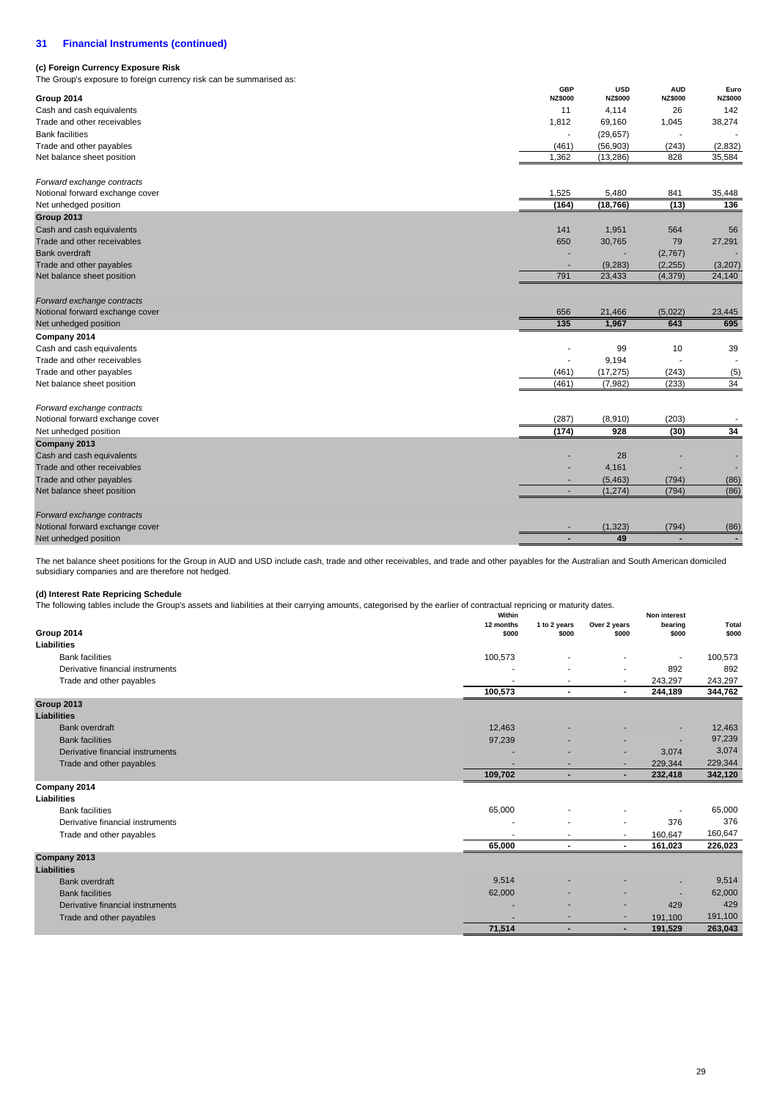## **(c) Foreign Currency Exposure Risk**

The Group's exposure to foreign currency risk can be summarised as:

| The Group's exposure to foreign currency risk can be summarised as: |                              |                              |                              |                        |
|---------------------------------------------------------------------|------------------------------|------------------------------|------------------------------|------------------------|
| Group 2014                                                          | <b>GBP</b><br><b>NZ\$000</b> | <b>USD</b><br><b>NZ\$000</b> | <b>AUD</b><br><b>NZ\$000</b> | Euro<br><b>NZ\$000</b> |
| Cash and cash equivalents                                           | 11                           | 4,114                        | 26                           | 142                    |
| Trade and other receivables                                         | 1,812                        | 69,160                       | 1,045                        | 38,274                 |
| <b>Bank facilities</b>                                              |                              | (29, 657)                    |                              |                        |
| Trade and other payables                                            | (461)                        | (56, 903)                    | (243)                        | (2, 832)               |
| Net balance sheet position                                          | 1,362                        | (13, 286)                    | 828                          | 35,584                 |
| Forward exchange contracts                                          |                              |                              |                              |                        |
| Notional forward exchange cover                                     | 1,525                        | 5,480                        | 841                          | 35,448                 |
| Net unhedged position                                               | (164)                        | (18, 766)                    | (13)                         | 136                    |
| Group 2013                                                          |                              |                              |                              |                        |
| Cash and cash equivalents                                           | 141                          | 1,951                        | 564                          | 56                     |
| Trade and other receivables                                         | 650                          | 30,765                       | 79                           | 27,291                 |
| <b>Bank overdraft</b>                                               |                              |                              | (2,767)                      |                        |
| Trade and other payables                                            |                              | (9, 283)                     | (2, 255)                     | (3,207)                |
| Net balance sheet position                                          | 791                          | 23,433                       | (4, 379)                     | 24,140                 |
| Forward exchange contracts                                          |                              |                              |                              |                        |
| Notional forward exchange cover                                     | 656                          | 21,466                       | (5,022)                      | 23,445                 |
| Net unhedged position                                               | 135                          | 1,967                        | 643                          | 695                    |
| Company 2014                                                        |                              |                              |                              |                        |
| Cash and cash equivalents                                           |                              | 99                           | 10                           | 39                     |
| Trade and other receivables                                         | $\overline{\phantom{a}}$     | 9,194                        |                              |                        |
| Trade and other payables                                            | (461)                        | (17, 275)                    | (243)                        | (5)                    |
| Net balance sheet position                                          | (461)                        | (7,982)                      | (233)                        | 34                     |
| Forward exchange contracts                                          |                              |                              |                              |                        |
| Notional forward exchange cover                                     | (287)                        | (8,910)                      | (203)                        |                        |
| Net unhedged position                                               | (174)                        | 928                          | (30)                         | 34                     |
| Company 2013                                                        |                              |                              |                              |                        |
| Cash and cash equivalents                                           |                              | 28                           |                              |                        |
| Trade and other receivables                                         |                              | 4,161                        |                              |                        |
| Trade and other payables                                            |                              | (5, 463)                     | (794)                        | (86)                   |
| Net balance sheet position                                          | ٠                            | (1, 274)                     | (794)                        | (86)                   |
| Forward exchange contracts                                          |                              |                              |                              |                        |
| Notional forward exchange cover                                     |                              | (1, 323)                     | (794)                        | (86)                   |
| Net unhedged position                                               |                              | 49                           |                              |                        |

The net balance sheet positions for the Group in AUD and USD include cash, trade and other receivables, and trade and other payables for the Australian and South American domiciled subsidiary companies and are therefore not hedged.

## **(d) Interest Rate Repricing Schedule**

The following tables include the Group's assets and liabilities at their carrying amounts, categorised by the earlier of contractual repricing or maturity dates.

| The following tables include the Group's assets and habilities at their carrying amounts, categorised by the earlier of contractual repricing or maturity dates.<br>Within |           |                |                          | Non interest |         |  |
|----------------------------------------------------------------------------------------------------------------------------------------------------------------------------|-----------|----------------|--------------------------|--------------|---------|--|
|                                                                                                                                                                            | 12 months | 1 to 2 years   | Over 2 years             | bearing      | Total   |  |
| Group 2014                                                                                                                                                                 | \$000     | \$000          | \$000                    | \$000        | \$000   |  |
| Liabilities                                                                                                                                                                |           |                |                          |              |         |  |
| <b>Bank facilities</b>                                                                                                                                                     | 100,573   |                |                          | ٠            | 100,573 |  |
| Derivative financial instruments                                                                                                                                           |           |                | $\overline{\phantom{a}}$ | 892          | 892     |  |
| Trade and other payables                                                                                                                                                   |           |                | ٠                        | 243,297      | 243,297 |  |
|                                                                                                                                                                            | 100,573   | $\blacksquare$ | $\sim$                   | 244,189      | 344,762 |  |
| Group 2013                                                                                                                                                                 |           |                |                          |              |         |  |
| <b>Liabilities</b>                                                                                                                                                         |           |                |                          |              |         |  |
| <b>Bank overdraft</b>                                                                                                                                                      | 12,463    |                |                          | ۰            | 12,463  |  |
| <b>Bank facilities</b>                                                                                                                                                     | 97,239    |                |                          |              | 97,239  |  |
| Derivative financial instruments                                                                                                                                           |           |                | ۰                        | 3,074        | 3,074   |  |
| Trade and other payables                                                                                                                                                   | н.        |                | ۰                        | 229,344      | 229,344 |  |
|                                                                                                                                                                            | 109,702   | ٠              | $\blacksquare$           | 232,418      | 342,120 |  |
| Company 2014                                                                                                                                                               |           |                |                          |              |         |  |
| Liabilities                                                                                                                                                                |           |                |                          |              |         |  |
| <b>Bank facilities</b>                                                                                                                                                     | 65,000    |                |                          |              | 65,000  |  |
| Derivative financial instruments                                                                                                                                           |           |                | ٠                        | 376          | 376     |  |
| Trade and other payables                                                                                                                                                   | ٠         | $\sim$         | $\overline{\phantom{a}}$ | 160,647      | 160,647 |  |
|                                                                                                                                                                            | 65,000    | $\sim$         | $\blacksquare$           | 161,023      | 226,023 |  |
| Company 2013                                                                                                                                                               |           |                |                          |              |         |  |
| <b>Liabilities</b>                                                                                                                                                         |           |                |                          |              |         |  |
| <b>Bank overdraft</b>                                                                                                                                                      | 9,514     |                |                          |              | 9,514   |  |
| <b>Bank facilities</b>                                                                                                                                                     | 62,000    |                |                          |              | 62,000  |  |
| Derivative financial instruments                                                                                                                                           |           |                | $\overline{\phantom{a}}$ | 429          | 429     |  |
| Trade and other payables                                                                                                                                                   |           |                | ٠                        | 191,100      | 191,100 |  |
|                                                                                                                                                                            | 71,514    | ۰              | ۰                        | 191,529      | 263,043 |  |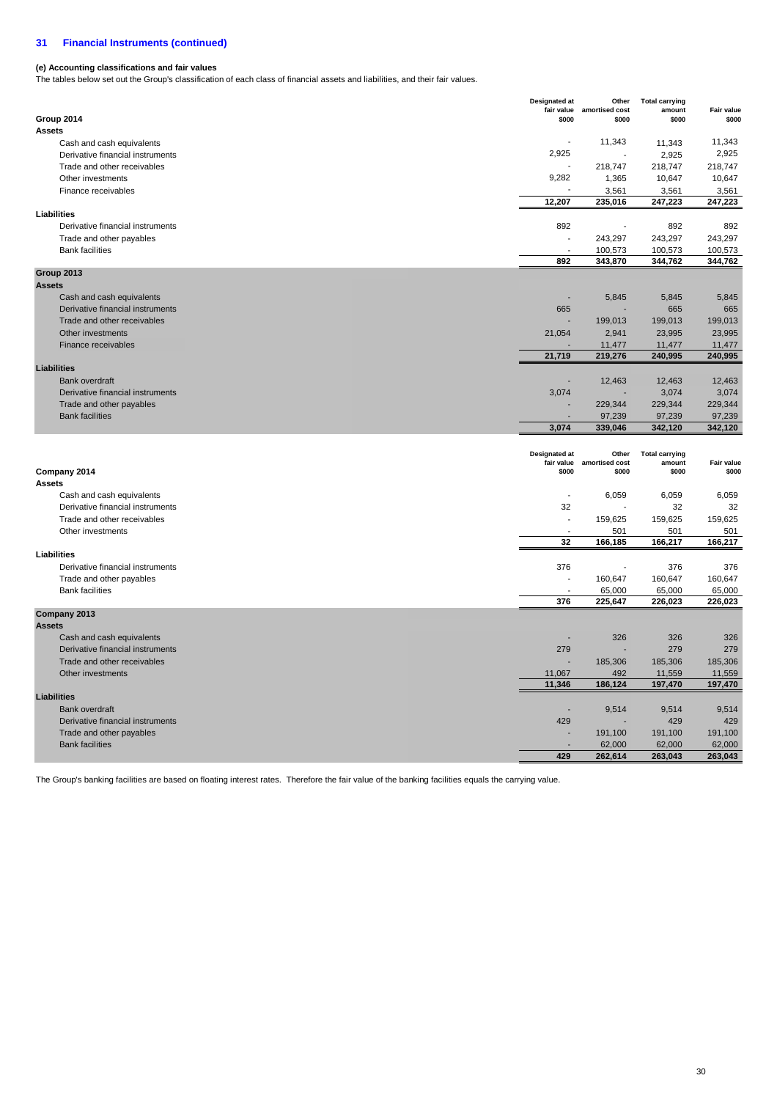## **(e) Accounting classifications and fair values**

The tables below set out the Group's classification of each class of financial assets and liabilities, and their fair values.

| <b>Assets</b><br>11,343<br>11,343<br>11,343<br>Cash and cash equivalents<br>2,925<br>2,925<br>2,925<br>Derivative financial instruments<br>Trade and other receivables<br>218,747<br>218,747<br>218,747<br>9,282<br>1,365<br>10,647<br>10,647<br>Other investments<br>Finance receivables<br>3,561<br>3,561<br>3,561<br>12,207<br>235,016<br>247,223<br>247,223<br>Liabilities<br>892<br>892<br>Derivative financial instruments<br>892<br>$\blacksquare$<br>243,297<br>Trade and other payables<br>243,297<br>243,297<br><b>Bank facilities</b><br>100,573<br>100,573<br>100,573<br>892<br>343,870<br>344,762<br>344,762<br>Group 2013<br><b>Assets</b><br>Cash and cash equivalents<br>5,845<br>5,845<br>5,845<br>Derivative financial instruments<br>665<br>665<br>665<br>Trade and other receivables<br>199,013<br>199,013<br>199,013<br>2,941<br>Other investments<br>21,054<br>23,995<br>23,995<br>Finance receivables<br>11,477<br>11,477<br>11,477<br>21,719<br>219,276<br>240,995<br>240,995<br><b>Liabilities</b><br><b>Bank overdraft</b><br>12,463<br>12,463<br>12,463<br>Derivative financial instruments<br>3,074<br>3,074<br>3,074<br>229,344<br>Trade and other payables<br>229,344<br>229,344<br>97,239<br>97,239<br><b>Bank facilities</b><br>97,239<br>3.074<br>339,046<br>342,120<br>342,120<br><b>Designated at</b><br>Other<br><b>Total carrying</b><br>fair value<br>amortised cost<br>amount<br>Fair value<br>Company 2014<br>\$000<br>\$000<br>\$000<br>\$000<br><b>Assets</b><br>6,059<br>6,059<br>6,059<br>Cash and cash equivalents<br>÷,<br>Derivative financial instruments<br>32<br>32<br>32<br>Trade and other receivables<br>159,625<br>159,625<br>159,625<br>÷,<br>Other investments<br>501<br>501<br>501<br>32<br>166,185<br>166,217<br>166,217<br><b>Liabilities</b><br>Derivative financial instruments<br>376<br>376<br>376<br>Trade and other payables<br>160,647<br>160,647<br>160,647<br><b>Bank facilities</b><br>65,000<br>65,000<br>65,000<br>376<br>226,023<br>225,647<br>226,023<br>Company 2013<br><b>Assets</b><br>Cash and cash equivalents<br>326<br>326<br>326<br>Derivative financial instruments<br>279<br>279<br>279<br>185,306<br>Trade and other receivables<br>185,306<br>185,306<br>Other investments<br>11,067<br>492<br>11,559<br>11,559<br>11,346<br>186,124<br>197,470<br>197,470<br><b>Liabilities</b><br><b>Bank overdraft</b><br>9,514<br>9,514<br>9,514<br>Derivative financial instruments<br>429<br>429<br>429<br>Trade and other payables<br>191,100<br>191,100<br>191,100<br>62,000<br>62,000<br>62,000<br><b>Bank facilities</b><br>429<br>262,614<br>263,043<br>263,043 | Group 2014 | <b>Designated at</b><br>fair value<br>\$000 | Other<br>amortised cost<br>\$000 | <b>Total carrying</b><br>amount<br>\$000 | Fair value<br>\$000 |
|-------------------------------------------------------------------------------------------------------------------------------------------------------------------------------------------------------------------------------------------------------------------------------------------------------------------------------------------------------------------------------------------------------------------------------------------------------------------------------------------------------------------------------------------------------------------------------------------------------------------------------------------------------------------------------------------------------------------------------------------------------------------------------------------------------------------------------------------------------------------------------------------------------------------------------------------------------------------------------------------------------------------------------------------------------------------------------------------------------------------------------------------------------------------------------------------------------------------------------------------------------------------------------------------------------------------------------------------------------------------------------------------------------------------------------------------------------------------------------------------------------------------------------------------------------------------------------------------------------------------------------------------------------------------------------------------------------------------------------------------------------------------------------------------------------------------------------------------------------------------------------------------------------------------------------------------------------------------------------------------------------------------------------------------------------------------------------------------------------------------------------------------------------------------------------------------------------------------------------------------------------------------------------------------------------------------------------------------------------------------------------------------------------------------------------------------------------------------------------------------------------------------------------------------------------------------------------------------------------------------------------------------------|------------|---------------------------------------------|----------------------------------|------------------------------------------|---------------------|
|                                                                                                                                                                                                                                                                                                                                                                                                                                                                                                                                                                                                                                                                                                                                                                                                                                                                                                                                                                                                                                                                                                                                                                                                                                                                                                                                                                                                                                                                                                                                                                                                                                                                                                                                                                                                                                                                                                                                                                                                                                                                                                                                                                                                                                                                                                                                                                                                                                                                                                                                                                                                                                                 |            |                                             |                                  |                                          |                     |
|                                                                                                                                                                                                                                                                                                                                                                                                                                                                                                                                                                                                                                                                                                                                                                                                                                                                                                                                                                                                                                                                                                                                                                                                                                                                                                                                                                                                                                                                                                                                                                                                                                                                                                                                                                                                                                                                                                                                                                                                                                                                                                                                                                                                                                                                                                                                                                                                                                                                                                                                                                                                                                                 |            |                                             |                                  |                                          |                     |
|                                                                                                                                                                                                                                                                                                                                                                                                                                                                                                                                                                                                                                                                                                                                                                                                                                                                                                                                                                                                                                                                                                                                                                                                                                                                                                                                                                                                                                                                                                                                                                                                                                                                                                                                                                                                                                                                                                                                                                                                                                                                                                                                                                                                                                                                                                                                                                                                                                                                                                                                                                                                                                                 |            |                                             |                                  |                                          |                     |
|                                                                                                                                                                                                                                                                                                                                                                                                                                                                                                                                                                                                                                                                                                                                                                                                                                                                                                                                                                                                                                                                                                                                                                                                                                                                                                                                                                                                                                                                                                                                                                                                                                                                                                                                                                                                                                                                                                                                                                                                                                                                                                                                                                                                                                                                                                                                                                                                                                                                                                                                                                                                                                                 |            |                                             |                                  |                                          |                     |
|                                                                                                                                                                                                                                                                                                                                                                                                                                                                                                                                                                                                                                                                                                                                                                                                                                                                                                                                                                                                                                                                                                                                                                                                                                                                                                                                                                                                                                                                                                                                                                                                                                                                                                                                                                                                                                                                                                                                                                                                                                                                                                                                                                                                                                                                                                                                                                                                                                                                                                                                                                                                                                                 |            |                                             |                                  |                                          |                     |
|                                                                                                                                                                                                                                                                                                                                                                                                                                                                                                                                                                                                                                                                                                                                                                                                                                                                                                                                                                                                                                                                                                                                                                                                                                                                                                                                                                                                                                                                                                                                                                                                                                                                                                                                                                                                                                                                                                                                                                                                                                                                                                                                                                                                                                                                                                                                                                                                                                                                                                                                                                                                                                                 |            |                                             |                                  |                                          |                     |
|                                                                                                                                                                                                                                                                                                                                                                                                                                                                                                                                                                                                                                                                                                                                                                                                                                                                                                                                                                                                                                                                                                                                                                                                                                                                                                                                                                                                                                                                                                                                                                                                                                                                                                                                                                                                                                                                                                                                                                                                                                                                                                                                                                                                                                                                                                                                                                                                                                                                                                                                                                                                                                                 |            |                                             |                                  |                                          |                     |
|                                                                                                                                                                                                                                                                                                                                                                                                                                                                                                                                                                                                                                                                                                                                                                                                                                                                                                                                                                                                                                                                                                                                                                                                                                                                                                                                                                                                                                                                                                                                                                                                                                                                                                                                                                                                                                                                                                                                                                                                                                                                                                                                                                                                                                                                                                                                                                                                                                                                                                                                                                                                                                                 |            |                                             |                                  |                                          |                     |
|                                                                                                                                                                                                                                                                                                                                                                                                                                                                                                                                                                                                                                                                                                                                                                                                                                                                                                                                                                                                                                                                                                                                                                                                                                                                                                                                                                                                                                                                                                                                                                                                                                                                                                                                                                                                                                                                                                                                                                                                                                                                                                                                                                                                                                                                                                                                                                                                                                                                                                                                                                                                                                                 |            |                                             |                                  |                                          |                     |
|                                                                                                                                                                                                                                                                                                                                                                                                                                                                                                                                                                                                                                                                                                                                                                                                                                                                                                                                                                                                                                                                                                                                                                                                                                                                                                                                                                                                                                                                                                                                                                                                                                                                                                                                                                                                                                                                                                                                                                                                                                                                                                                                                                                                                                                                                                                                                                                                                                                                                                                                                                                                                                                 |            |                                             |                                  |                                          |                     |
|                                                                                                                                                                                                                                                                                                                                                                                                                                                                                                                                                                                                                                                                                                                                                                                                                                                                                                                                                                                                                                                                                                                                                                                                                                                                                                                                                                                                                                                                                                                                                                                                                                                                                                                                                                                                                                                                                                                                                                                                                                                                                                                                                                                                                                                                                                                                                                                                                                                                                                                                                                                                                                                 |            |                                             |                                  |                                          |                     |
|                                                                                                                                                                                                                                                                                                                                                                                                                                                                                                                                                                                                                                                                                                                                                                                                                                                                                                                                                                                                                                                                                                                                                                                                                                                                                                                                                                                                                                                                                                                                                                                                                                                                                                                                                                                                                                                                                                                                                                                                                                                                                                                                                                                                                                                                                                                                                                                                                                                                                                                                                                                                                                                 |            |                                             |                                  |                                          |                     |
|                                                                                                                                                                                                                                                                                                                                                                                                                                                                                                                                                                                                                                                                                                                                                                                                                                                                                                                                                                                                                                                                                                                                                                                                                                                                                                                                                                                                                                                                                                                                                                                                                                                                                                                                                                                                                                                                                                                                                                                                                                                                                                                                                                                                                                                                                                                                                                                                                                                                                                                                                                                                                                                 |            |                                             |                                  |                                          |                     |
|                                                                                                                                                                                                                                                                                                                                                                                                                                                                                                                                                                                                                                                                                                                                                                                                                                                                                                                                                                                                                                                                                                                                                                                                                                                                                                                                                                                                                                                                                                                                                                                                                                                                                                                                                                                                                                                                                                                                                                                                                                                                                                                                                                                                                                                                                                                                                                                                                                                                                                                                                                                                                                                 |            |                                             |                                  |                                          |                     |
|                                                                                                                                                                                                                                                                                                                                                                                                                                                                                                                                                                                                                                                                                                                                                                                                                                                                                                                                                                                                                                                                                                                                                                                                                                                                                                                                                                                                                                                                                                                                                                                                                                                                                                                                                                                                                                                                                                                                                                                                                                                                                                                                                                                                                                                                                                                                                                                                                                                                                                                                                                                                                                                 |            |                                             |                                  |                                          |                     |
|                                                                                                                                                                                                                                                                                                                                                                                                                                                                                                                                                                                                                                                                                                                                                                                                                                                                                                                                                                                                                                                                                                                                                                                                                                                                                                                                                                                                                                                                                                                                                                                                                                                                                                                                                                                                                                                                                                                                                                                                                                                                                                                                                                                                                                                                                                                                                                                                                                                                                                                                                                                                                                                 |            |                                             |                                  |                                          |                     |
|                                                                                                                                                                                                                                                                                                                                                                                                                                                                                                                                                                                                                                                                                                                                                                                                                                                                                                                                                                                                                                                                                                                                                                                                                                                                                                                                                                                                                                                                                                                                                                                                                                                                                                                                                                                                                                                                                                                                                                                                                                                                                                                                                                                                                                                                                                                                                                                                                                                                                                                                                                                                                                                 |            |                                             |                                  |                                          |                     |
|                                                                                                                                                                                                                                                                                                                                                                                                                                                                                                                                                                                                                                                                                                                                                                                                                                                                                                                                                                                                                                                                                                                                                                                                                                                                                                                                                                                                                                                                                                                                                                                                                                                                                                                                                                                                                                                                                                                                                                                                                                                                                                                                                                                                                                                                                                                                                                                                                                                                                                                                                                                                                                                 |            |                                             |                                  |                                          |                     |
|                                                                                                                                                                                                                                                                                                                                                                                                                                                                                                                                                                                                                                                                                                                                                                                                                                                                                                                                                                                                                                                                                                                                                                                                                                                                                                                                                                                                                                                                                                                                                                                                                                                                                                                                                                                                                                                                                                                                                                                                                                                                                                                                                                                                                                                                                                                                                                                                                                                                                                                                                                                                                                                 |            |                                             |                                  |                                          |                     |
|                                                                                                                                                                                                                                                                                                                                                                                                                                                                                                                                                                                                                                                                                                                                                                                                                                                                                                                                                                                                                                                                                                                                                                                                                                                                                                                                                                                                                                                                                                                                                                                                                                                                                                                                                                                                                                                                                                                                                                                                                                                                                                                                                                                                                                                                                                                                                                                                                                                                                                                                                                                                                                                 |            |                                             |                                  |                                          |                     |
|                                                                                                                                                                                                                                                                                                                                                                                                                                                                                                                                                                                                                                                                                                                                                                                                                                                                                                                                                                                                                                                                                                                                                                                                                                                                                                                                                                                                                                                                                                                                                                                                                                                                                                                                                                                                                                                                                                                                                                                                                                                                                                                                                                                                                                                                                                                                                                                                                                                                                                                                                                                                                                                 |            |                                             |                                  |                                          |                     |
|                                                                                                                                                                                                                                                                                                                                                                                                                                                                                                                                                                                                                                                                                                                                                                                                                                                                                                                                                                                                                                                                                                                                                                                                                                                                                                                                                                                                                                                                                                                                                                                                                                                                                                                                                                                                                                                                                                                                                                                                                                                                                                                                                                                                                                                                                                                                                                                                                                                                                                                                                                                                                                                 |            |                                             |                                  |                                          |                     |
|                                                                                                                                                                                                                                                                                                                                                                                                                                                                                                                                                                                                                                                                                                                                                                                                                                                                                                                                                                                                                                                                                                                                                                                                                                                                                                                                                                                                                                                                                                                                                                                                                                                                                                                                                                                                                                                                                                                                                                                                                                                                                                                                                                                                                                                                                                                                                                                                                                                                                                                                                                                                                                                 |            |                                             |                                  |                                          |                     |
|                                                                                                                                                                                                                                                                                                                                                                                                                                                                                                                                                                                                                                                                                                                                                                                                                                                                                                                                                                                                                                                                                                                                                                                                                                                                                                                                                                                                                                                                                                                                                                                                                                                                                                                                                                                                                                                                                                                                                                                                                                                                                                                                                                                                                                                                                                                                                                                                                                                                                                                                                                                                                                                 |            |                                             |                                  |                                          |                     |
|                                                                                                                                                                                                                                                                                                                                                                                                                                                                                                                                                                                                                                                                                                                                                                                                                                                                                                                                                                                                                                                                                                                                                                                                                                                                                                                                                                                                                                                                                                                                                                                                                                                                                                                                                                                                                                                                                                                                                                                                                                                                                                                                                                                                                                                                                                                                                                                                                                                                                                                                                                                                                                                 |            |                                             |                                  |                                          |                     |
|                                                                                                                                                                                                                                                                                                                                                                                                                                                                                                                                                                                                                                                                                                                                                                                                                                                                                                                                                                                                                                                                                                                                                                                                                                                                                                                                                                                                                                                                                                                                                                                                                                                                                                                                                                                                                                                                                                                                                                                                                                                                                                                                                                                                                                                                                                                                                                                                                                                                                                                                                                                                                                                 |            |                                             |                                  |                                          |                     |
|                                                                                                                                                                                                                                                                                                                                                                                                                                                                                                                                                                                                                                                                                                                                                                                                                                                                                                                                                                                                                                                                                                                                                                                                                                                                                                                                                                                                                                                                                                                                                                                                                                                                                                                                                                                                                                                                                                                                                                                                                                                                                                                                                                                                                                                                                                                                                                                                                                                                                                                                                                                                                                                 |            |                                             |                                  |                                          |                     |
|                                                                                                                                                                                                                                                                                                                                                                                                                                                                                                                                                                                                                                                                                                                                                                                                                                                                                                                                                                                                                                                                                                                                                                                                                                                                                                                                                                                                                                                                                                                                                                                                                                                                                                                                                                                                                                                                                                                                                                                                                                                                                                                                                                                                                                                                                                                                                                                                                                                                                                                                                                                                                                                 |            |                                             |                                  |                                          |                     |
|                                                                                                                                                                                                                                                                                                                                                                                                                                                                                                                                                                                                                                                                                                                                                                                                                                                                                                                                                                                                                                                                                                                                                                                                                                                                                                                                                                                                                                                                                                                                                                                                                                                                                                                                                                                                                                                                                                                                                                                                                                                                                                                                                                                                                                                                                                                                                                                                                                                                                                                                                                                                                                                 |            |                                             |                                  |                                          |                     |
|                                                                                                                                                                                                                                                                                                                                                                                                                                                                                                                                                                                                                                                                                                                                                                                                                                                                                                                                                                                                                                                                                                                                                                                                                                                                                                                                                                                                                                                                                                                                                                                                                                                                                                                                                                                                                                                                                                                                                                                                                                                                                                                                                                                                                                                                                                                                                                                                                                                                                                                                                                                                                                                 |            |                                             |                                  |                                          |                     |
|                                                                                                                                                                                                                                                                                                                                                                                                                                                                                                                                                                                                                                                                                                                                                                                                                                                                                                                                                                                                                                                                                                                                                                                                                                                                                                                                                                                                                                                                                                                                                                                                                                                                                                                                                                                                                                                                                                                                                                                                                                                                                                                                                                                                                                                                                                                                                                                                                                                                                                                                                                                                                                                 |            |                                             |                                  |                                          |                     |
|                                                                                                                                                                                                                                                                                                                                                                                                                                                                                                                                                                                                                                                                                                                                                                                                                                                                                                                                                                                                                                                                                                                                                                                                                                                                                                                                                                                                                                                                                                                                                                                                                                                                                                                                                                                                                                                                                                                                                                                                                                                                                                                                                                                                                                                                                                                                                                                                                                                                                                                                                                                                                                                 |            |                                             |                                  |                                          |                     |
|                                                                                                                                                                                                                                                                                                                                                                                                                                                                                                                                                                                                                                                                                                                                                                                                                                                                                                                                                                                                                                                                                                                                                                                                                                                                                                                                                                                                                                                                                                                                                                                                                                                                                                                                                                                                                                                                                                                                                                                                                                                                                                                                                                                                                                                                                                                                                                                                                                                                                                                                                                                                                                                 |            |                                             |                                  |                                          |                     |
|                                                                                                                                                                                                                                                                                                                                                                                                                                                                                                                                                                                                                                                                                                                                                                                                                                                                                                                                                                                                                                                                                                                                                                                                                                                                                                                                                                                                                                                                                                                                                                                                                                                                                                                                                                                                                                                                                                                                                                                                                                                                                                                                                                                                                                                                                                                                                                                                                                                                                                                                                                                                                                                 |            |                                             |                                  |                                          |                     |
|                                                                                                                                                                                                                                                                                                                                                                                                                                                                                                                                                                                                                                                                                                                                                                                                                                                                                                                                                                                                                                                                                                                                                                                                                                                                                                                                                                                                                                                                                                                                                                                                                                                                                                                                                                                                                                                                                                                                                                                                                                                                                                                                                                                                                                                                                                                                                                                                                                                                                                                                                                                                                                                 |            |                                             |                                  |                                          |                     |
|                                                                                                                                                                                                                                                                                                                                                                                                                                                                                                                                                                                                                                                                                                                                                                                                                                                                                                                                                                                                                                                                                                                                                                                                                                                                                                                                                                                                                                                                                                                                                                                                                                                                                                                                                                                                                                                                                                                                                                                                                                                                                                                                                                                                                                                                                                                                                                                                                                                                                                                                                                                                                                                 |            |                                             |                                  |                                          |                     |
|                                                                                                                                                                                                                                                                                                                                                                                                                                                                                                                                                                                                                                                                                                                                                                                                                                                                                                                                                                                                                                                                                                                                                                                                                                                                                                                                                                                                                                                                                                                                                                                                                                                                                                                                                                                                                                                                                                                                                                                                                                                                                                                                                                                                                                                                                                                                                                                                                                                                                                                                                                                                                                                 |            |                                             |                                  |                                          |                     |
|                                                                                                                                                                                                                                                                                                                                                                                                                                                                                                                                                                                                                                                                                                                                                                                                                                                                                                                                                                                                                                                                                                                                                                                                                                                                                                                                                                                                                                                                                                                                                                                                                                                                                                                                                                                                                                                                                                                                                                                                                                                                                                                                                                                                                                                                                                                                                                                                                                                                                                                                                                                                                                                 |            |                                             |                                  |                                          |                     |
|                                                                                                                                                                                                                                                                                                                                                                                                                                                                                                                                                                                                                                                                                                                                                                                                                                                                                                                                                                                                                                                                                                                                                                                                                                                                                                                                                                                                                                                                                                                                                                                                                                                                                                                                                                                                                                                                                                                                                                                                                                                                                                                                                                                                                                                                                                                                                                                                                                                                                                                                                                                                                                                 |            |                                             |                                  |                                          |                     |
|                                                                                                                                                                                                                                                                                                                                                                                                                                                                                                                                                                                                                                                                                                                                                                                                                                                                                                                                                                                                                                                                                                                                                                                                                                                                                                                                                                                                                                                                                                                                                                                                                                                                                                                                                                                                                                                                                                                                                                                                                                                                                                                                                                                                                                                                                                                                                                                                                                                                                                                                                                                                                                                 |            |                                             |                                  |                                          |                     |
|                                                                                                                                                                                                                                                                                                                                                                                                                                                                                                                                                                                                                                                                                                                                                                                                                                                                                                                                                                                                                                                                                                                                                                                                                                                                                                                                                                                                                                                                                                                                                                                                                                                                                                                                                                                                                                                                                                                                                                                                                                                                                                                                                                                                                                                                                                                                                                                                                                                                                                                                                                                                                                                 |            |                                             |                                  |                                          |                     |
|                                                                                                                                                                                                                                                                                                                                                                                                                                                                                                                                                                                                                                                                                                                                                                                                                                                                                                                                                                                                                                                                                                                                                                                                                                                                                                                                                                                                                                                                                                                                                                                                                                                                                                                                                                                                                                                                                                                                                                                                                                                                                                                                                                                                                                                                                                                                                                                                                                                                                                                                                                                                                                                 |            |                                             |                                  |                                          |                     |
|                                                                                                                                                                                                                                                                                                                                                                                                                                                                                                                                                                                                                                                                                                                                                                                                                                                                                                                                                                                                                                                                                                                                                                                                                                                                                                                                                                                                                                                                                                                                                                                                                                                                                                                                                                                                                                                                                                                                                                                                                                                                                                                                                                                                                                                                                                                                                                                                                                                                                                                                                                                                                                                 |            |                                             |                                  |                                          |                     |
|                                                                                                                                                                                                                                                                                                                                                                                                                                                                                                                                                                                                                                                                                                                                                                                                                                                                                                                                                                                                                                                                                                                                                                                                                                                                                                                                                                                                                                                                                                                                                                                                                                                                                                                                                                                                                                                                                                                                                                                                                                                                                                                                                                                                                                                                                                                                                                                                                                                                                                                                                                                                                                                 |            |                                             |                                  |                                          |                     |
|                                                                                                                                                                                                                                                                                                                                                                                                                                                                                                                                                                                                                                                                                                                                                                                                                                                                                                                                                                                                                                                                                                                                                                                                                                                                                                                                                                                                                                                                                                                                                                                                                                                                                                                                                                                                                                                                                                                                                                                                                                                                                                                                                                                                                                                                                                                                                                                                                                                                                                                                                                                                                                                 |            |                                             |                                  |                                          |                     |
|                                                                                                                                                                                                                                                                                                                                                                                                                                                                                                                                                                                                                                                                                                                                                                                                                                                                                                                                                                                                                                                                                                                                                                                                                                                                                                                                                                                                                                                                                                                                                                                                                                                                                                                                                                                                                                                                                                                                                                                                                                                                                                                                                                                                                                                                                                                                                                                                                                                                                                                                                                                                                                                 |            |                                             |                                  |                                          |                     |
|                                                                                                                                                                                                                                                                                                                                                                                                                                                                                                                                                                                                                                                                                                                                                                                                                                                                                                                                                                                                                                                                                                                                                                                                                                                                                                                                                                                                                                                                                                                                                                                                                                                                                                                                                                                                                                                                                                                                                                                                                                                                                                                                                                                                                                                                                                                                                                                                                                                                                                                                                                                                                                                 |            |                                             |                                  |                                          |                     |
|                                                                                                                                                                                                                                                                                                                                                                                                                                                                                                                                                                                                                                                                                                                                                                                                                                                                                                                                                                                                                                                                                                                                                                                                                                                                                                                                                                                                                                                                                                                                                                                                                                                                                                                                                                                                                                                                                                                                                                                                                                                                                                                                                                                                                                                                                                                                                                                                                                                                                                                                                                                                                                                 |            |                                             |                                  |                                          |                     |
|                                                                                                                                                                                                                                                                                                                                                                                                                                                                                                                                                                                                                                                                                                                                                                                                                                                                                                                                                                                                                                                                                                                                                                                                                                                                                                                                                                                                                                                                                                                                                                                                                                                                                                                                                                                                                                                                                                                                                                                                                                                                                                                                                                                                                                                                                                                                                                                                                                                                                                                                                                                                                                                 |            |                                             |                                  |                                          |                     |
|                                                                                                                                                                                                                                                                                                                                                                                                                                                                                                                                                                                                                                                                                                                                                                                                                                                                                                                                                                                                                                                                                                                                                                                                                                                                                                                                                                                                                                                                                                                                                                                                                                                                                                                                                                                                                                                                                                                                                                                                                                                                                                                                                                                                                                                                                                                                                                                                                                                                                                                                                                                                                                                 |            |                                             |                                  |                                          |                     |
|                                                                                                                                                                                                                                                                                                                                                                                                                                                                                                                                                                                                                                                                                                                                                                                                                                                                                                                                                                                                                                                                                                                                                                                                                                                                                                                                                                                                                                                                                                                                                                                                                                                                                                                                                                                                                                                                                                                                                                                                                                                                                                                                                                                                                                                                                                                                                                                                                                                                                                                                                                                                                                                 |            |                                             |                                  |                                          |                     |

The Group's banking facilities are based on floating interest rates. Therefore the fair value of the banking facilities equals the carrying value.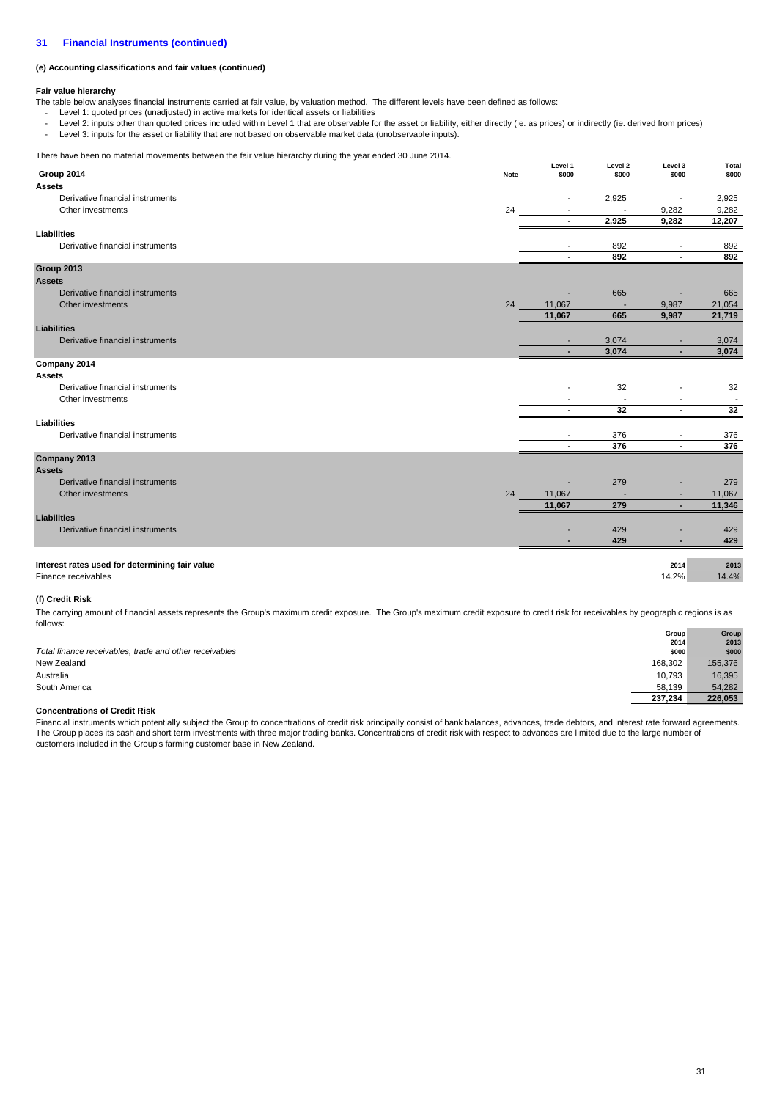## **(e) Accounting classifications and fair values (continued)**

## **Fair value hierarchy**

- The table below analyses financial instruments carried at fair value, by valuation method. The different levels have been defined as follows:
	- Level 1: quoted prices (unadjusted) in active markets for identical assets or liabilities
	- - Level 2: inputs other than quoted prices included within Level 1 that are observable for the asset or liability, either directly (ie. as prices) or indirectly (ie. derived from prices) Level 3: inputs for the asset or liability that are not based on observable market data (unobservable inputs).

There have been no material movements between the fair value hierarchy during the year ended 30 June 2014.

| Group 2014<br>\$000<br>\$000<br>\$000<br>Note<br><b>Assets</b><br>Derivative financial instruments<br>2,925<br>24<br>9,282<br>Other investments<br>2,925<br>9,282<br>Liabilities<br>Derivative financial instruments<br>892<br>٠<br>$\overline{\phantom{a}}$<br>892<br>$\blacksquare$<br>$\blacksquare$<br>Group 2013<br><b>Assets</b><br>Derivative financial instruments<br>665<br>24<br>11,067<br>9,987<br>Other investments<br>665<br>11,067<br>9,987<br><b>Liabilities</b><br>Derivative financial instruments<br>3,074<br>3,074<br>÷.<br>Company 2014<br><b>Assets</b><br>Derivative financial instruments<br>32<br>Other investments<br>32<br>$\sim$<br>$\blacksquare$<br><b>Liabilities</b><br>Derivative financial instruments<br>376<br>376<br>$\blacksquare$<br>$\blacksquare$<br>Company 2013 | Thoro have been no material incremente between the latt value meraleny during the year chace economic Ech in | Level 1 | Level 2 | Level 3 | Total                    |
|-----------------------------------------------------------------------------------------------------------------------------------------------------------------------------------------------------------------------------------------------------------------------------------------------------------------------------------------------------------------------------------------------------------------------------------------------------------------------------------------------------------------------------------------------------------------------------------------------------------------------------------------------------------------------------------------------------------------------------------------------------------------------------------------------------------|--------------------------------------------------------------------------------------------------------------|---------|---------|---------|--------------------------|
|                                                                                                                                                                                                                                                                                                                                                                                                                                                                                                                                                                                                                                                                                                                                                                                                           |                                                                                                              |         |         |         | \$000                    |
|                                                                                                                                                                                                                                                                                                                                                                                                                                                                                                                                                                                                                                                                                                                                                                                                           |                                                                                                              |         |         |         |                          |
|                                                                                                                                                                                                                                                                                                                                                                                                                                                                                                                                                                                                                                                                                                                                                                                                           |                                                                                                              |         |         |         | 2,925                    |
|                                                                                                                                                                                                                                                                                                                                                                                                                                                                                                                                                                                                                                                                                                                                                                                                           |                                                                                                              |         |         |         | 9,282                    |
|                                                                                                                                                                                                                                                                                                                                                                                                                                                                                                                                                                                                                                                                                                                                                                                                           |                                                                                                              |         |         |         | 12,207                   |
|                                                                                                                                                                                                                                                                                                                                                                                                                                                                                                                                                                                                                                                                                                                                                                                                           |                                                                                                              |         |         |         |                          |
|                                                                                                                                                                                                                                                                                                                                                                                                                                                                                                                                                                                                                                                                                                                                                                                                           |                                                                                                              |         |         |         | 892                      |
|                                                                                                                                                                                                                                                                                                                                                                                                                                                                                                                                                                                                                                                                                                                                                                                                           |                                                                                                              |         |         |         | 892                      |
|                                                                                                                                                                                                                                                                                                                                                                                                                                                                                                                                                                                                                                                                                                                                                                                                           |                                                                                                              |         |         |         |                          |
|                                                                                                                                                                                                                                                                                                                                                                                                                                                                                                                                                                                                                                                                                                                                                                                                           |                                                                                                              |         |         |         |                          |
|                                                                                                                                                                                                                                                                                                                                                                                                                                                                                                                                                                                                                                                                                                                                                                                                           |                                                                                                              |         |         |         | 665                      |
|                                                                                                                                                                                                                                                                                                                                                                                                                                                                                                                                                                                                                                                                                                                                                                                                           |                                                                                                              |         |         |         | 21,054                   |
|                                                                                                                                                                                                                                                                                                                                                                                                                                                                                                                                                                                                                                                                                                                                                                                                           |                                                                                                              |         |         |         | 21,719                   |
|                                                                                                                                                                                                                                                                                                                                                                                                                                                                                                                                                                                                                                                                                                                                                                                                           |                                                                                                              |         |         |         |                          |
|                                                                                                                                                                                                                                                                                                                                                                                                                                                                                                                                                                                                                                                                                                                                                                                                           |                                                                                                              |         |         |         | 3,074                    |
|                                                                                                                                                                                                                                                                                                                                                                                                                                                                                                                                                                                                                                                                                                                                                                                                           |                                                                                                              |         |         |         | 3,074                    |
|                                                                                                                                                                                                                                                                                                                                                                                                                                                                                                                                                                                                                                                                                                                                                                                                           |                                                                                                              |         |         |         |                          |
|                                                                                                                                                                                                                                                                                                                                                                                                                                                                                                                                                                                                                                                                                                                                                                                                           |                                                                                                              |         |         |         |                          |
|                                                                                                                                                                                                                                                                                                                                                                                                                                                                                                                                                                                                                                                                                                                                                                                                           |                                                                                                              |         |         |         | 32                       |
|                                                                                                                                                                                                                                                                                                                                                                                                                                                                                                                                                                                                                                                                                                                                                                                                           |                                                                                                              |         |         |         | $\overline{\phantom{a}}$ |
|                                                                                                                                                                                                                                                                                                                                                                                                                                                                                                                                                                                                                                                                                                                                                                                                           |                                                                                                              |         |         |         | 32                       |
|                                                                                                                                                                                                                                                                                                                                                                                                                                                                                                                                                                                                                                                                                                                                                                                                           |                                                                                                              |         |         |         |                          |
|                                                                                                                                                                                                                                                                                                                                                                                                                                                                                                                                                                                                                                                                                                                                                                                                           |                                                                                                              |         |         |         | 376<br>376               |
|                                                                                                                                                                                                                                                                                                                                                                                                                                                                                                                                                                                                                                                                                                                                                                                                           |                                                                                                              |         |         |         |                          |
| <b>Assets</b>                                                                                                                                                                                                                                                                                                                                                                                                                                                                                                                                                                                                                                                                                                                                                                                             |                                                                                                              |         |         |         |                          |
| Derivative financial instruments<br>279                                                                                                                                                                                                                                                                                                                                                                                                                                                                                                                                                                                                                                                                                                                                                                   |                                                                                                              |         |         |         | 279                      |
| 24<br>11,067<br>Other investments                                                                                                                                                                                                                                                                                                                                                                                                                                                                                                                                                                                                                                                                                                                                                                         |                                                                                                              |         |         |         | 11,067                   |
| 279<br>11,067<br>٠                                                                                                                                                                                                                                                                                                                                                                                                                                                                                                                                                                                                                                                                                                                                                                                        |                                                                                                              |         |         |         | 11,346                   |
| <b>Liabilities</b>                                                                                                                                                                                                                                                                                                                                                                                                                                                                                                                                                                                                                                                                                                                                                                                        |                                                                                                              |         |         |         |                          |
| Derivative financial instruments<br>429<br>٠<br>۰                                                                                                                                                                                                                                                                                                                                                                                                                                                                                                                                                                                                                                                                                                                                                         |                                                                                                              |         |         |         | 429                      |
| 429<br>$\blacksquare$<br>٠                                                                                                                                                                                                                                                                                                                                                                                                                                                                                                                                                                                                                                                                                                                                                                                |                                                                                                              |         |         |         | 429                      |
|                                                                                                                                                                                                                                                                                                                                                                                                                                                                                                                                                                                                                                                                                                                                                                                                           |                                                                                                              |         |         |         |                          |
| Interest rates used for determining fair value<br>2014                                                                                                                                                                                                                                                                                                                                                                                                                                                                                                                                                                                                                                                                                                                                                    |                                                                                                              |         |         |         | 2013                     |
| 14.2%<br>Finance receivables                                                                                                                                                                                                                                                                                                                                                                                                                                                                                                                                                                                                                                                                                                                                                                              |                                                                                                              |         |         |         | 14.4%                    |

## **(f) Credit Risk**

The carrying amount of financial assets represents the Group's maximum credit exposure. The Group's maximum credit exposure to credit risk for receivables by geographic regions is as follows:

|                                                        | Group   | Group   |
|--------------------------------------------------------|---------|---------|
|                                                        | 2014    | 2013    |
| Total finance receivables, trade and other receivables | \$000   | \$000   |
| New Zealand                                            | 168,302 | 155,376 |
| Australia                                              | 10.793  | 16,395  |
| South America                                          | 58,139  | 54,282  |
|                                                        | 237.234 | 226.053 |

## **Concentrations of Credit Risk**

Financial instruments which potentially subject the Group to concentrations of credit risk principally consist of bank balances, advances, trade debtors, and interest rate forward agreements. The Group places its cash and short term investments with three major trading banks. Concentrations of credit risk with respect to advances are limited due to the large number of customers included in the Group's farming customer base in New Zealand.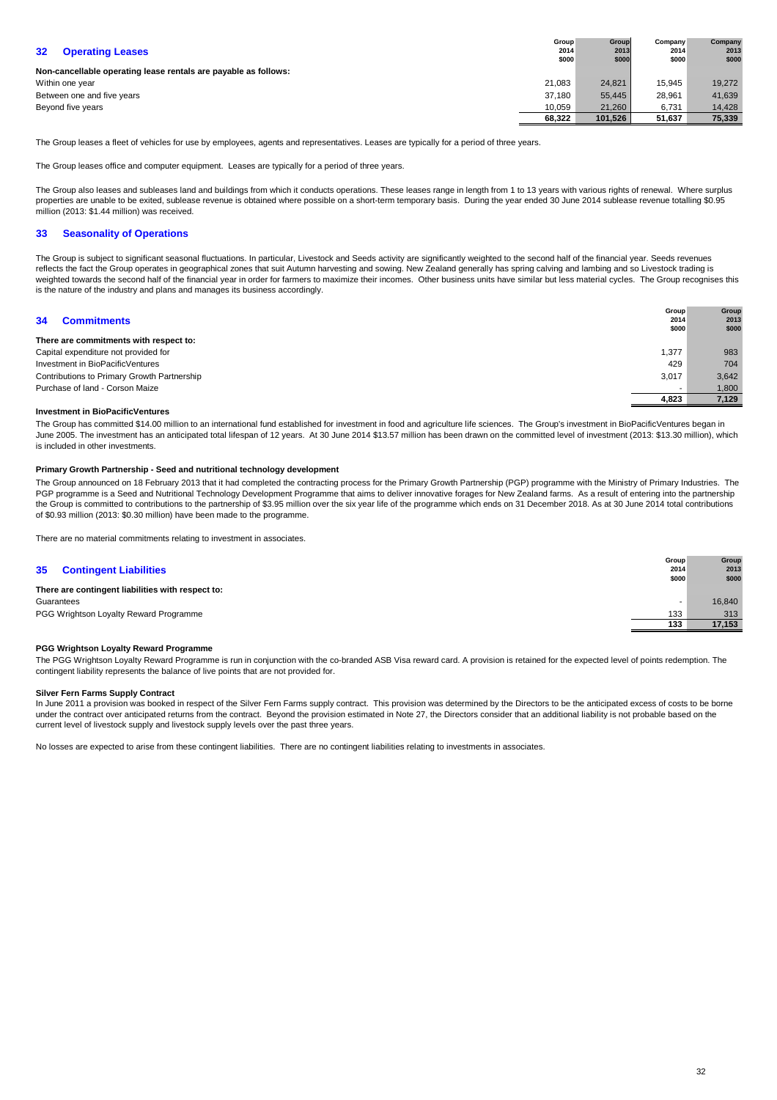| 32 <sub>2</sub><br><b>Operating Leases</b>                      | Group<br>2014<br>\$000 | <b>Group</b><br>2013<br>\$000 | Company<br>2014<br>\$000 | Company<br>2013<br>\$000 |
|-----------------------------------------------------------------|------------------------|-------------------------------|--------------------------|--------------------------|
| Non-cancellable operating lease rentals are payable as follows: |                        |                               |                          |                          |
| Within one year                                                 | 21.083                 | 24.821                        | 15.945                   | 19.272                   |
| Between one and five years                                      | 37.180                 | 55.445                        | 28.961                   | 41,639                   |
| Beyond five years                                               |                        | 21.260                        | 6,731                    | 14.428                   |
|                                                                 | 68.322                 | 101.526                       | 51,637                   | 75,339                   |

The Group leases a fleet of vehicles for use by employees, agents and representatives. Leases are typically for a period of three years.

The Group leases office and computer equipment. Leases are typically for a period of three years.

The Group also leases and subleases land and buildings from which it conducts operations. These leases range in length from 1 to 13 years with various rights of renewal. Where surplus properties are unable to be exited, sublease revenue is obtained where possible on a short-term temporary basis. During the year ended 30 June 2014 sublease revenue totalling \$0.95 million (2013: \$1.44 million) was received.

## **33 Seasonality of Operations**

The Group is subject to significant seasonal fluctuations. In particular, Livestock and Seeds activity are significantly weighted to the second half of the financial year. Seeds revenues reflects the fact the Group operates in geographical zones that suit Autumn harvesting and sowing. New Zealand generally has spring calving and lambing and so Livestock trading is weighted towards the second half of the financial year in order for farmers to maximize their incomes. Other business units have similar but less material cycles. The Group recognises this is the nature of the industry and plans and manages its business accordingly.

| 34<br><b>Commitments</b>                    | <b>Group</b><br>2014<br>\$000 | Group<br>2013<br>\$000 |
|---------------------------------------------|-------------------------------|------------------------|
| There are commitments with respect to:      |                               |                        |
| Capital expenditure not provided for        | 1,377                         | 983                    |
| Investment in BioPacificVentures            | 429                           | 704                    |
| Contributions to Primary Growth Partnership | 3,017                         | 3,642                  |
| Purchase of land - Corson Maize             |                               | 1,800                  |
|                                             | 4,823                         | 7,129                  |

## **Investment in BioPacificVentures**

The Group has committed \$14.00 million to an international fund established for investment in food and agriculture life sciences. The Group's investment in BioPacificVentures began in June 2005. The investment has an anticipated total lifespan of 12 years. At 30 June 2014 \$13.57 million has been drawn on the committed level of investment (2013: \$13.30 million), which is included in other investments.

## **Primary Growth Partnership - Seed and nutritional technology development**

The Group announced on 18 February 2013 that it had completed the contracting process for the Primary Growth Partnership (PGP) programme with the Ministry of Primary Industries. The PGP programme is a Seed and Nutritional Technology Development Programme that aims to deliver innovative forages for New Zealand farms. As a result of entering into the partnership the Group is committed to contributions to the partnership of \$3.95 million over the six year life of the programme which ends on 31 December 2018. As at 30 June 2014 total contributions of \$0.93 million (2013: \$0.30 million) have been made to the programme.

There are no material commitments relating to investment in associates.

## **35 Contingent Liabilities**

|                                                   | \$000 | \$000  |
|---------------------------------------------------|-------|--------|
| There are contingent liabilities with respect to: |       |        |
| Guarantees                                        |       | 16.840 |
| PGG Wrightson Loyalty Reward Programme            | 133   | 313    |
|                                                   | 133   | 17.153 |

## **PGG Wrightson Loyalty Reward Programme**

The PGG Wrightson Loyalty Reward Programme is run in conjunction with the co-branded ASB Visa reward card. A provision is retained for the expected level of points redemption. The contingent liability represents the balance of live points that are not provided for.

## **Silver Fern Farms Supply Contract**

In June 2011 a provision was booked in respect of the Silver Fern Farms supply contract. This provision was determined by the Directors to be the anticipated excess of costs to be borne under the contract over anticipated returns from the contract. Beyond the provision estimated in Note 27, the Directors consider that an additional liability is not probable based on the current level of livestock supply and livestock supply levels over the past three years.

No losses are expected to arise from these contingent liabilities. There are no contingent liabilities relating to investments in associates.

**Group 2014**

**Group 2013**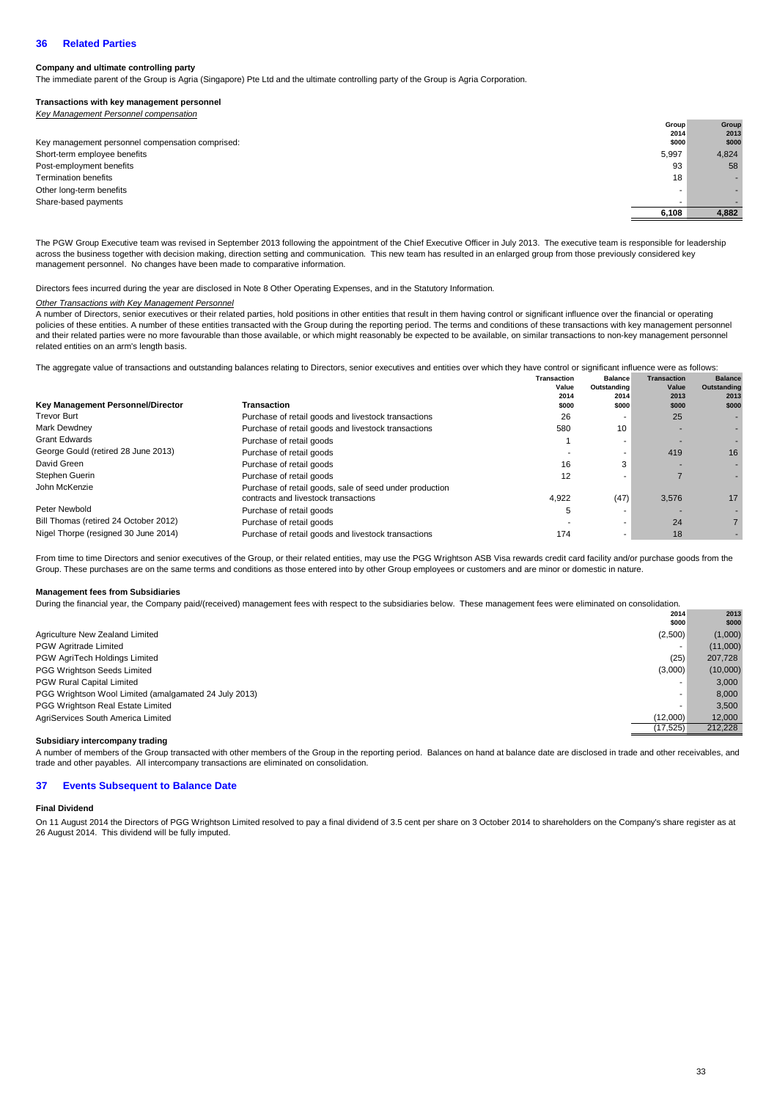## **36 Related Parties**

## **Company and ultimate controlling party**

The immediate parent of the Group is Agria (Singapore) Pte Ltd and the ultimate controlling party of the Group is Agria Corporation.

## **Transactions with key management personnel**

|  | Key Management Personnel compensation |  |
|--|---------------------------------------|--|
|  |                                       |  |

|                                                  | Group | Group |
|--------------------------------------------------|-------|-------|
|                                                  | 2014  | 2013  |
| Key management personnel compensation comprised: | \$000 | \$000 |
| Short-term employee benefits                     | 5,997 | 4,824 |
| Post-employment benefits                         | 93    | 58    |
| <b>Termination benefits</b>                      | 18    |       |
| Other long-term benefits                         | -     |       |
| Share-based payments                             |       |       |
|                                                  | 6.108 | 4.882 |
|                                                  |       |       |

The PGW Group Executive team was revised in September 2013 following the appointment of the Chief Executive Officer in July 2013. The executive team is responsible for leadership across the business together with decision making, direction setting and communication. This new team has resulted in an enlarged group from those previously considered key management personnel. No changes have been made to comparative information.

Directors fees incurred during the year are disclosed in Note 8 Other Operating Expenses, and in the Statutory Information.

## **Other Transactions with Key Management Personnel**

A number of Directors, senior executives or their related parties, hold positions in other entities that result in them having control or significant influence over the financial or operating policies of these entities. A number of these entities transacted with the Group during the reporting period. The terms and conditions of these transactions with key management personnel and their related parties were no more favourable than those available, or which might reasonably be expected to be available, on similar transactions to non-key management personnel related entities on an arm's length basis.

**Balance**  The aggregate value of transactions and outstanding balances relating to Directors, senior executives and entities over which they have control or significant influence were as follows:

|                                          |                                                         | <b>Transaction</b> | <b>Balance</b> | <b>Transaction</b> | <b>Balance</b> |
|------------------------------------------|---------------------------------------------------------|--------------------|----------------|--------------------|----------------|
|                                          |                                                         | Value              | Outstanding    | Value              | Outstanding    |
|                                          |                                                         | 2014               | 2014           | 2013               | 2013           |
| <b>Key Management Personnel/Director</b> | <b>Transaction</b>                                      | \$000              | \$000          | \$000              | \$000          |
| <b>Trevor Burt</b>                       | Purchase of retail goods and livestock transactions     | 26                 |                | 25                 |                |
| Mark Dewdney                             | Purchase of retail goods and livestock transactions     | 580                | 10             |                    |                |
| <b>Grant Edwards</b>                     | Purchase of retail goods                                |                    |                |                    |                |
| George Gould (retired 28 June 2013)      | Purchase of retail goods                                |                    |                | 419                | 16             |
| David Green                              | Purchase of retail goods                                | 16                 | 3              |                    |                |
| Stephen Guerin                           | Purchase of retail goods                                | 12                 |                |                    |                |
| John McKenzie                            | Purchase of retail goods, sale of seed under production |                    |                |                    |                |
|                                          | contracts and livestock transactions                    | 4.922              | (47)           | 3.576              | 17             |
| Peter Newbold                            | Purchase of retail goods                                | :C                 |                |                    |                |
| Bill Thomas (retired 24 October 2012)    | Purchase of retail goods                                |                    |                | 24                 |                |
| Nigel Thorpe (resigned 30 June 2014)     | Purchase of retail goods and livestock transactions     | 174                |                | 18                 |                |

From time to time Directors and senior executives of the Group, or their related entities, may use the PGG Wrightson ASB Visa rewards credit card facility and/or purchase goods from the Group. These purchases are on the same terms and conditions as those entered into by other Group employees or customers and are minor or domestic in nature.

## **Management fees from Subsidiaries**

During the financial year, the Company paid/(received) management fees with respect to the subsidiaries below. These management fees were eliminated on consolidation.

|                                                       | 2014<br>\$000 | 2013<br>\$000 |
|-------------------------------------------------------|---------------|---------------|
| Agriculture New Zealand Limited                       | (2,500)       | (1,000)       |
| <b>PGW Agritrade Limited</b>                          |               | (11,000)      |
| PGW AgriTech Holdings Limited                         | (25)          | 207,728       |
| PGG Wrightson Seeds Limited                           | (3,000)       | (10,000)      |
| PGW Rural Capital Limited                             | ۰             | 3,000         |
| PGG Wrightson Wool Limited (amalgamated 24 July 2013) | ۰             | 8.000         |
| PGG Wrightson Real Estate Limited                     | -             | 3,500         |
| AgriServices South America Limited                    | (12,000)      | 12,000        |
|                                                       | (17, 525)     | 212.228       |

## **Subsidiary intercompany trading**

A number of members of the Group transacted with other members of the Group in the reporting period. Balances on hand at balance date are disclosed in trade and other receivables, and trade and other payables. All intercompany transactions are eliminated on consolidation.

#### **37 Events Subsequent to Balance Date**

## **Final Dividend**

On 11 August 2014 the Directors of PGG Wrightson Limited resolved to pay a final dividend of 3.5 cent per share on 3 October 2014 to shareholders on the Company's share register as at 26 August 2014. This dividend will be fully imputed.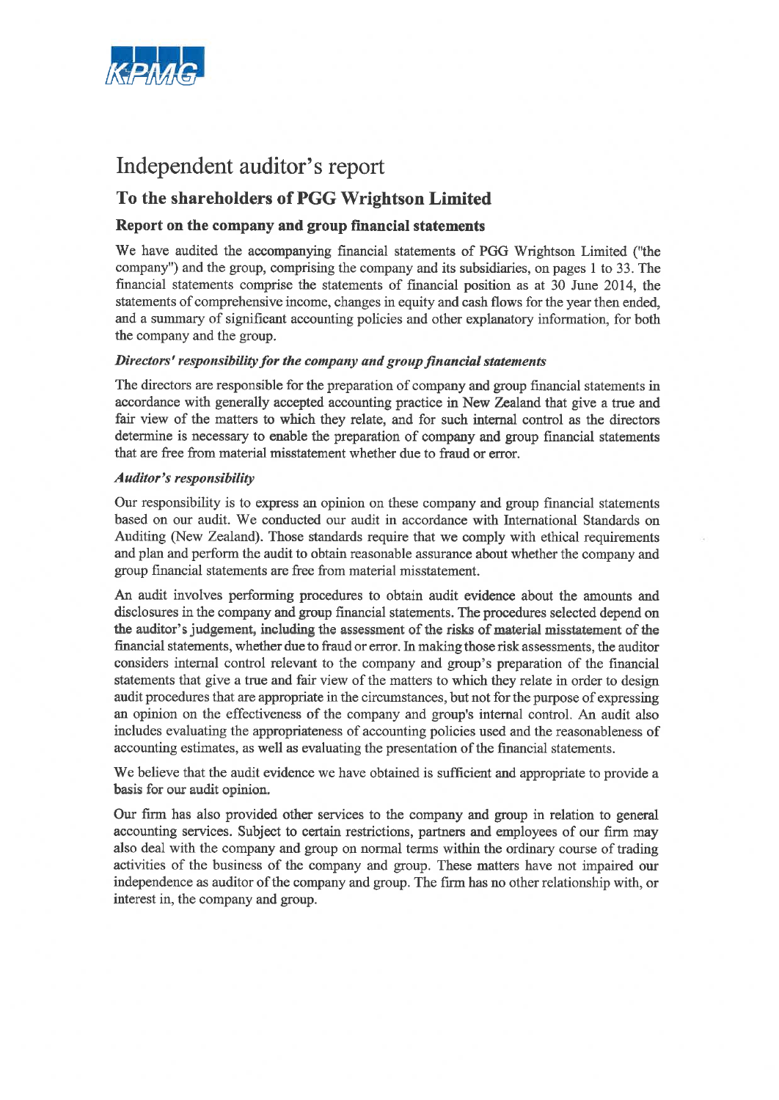

# Independent auditor's report

## To the shareholders of PGG Wrightson Limited

## Report on the company and group financial statements

We have audited the accompanying financial statements of PGG Wrightson Limited ("the company") and the group, comprising the company and its subsidiaries, on pages 1 to 33. The financial statements comprise the statements of financial position as at 30 June 2014, the statements of comprehensive income, changes in equity and cash flows for the year then ended, and a summary of significant accounting policies and other explanatory information, for both the company and the group.

## Directors' responsibility for the company and group financial statements

The directors are responsible for the preparation of company and group financial statements in accordance with generally accepted accounting practice in New Zealand that give a true and fair view of the matters to which they relate, and for such internal control as the directors determine is necessary to enable the preparation of company and group financial statements that are free from material misstatement whether due to fraud or error.

## **Auditor's responsibility**

Our responsibility is to express an opinion on these company and group financial statements based on our audit. We conducted our audit in accordance with International Standards on Auditing (New Zealand). Those standards require that we comply with ethical requirements and plan and perform the audit to obtain reasonable assurance about whether the company and group financial statements are free from material misstatement.

An audit involves performing procedures to obtain audit evidence about the amounts and disclosures in the company and group financial statements. The procedures selected depend on the auditor's judgement, including the assessment of the risks of material misstatement of the financial statements, whether due to fraud or error. In making those risk assessments, the auditor considers internal control relevant to the company and group's preparation of the financial statements that give a true and fair view of the matters to which they relate in order to design audit procedures that are appropriate in the circumstances, but not for the purpose of expressing an opinion on the effectiveness of the company and group's internal control. An audit also includes evaluating the appropriateness of accounting policies used and the reasonableness of accounting estimates, as well as evaluating the presentation of the financial statements.

We believe that the audit evidence we have obtained is sufficient and appropriate to provide a basis for our audit opinion.

Our firm has also provided other services to the company and group in relation to general accounting services. Subject to certain restrictions, partners and employees of our firm may also deal with the company and group on normal terms within the ordinary course of trading activities of the business of the company and group. These matters have not impaired our independence as auditor of the company and group. The firm has no other relationship with, or interest in, the company and group.